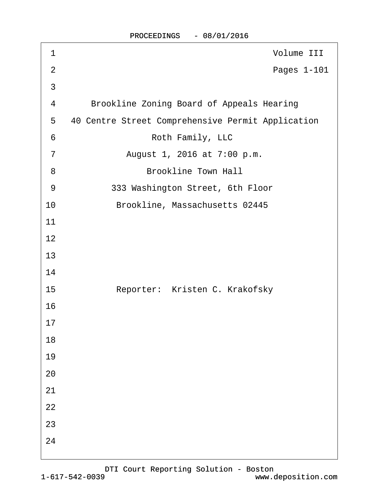| 1              | Volume III                                        |
|----------------|---------------------------------------------------|
| $\overline{2}$ | Pages 1-101                                       |
| 3              |                                                   |
| 4              | <b>Brookline Zoning Board of Appeals Hearing</b>  |
| 5              | 40 Centre Street Comprehensive Permit Application |
| 6              | Roth Family, LLC                                  |
| 7              | August 1, 2016 at 7:00 p.m.                       |
| 8              | <b>Brookline Town Hall</b>                        |
| 9              | 333 Washington Street, 6th Floor                  |
| 10             | Brookline, Massachusetts 02445                    |
| 11             |                                                   |
| 12             |                                                   |
| 13             |                                                   |
| 14             |                                                   |
| 15             | Reporter: Kristen C. Krakofsky                    |
| 16             |                                                   |
| 17             |                                                   |
| 18             |                                                   |
| 19             |                                                   |
| 20             |                                                   |
| 21             |                                                   |
| 22             |                                                   |
| 23             |                                                   |
| 24             |                                                   |
|                |                                                   |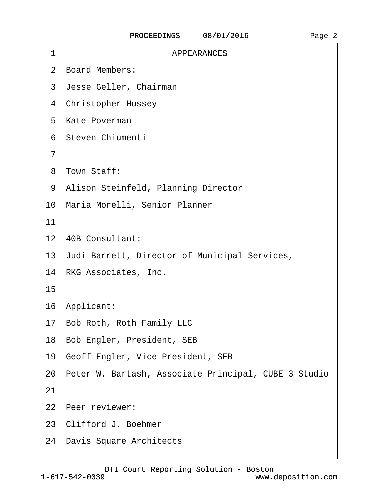| 1  | <b>APPEARANCES</b>                                      |
|----|---------------------------------------------------------|
|    | 2 Board Members:                                        |
|    | 3 Jesse Geller, Chairman                                |
|    | 4 Christopher Hussey                                    |
|    | 5 Kate Poverman                                         |
|    | 6 Steven Chiumenti                                      |
| 7  |                                                         |
|    | 8 Town Staff:                                           |
|    | 9 Alison Steinfeld, Planning Director                   |
|    | 10 Maria Morelli, Senior Planner                        |
| 11 |                                                         |
|    | 12 40B Consultant:                                      |
|    | 13 Judi Barrett, Director of Municipal Services,        |
|    | 14 RKG Associates, Inc.                                 |
| 15 |                                                         |
|    | 16 Applicant:                                           |
|    | 17 Bob Roth, Roth Family LLC                            |
|    | 18 Bob Engler, President, SEB                           |
|    | 19 Geoff Engler, Vice President, SEB                    |
|    | 20 Peter W. Bartash, Associate Principal, CUBE 3 Studio |
| 21 |                                                         |
|    | 22 Peer reviewer:                                       |
|    | 23 Clifford J. Boehmer                                  |
|    | 24 Davis Square Architects                              |
|    |                                                         |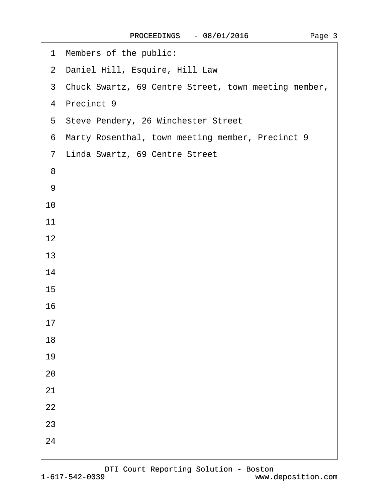| 1 Members of the public:                               |
|--------------------------------------------------------|
| 2 Daniel Hill, Esquire, Hill Law                       |
| 3 Chuck Swartz, 69 Centre Street, town meeting member, |
| 4 Precinct 9                                           |
| 5 Steve Pendery, 26 Winchester Street                  |
| 6 Marty Rosenthal, town meeting member, Precinct 9     |
| 7 Linda Swartz, 69 Centre Street                       |
| 8                                                      |
| 9                                                      |
| 10                                                     |
| 11                                                     |
| 12                                                     |
| 13                                                     |
| 14                                                     |
| 15                                                     |
| 16                                                     |
| 17                                                     |
| 18                                                     |
| 19                                                     |
| 20                                                     |
| 21                                                     |
| 22                                                     |
| 23                                                     |
| 24                                                     |
|                                                        |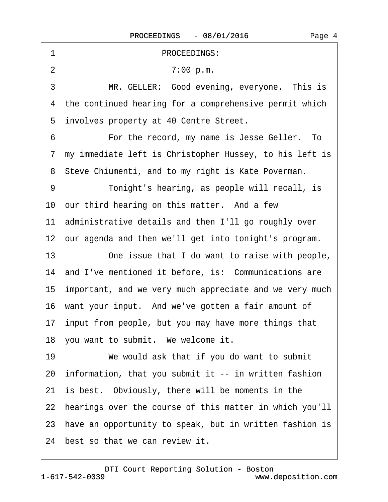| 1              | <b>PROCEEDINGS:</b>                                        |
|----------------|------------------------------------------------------------|
| $\overline{2}$ | 7:00 p.m.                                                  |
| 3              | MR. GELLER: Good evening, everyone. This is                |
|                | 4 the continued hearing for a comprehensive permit which   |
|                | 5 involves property at 40 Centre Street.                   |
| 6              | For the record, my name is Jesse Geller. To                |
|                | 7 my immediate left is Christopher Hussey, to his left is  |
|                | 8 Steve Chiumenti, and to my right is Kate Poverman.       |
| 9              | Tonight's hearing, as people will recall, is               |
|                | 10 our third hearing on this matter. And a few             |
|                | 11 administrative details and then I'll go roughly over    |
|                | 12 our agenda and then we'll get into tonight's program.   |
| 13             | One issue that I do want to raise with people,             |
|                | 14 and I've mentioned it before, is: Communications are    |
|                | 15 important, and we very much appreciate and we very much |
|                | 16 want your input. And we've gotten a fair amount of      |
|                | 17 input from people, but you may have more things that    |
|                | 18 you want to submit. We welcome it.                      |
| 19             | We would ask that if you do want to submit                 |
|                | 20 information, that you submit it -- in written fashion   |
|                | 21 is best. Obviously, there will be moments in the        |
|                | 22 hearings over the course of this matter in which you'll |
|                | 23 have an opportunity to speak, but in written fashion is |
|                | 24 best so that we can review it.                          |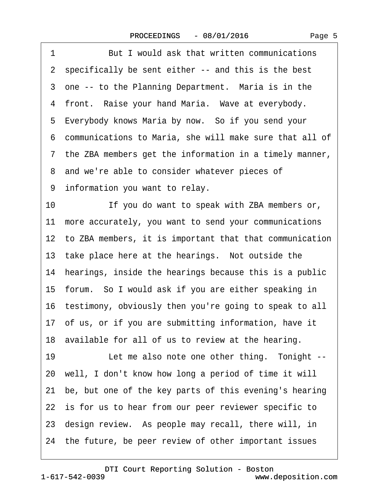| 1<br>But I would ask that written communications           |
|------------------------------------------------------------|
| 2 specifically be sent either -- and this is the best      |
| 3 one -- to the Planning Department. Maria is in the       |
| 4 front. Raise your hand Maria. Wave at everybody.         |
| 5 Everybody knows Maria by now. So if you send your        |
| 6 communications to Maria, she will make sure that all of  |
| 7 the ZBA members get the information in a timely manner,  |
| 8 and we're able to consider whatever pieces of            |
| 9 information you want to relay.                           |
| 10<br>If you do want to speak with ZBA members or,         |
| 11 more accurately, you want to send your communications   |
| 12 to ZBA members, it is important that that communication |
| 13 take place here at the hearings. Not outside the        |
| 14 hearings, inside the hearings because this is a public  |
| 15 forum. So I would ask if you are either speaking in     |
| 16 testimony, obviously then you're going to speak to all  |
| 17 of us, or if you are submitting information, have it    |
| 18 available for all of us to review at the hearing.       |
| 19<br>Let me also note one other thing. Tonight --         |
| 20 well, I don't know how long a period of time it will    |
| 21 be, but one of the key parts of this evening's hearing  |
| 22 is for us to hear from our peer reviewer specific to    |
| 23 design review. As people may recall, there will, in     |
| 24 the future, be peer review of other important issues    |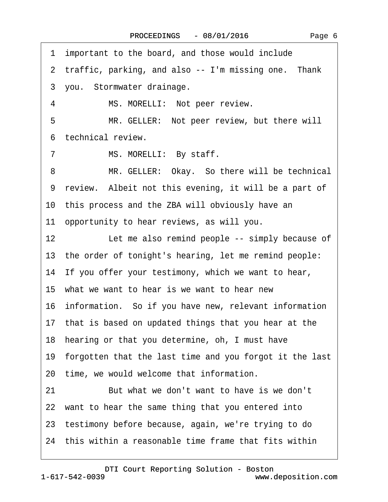| 1 important to the board, and those would include          |
|------------------------------------------------------------|
| 2 traffic, parking, and also -- I'm missing one. Thank     |
| 3 you. Stormwater drainage.                                |
| MS. MORELLI: Not peer review.<br>4                         |
| MR. GELLER: Not peer review, but there will<br>5           |
| 6 technical review.                                        |
| 7<br>MS. MORELLI: By staff.                                |
| MR. GELLER: Okay. So there will be technical<br>8          |
| 9 review. Albeit not this evening, it will be a part of    |
| 10 this process and the ZBA will obviously have an         |
| 11 opportunity to hear reviews, as will you.               |
| 12<br>Let me also remind people -- simply because of       |
| 13 the order of tonight's hearing, let me remind people:   |
| 14 If you offer your testimony, which we want to hear,     |
| 15 what we want to hear is we want to hear new             |
| 16 information. So if you have new, relevant information   |
| 17 that is based on updated things that you hear at the    |
| 18 hearing or that you determine, oh, I must have          |
| 19 forgotten that the last time and you forgot it the last |
| 20 time, we would welcome that information.                |
| But what we don't want to have is we don't<br>21           |
| 22 want to hear the same thing that you entered into       |
| 23 testimony before because, again, we're trying to do     |
| 24 this within a reasonable time frame that fits within    |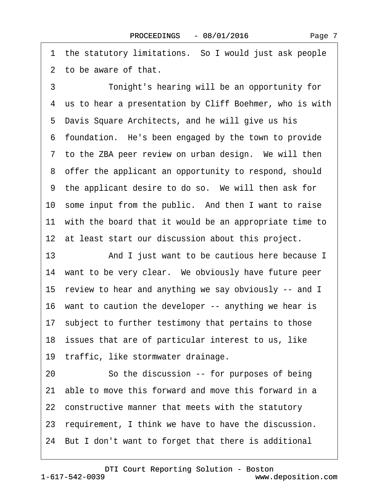1 the statutory limitations. So I would just ask people ·2· to be aware of that.

·3· · · · · ·Tonight's hearing will be an opportunity for 4 us to hear a presentation by Cliff Boehmer, who is with 5 Davis Square Architects, and he will give us his ·6· foundation.· He's been engaged by the town to provide 7 to the ZBA peer review on urban design. We will then 8 offer the applicant an opportunity to respond, should 9 the applicant desire to do so. We will then ask for 10 some input from the public. And then I want to raise 11 with the board that it would be an appropriate time to 12 at least start our discussion about this project.

13 And I just want to be cautious here because I 14 want to be very clear. We obviously have future peer 15· review to hear and anything we say obviously -- and I 16 want to caution the developer -- anything we hear is 17 subject to further testimony that pertains to those 18 issues that are of particular interest to us, like 19 traffic, like stormwater drainage.

20 So the discussion -- for purposes of being 21· able to move this forward and move this forward in a 22 constructive manner that meets with the statutory 23 requirement, I think we have to have the discussion. 24· But I don't want to forget that there is additional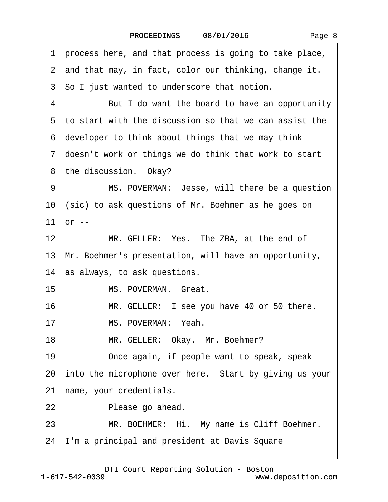| process here, and that process is going to take place,<br>1 |
|-------------------------------------------------------------|
| 2 and that may, in fact, color our thinking, change it.     |
| 3 So I just wanted to underscore that notion.               |
| But I do want the board to have an opportunity<br>4         |
| 5 to start with the discussion so that we can assist the    |
| 6 developer to think about things that we may think         |
| 7 doesn't work or things we do think that work to start     |
| 8 the discussion. Okay?                                     |
| MS. POVERMAN: Jesse, will there be a question<br>9          |
| 10 (sic) to ask questions of Mr. Boehmer as he goes on      |
| 11 or --                                                    |
| 12 <sup>2</sup><br>MR. GELLER: Yes. The ZBA, at the end of  |
| 13 Mr. Boehmer's presentation, will have an opportunity,    |
| 14 as always, to ask questions.                             |
| MS. POVERMAN. Great.<br>15                                  |
| 16<br>MR. GELLER: I see you have 40 or 50 there.            |
| MS. POVERMAN: Yeah.<br>17                                   |
| MR. GELLER: Okay. Mr. Boehmer?<br>18                        |
| 19<br>Once again, if people want to speak, speak            |
| 20 into the microphone over here. Start by giving us your   |
| name, your credentials.<br>21                               |
| Please go ahead.<br>22                                      |
| 23<br>MR. BOEHMER: Hi. My name is Cliff Boehmer.            |
| 24 I'm a principal and president at Davis Square            |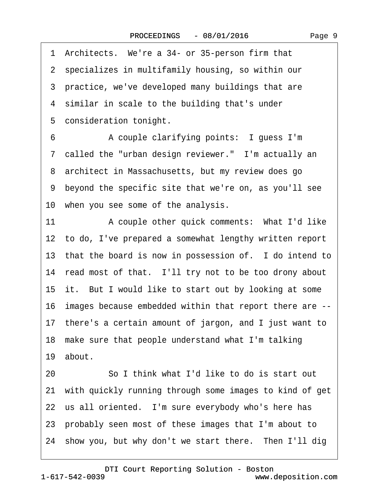1 Architects. We're a 34- or 35-person firm that ·2· specializes in multifamily housing, so within our 3 practice, we've developed many buildings that are 4 similar in scale to the building that's under 5 consideration tonight. 6 • • A couple clarifying points: I guess I'm 7 called the "urban design reviewer." I'm actually an 8 architect in Massachusetts, but my review does go ·9· beyond the specific site that we're on, as you'll see 10 when you see some of the analysis. 11 A couple other quick comments: What I'd like 12 to do, I've prepared a somewhat lengthy written report 13 that the board is now in possession of. I do intend to 14 read most of that. I'll try not to be too drony about 15 it. But I would like to start out by looking at some 16· images because embedded within that report there are -- 17· there's a certain amount of jargon, and I just want to 18 make sure that people understand what I'm talking 19 about. 20 **· · · · · So I think what I'd like to do is start out** 

21· with quickly running through some images to kind of get 22 us all oriented. I'm sure everybody who's here has 23· probably seen most of these images that I'm about to 24 show you, but why don't we start there. Then I'll dig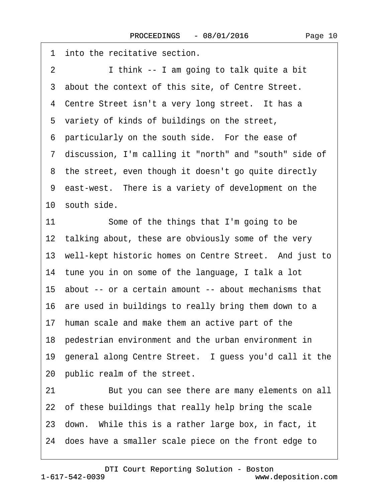1 into the recitative section. 2 I think -- I am going to talk quite a bit 3 about the context of this site, of Centre Street. 4 Centre Street isn't a very long street. It has a 5 variety of kinds of buildings on the street, 6 particularly on the south side. For the ease of 7 discussion, I'm calling it "north" and "south" side of 8 the street, even though it doesn't go quite directly 9 east-west. There is a variety of development on the 10 south side. 11 Some of the things that I'm going to be 12 talking about, these are obviously some of the very 13 well-kept historic homes on Centre Street. And just to 14 tune you in on some of the language, I talk a lot 15· about -- or a certain amount -- about mechanisms that 16 are used in buildings to really bring them down to a 17· human scale and make them an active part of the 18· pedestrian environment and the urban environment in 19 general along Centre Street. I guess you'd call it the 20 public realm of the street. 21 But you can see there are many elements on all 22 of these buildings that really help bring the scale

- 23 down. While this is a rather large box, in fact, it
- 24· does have a smaller scale piece on the front edge to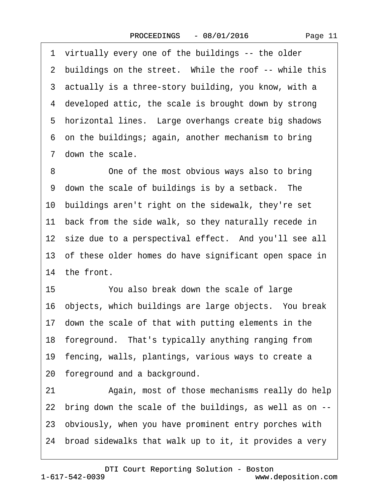·1· virtually every one of the buildings -- the older 2 buildings on the street. While the roof -- while this 3 actually is a three-story building, you know, with a 4 developed attic, the scale is brought down by strong 5 horizontal lines. Large overhangs create big shadows ·6· on the buildings; again, another mechanism to bring 7 down the scale.

8 One of the most obvious ways also to bring 9 down the scale of buildings is by a setback. The 10 buildings aren't right on the sidewalk, they're set 11 back from the side walk, so they naturally recede in 12 size due to a perspectival effect. And you'll see all 13· of these older homes do have significant open space in 14 the front.

15 You also break down the scale of large 16 objects, which buildings are large objects. You break 17 down the scale of that with putting elements in the 18 foreground. That's typically anything ranging from 19 fencing, walls, plantings, various ways to create a 20 foreground and a background.

21 Again, most of those mechanisms really do help 22· bring down the scale of the buildings, as well as on -- 23· obviously, when you have prominent entry porches with 24· broad sidewalks that walk up to it, it provides a very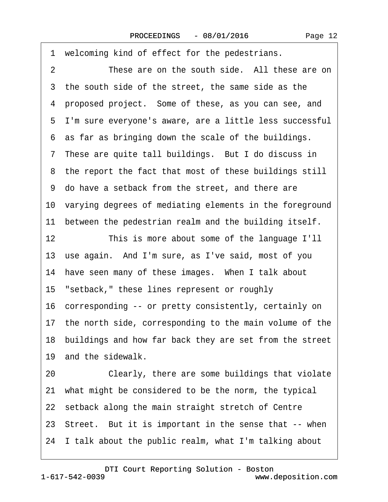1 welcoming kind of effect for the pedestrians. 2 These are on the south side. All these are on 3 the south side of the street, the same side as the ·4· proposed project.· Some of these, as you can see, and ·5· I'm sure everyone's aware, are a little less successful 6 as far as bringing down the scale of the buildings. 7 These are quite tall buildings. But I do discuss in 8 the report the fact that most of these buildings still ·9· do have a setback from the street, and there are 10· varying degrees of mediating elements in the foreground 11 between the pedestrian realm and the building itself. 12 This is more about some of the language I'll 13 use again. And I'm sure, as I've said, most of you 14 have seen many of these images. When I talk about 15 "setback," these lines represent or roughly 16· corresponding -- or pretty consistently, certainly on 17· the north side, corresponding to the main volume of the 18· buildings and how far back they are set from the street 19 and the sidewalk. 20 Clearly, there are some buildings that violate 21 what might be considered to be the norm, the typical 22 setback along the main straight stretch of Centre 23 Street. But it is important in the sense that -- when 24· I talk about the public realm, what I'm talking about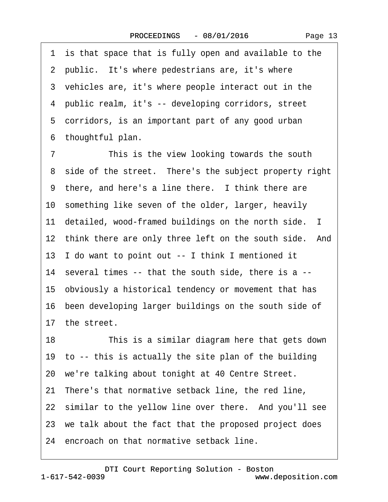1 is that space that is fully open and available to the 2 public. It's where pedestrians are, it's where 3 vehicles are, it's where people interact out in the ·4· public realm, it's -- developing corridors, street 5 corridors, is an important part of any good urban ·6· thoughtful plan.

7 This is the view looking towards the south 8 side of the street. There's the subject property right 9 there, and here's a line there. I think there are 10 something like seven of the older, larger, heavily 11 detailed, wood-framed buildings on the north side. I 12 think there are only three left on the south side. And 13· I do want to point out -- I think I mentioned it 14· several times -- that the south side, there is a -- 15· obviously a historical tendency or movement that has 16· been developing larger buildings on the south side of 17 the street. 18 This is a similar diagram here that gets down 19 to -- this is actually the site plan of the building 20 we're talking about tonight at 40 Centre Street. 21 There's that normative setback line, the red line, 22 similar to the yellow line over there. And you'll see 23 we talk about the fact that the proposed project does 24 encroach on that normative setback line.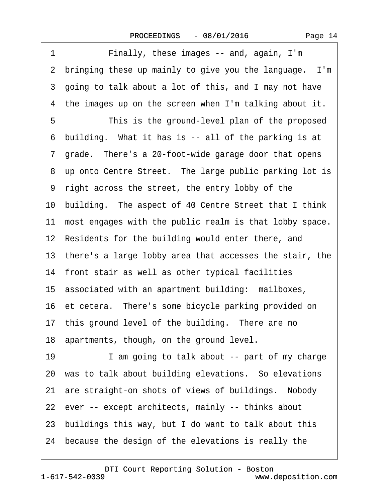1 Finally, these images -- and, again, I'm 2 bringing these up mainly to give you the language. I'm 3 going to talk about a lot of this, and I may not have 4 the images up on the screen when I'm talking about it. 5 This is the ground-level plan of the proposed ·6· building.· What it has is -- all of the parking is at 7 grade. There's a 20-foot-wide garage door that opens 8 up onto Centre Street. The large public parking lot is ·9· right across the street, the entry lobby of the 10· building.· The aspect of 40 Centre Street that I think 11 most engages with the public realm is that lobby space. 12 Residents for the building would enter there, and 13· there's a large lobby area that accesses the stair, the 14 front stair as well as other typical facilities 15 associated with an apartment building: mailboxes, 16 et cetera. There's some bicycle parking provided on 17 this ground level of the building. There are no 18 apartments, though, on the ground level. 19 I am going to talk about -- part of my charge 20 was to talk about building elevations. So elevations 21 are straight-on shots of views of buildings. Nobody 22 ever -- except architects, mainly -- thinks about 23· buildings this way, but I do want to talk about this 24· because the design of the elevations is really the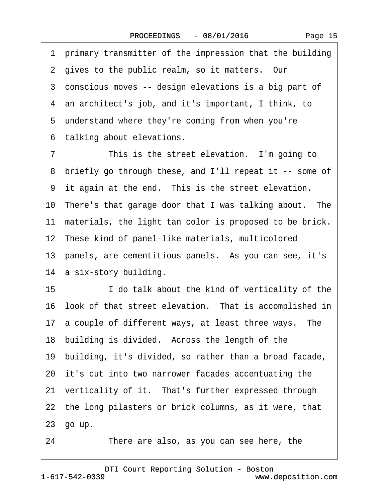·1· primary transmitter of the impression that the building 2 gives to the public realm, so it matters. Our 3 conscious moves -- design elevations is a big part of ·4· an architect's job, and it's important, I think, to 5 understand where they're coming from when you're 6 talking about elevations. 7 This is the street elevation. I'm going to ·8· briefly go through these, and I'll repeat it -- some of 9 it again at the end. This is the street elevation. 10 There's that garage door that I was talking about. The 11 materials, the light tan color is proposed to be brick. 12 These kind of panel-like materials, multicolored 13 panels, are cementitious panels. As you can see, it's 14 a six-story building. 15 **I** do talk about the kind of verticality of the 16 look of that street elevation. That is accomplished in 17 a couple of different ways, at least three ways. The 18 building is divided. Across the length of the 19· building, it's divided, so rather than a broad facade, 20· it's cut into two narrower facades accentuating the 21 verticality of it. That's further expressed through 22 the long pilasters or brick columns, as it were, that 23· go up.

24 There are also, as you can see here, the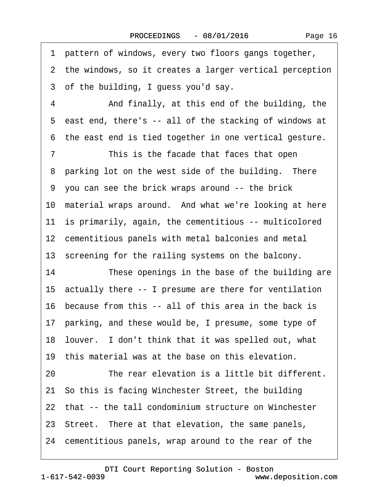Page 16

·1· pattern of windows, every two floors gangs together, 2 the windows, so it creates a larger vertical perception 3 of the building, I guess you'd say. 4 • • And finally, at this end of the building, the ·5· east end, there's -- all of the stacking of windows at ·6· the east end is tied together in one vertical gesture. 7 This is the facade that faces that open 8 parking lot on the west side of the building. There ·9· you can see the brick wraps around -- the brick 10 material wraps around. And what we're looking at here 11 is primarily, again, the cementitious -- multicolored 12 cementitious panels with metal balconies and metal 13 screening for the railing systems on the balcony. 14 These openings in the base of the building are 15· actually there -- I presume are there for ventilation 16· because from this -- all of this area in the back is 17 parking, and these would be, I presume, some type of 18 louver. I don't think that it was spelled out, what 19 this material was at the base on this elevation. 20 The rear elevation is a little bit different. 21· So this is facing Winchester Street, the building 22 that -- the tall condominium structure on Winchester 23 Street. There at that elevation, the same panels, 24· cementitious panels, wrap around to the rear of the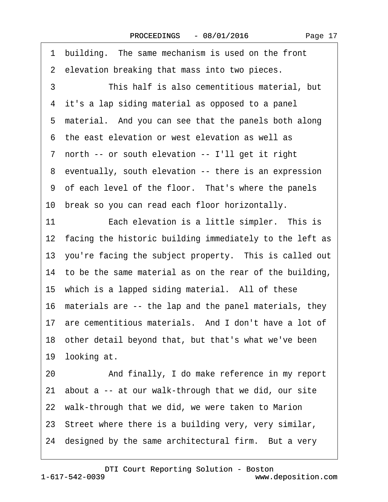1 building. The same mechanism is used on the front 2 elevation breaking that mass into two pieces. 3 This half is also cementitious material, but 4 it's a lap siding material as opposed to a panel 5 material. And you can see that the panels both along ·6· the east elevation or west elevation as well as ·7· north -- or south elevation -- I'll get it right ·8· eventually, south elevation -- there is an expression 9 of each level of the floor. That's where the panels 10 break so you can read each floor horizontally. 11 **Each elevation is a little simpler.** This is 12 facing the historic building immediately to the left as 13 you're facing the subject property. This is called out 14 to be the same material as on the rear of the building, 15 which is a lapped siding material. All of these 16 materials are -- the lap and the panel materials, they 17 are cementitious materials. And I don't have a lot of 18· other detail beyond that, but that's what we've been 19 looking at. 20 • And finally, I do make reference in my report 21· about a -- at our walk-through that we did, our site 22 walk-through that we did, we were taken to Marion 23· Street where there is a building very, very similar,

24 designed by the same architectural firm. But a very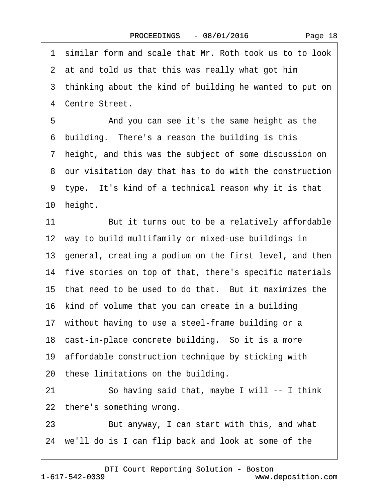·1· similar form and scale that Mr. Roth took us to to look 2 at and told us that this was really what got him 3 thinking about the kind of building he wanted to put on 4 Centre Street. 5 • • And you can see it's the same height as the 6 building. There's a reason the building is this ·7· height, and this was the subject of some discussion on ·8· our visitation day that has to do with the construction 9 type. It's kind of a technical reason why it is that 10 height. 11 But it turns out to be a relatively affordable 12 way to build multifamily or mixed-use buildings in 13· general, creating a podium on the first level, and then 14 five stories on top of that, there's specific materials 15 that need to be used to do that. But it maximizes the 16 kind of volume that you can create in a building 17 without having to use a steel-frame building or a 18 cast-in-place concrete building. So it is a more 19· affordable construction technique by sticking with 20 these limitations on the building. 21 So having said that, maybe I will -- I think 22 there's something wrong. 23 But anyway, I can start with this, and what 24· we'll do is I can flip back and look at some of the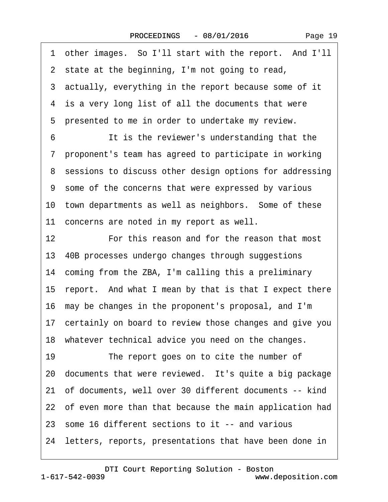·1· other images.· So I'll start with the report.· And I'll 2 state at the beginning, I'm not going to read, 3 actually, everything in the report because some of it 4 is a very long list of all the documents that were 5 presented to me in order to undertake my review. 6 **It is the reviewer's understanding that the** ·7· proponent's team has agreed to participate in working 8 sessions to discuss other design options for addressing ·9· some of the concerns that were expressed by various 10 town departments as well as neighbors. Some of these 11 concerns are noted in my report as well. 12· · · · · ·For this reason and for the reason that most 13· 40B processes undergo changes through suggestions 14 coming from the ZBA, I'm calling this a preliminary 15· report.· And what I mean by that is that I expect there 16· may be changes in the proponent's proposal, and I'm 17 certainly on board to review those changes and give you 18· whatever technical advice you need on the changes. 19 The report goes on to cite the number of 20 documents that were reviewed. It's quite a big package 21· of documents, well over 30 different documents -- kind 22 of even more than that because the main application had 23· some 16 different sections to it -- and various 24· letters, reports, presentations that have been done in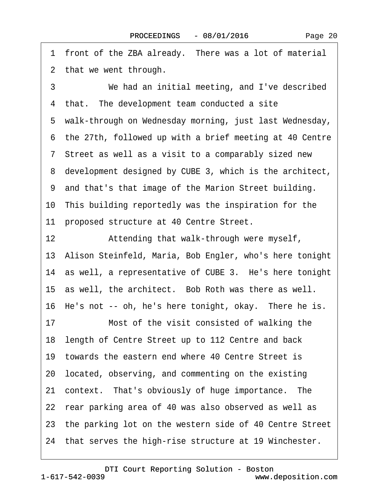1 front of the ZBA already. There was a lot of material 2 that we went through. 3 We had an initial meeting, and I've described 4 that. The development team conducted a site 5 walk-through on Wednesday morning, just last Wednesday, ·6· the 27th, followed up with a brief meeting at 40 Centre ·7· Street as well as a visit to a comparably sized new 8 development designed by CUBE 3, which is the architect, ·9· and that's that image of the Marion Street building. 10· This building reportedly was the inspiration for the 11 proposed structure at 40 Centre Street. 12 • Attending that walk-through were myself, 13· Alison Steinfeld, Maria, Bob Engler, who's here tonight 14 as well, a representative of CUBE 3. He's here tonight 15 as well, the architect. Bob Roth was there as well. 16 He's not -- oh, he's here tonight, okay. There he is. 17 Most of the visit consisted of walking the 18· length of Centre Street up to 112 Centre and back 19· towards the eastern end where 40 Centre Street is 20· located, observing, and commenting on the existing 21 context. That's obviously of huge importance. The 22 rear parking area of 40 was also observed as well as 23· the parking lot on the western side of 40 Centre Street 24· that serves the high-rise structure at 19 Winchester.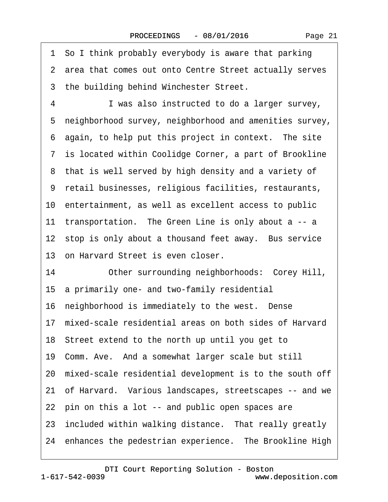|  | Page 21 |
|--|---------|
|--|---------|

|    | 1 So I think probably everybody is aware that parking      |  |
|----|------------------------------------------------------------|--|
|    | 2 area that comes out onto Centre Street actually serves   |  |
|    | 3 the building behind Winchester Street.                   |  |
| 4  | I was also instructed to do a larger survey,               |  |
|    | 5 neighborhood survey, neighborhood and amenities survey,  |  |
|    | 6 again, to help put this project in context. The site     |  |
|    | 7 is located within Coolidge Corner, a part of Brookline   |  |
|    | 8 that is well served by high density and a variety of     |  |
|    | 9 retail businesses, religious facilities, restaurants,    |  |
|    | 10 entertainment, as well as excellent access to public    |  |
|    | 11 transportation. The Green Line is only about a -- a     |  |
|    | 12 stop is only about a thousand feet away. Bus service    |  |
|    | 13 on Harvard Street is even closer.                       |  |
| 14 | Other surrounding neighborhoods: Corey Hill,               |  |
|    | 15 a primarily one- and two-family residential             |  |
|    | 16 neighborhood is immediately to the west. Dense          |  |
|    | 17 mixed-scale residential areas on both sides of Harvard  |  |
|    | 18 Street extend to the north up until you get to          |  |
|    | 19 Comm. Ave. And a somewhat larger scale but still        |  |
|    | 20 mixed-scale residential development is to the south off |  |
|    | 21 of Harvard. Various landscapes, streetscapes -- and we  |  |
|    | 22 pin on this a lot -- and public open spaces are         |  |
|    | 23 included within walking distance. That really greatly   |  |
|    | 24 enhances the pedestrian experience. The Brookline High  |  |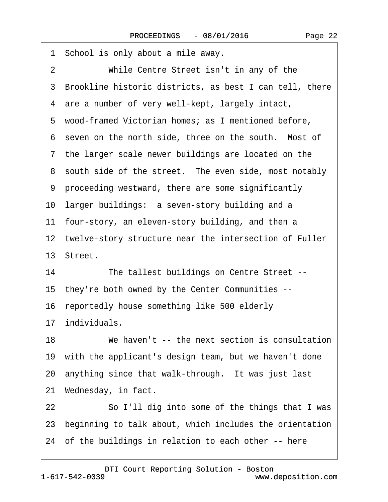| 1 School is only about a mile away.                        |
|------------------------------------------------------------|
| While Centre Street isn't in any of the<br>2               |
| 3 Brookline historic districts, as best I can tell, there  |
| 4 are a number of very well-kept, largely intact,          |
| 5 wood-framed Victorian homes; as I mentioned before,      |
| 6 seven on the north side, three on the south. Most of     |
| 7 the larger scale newer buildings are located on the      |
| 8 south side of the street. The even side, most notably    |
| 9 proceeding westward, there are some significantly        |
| 10 larger buildings: a seven-story building and a          |
| 11 four-story, an eleven-story building, and then a        |
| 12 twelve-story structure near the intersection of Fuller  |
| 13 Street.                                                 |
| The tallest buildings on Centre Street --<br>14            |
| 15 they're both owned by the Center Communities --         |
| 16 reportedly house something like 500 elderly             |
| 17 individuals.                                            |
| 18<br>We haven't -- the next section is consultation       |
| 19 with the applicant's design team, but we haven't done   |
| 20 anything since that walk-through. It was just last      |
| 21 Wednesday, in fact.                                     |
| So I'll dig into some of the things that I was<br>22       |
| 23 beginning to talk about, which includes the orientation |
| 24 of the buildings in relation to each other -- here      |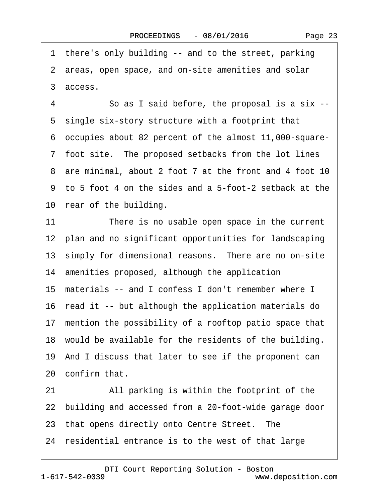Page 23

·2· areas, open space, and on-site amenities and solar ·3· access. ·4· · · · · ·So as I said before, the proposal is a six -- 5 single six-story structure with a footprint that ·6· occupies about 82 percent of the almost 11,000-square- 7 foot site. The proposed setbacks from the lot lines 8 are minimal, about 2 foot 7 at the front and 4 foot 10 ·9· to 5 foot 4 on the sides and a 5-foot-2 setback at the 10 rear of the building. 11 There is no usable open space in the current 12 plan and no significant opportunities for landscaping 13 simply for dimensional reasons. There are no on-site 14 amenities proposed, although the application 15 materials -- and I confess I don't remember where I 16 read it -- but although the application materials do 17 mention the possibility of a rooftop patio space that 18 would be available for the residents of the building. 19· And I discuss that later to see if the proponent can 20· confirm that. 21 All parking is within the footprint of the 22· building and accessed from a 20-foot-wide garage door 23 that opens directly onto Centre Street. The 24 residential entrance is to the west of that large

1 there's only building -- and to the street, parking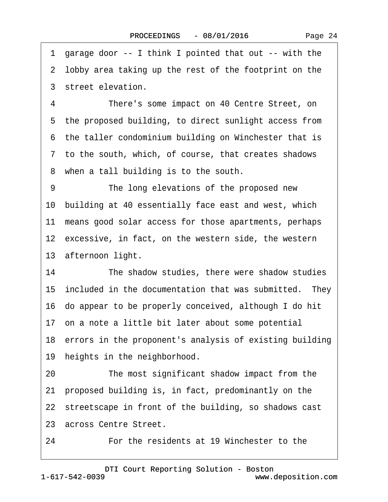·1· garage door -- I think I pointed that out -- with the 2 lobby area taking up the rest of the footprint on the ·3· street elevation. 4 There's some impact on 40 Centre Street, on 5 the proposed building, to direct sunlight access from 6 the taller condominium building on Winchester that is ·7· to the south, which, of course, that creates shadows 8 when a tall building is to the south. 9 The long elevations of the proposed new 10· building at 40 essentially face east and west, which 11 means good solar access for those apartments, perhaps 12 excessive, in fact, on the western side, the western 13 afternoon light. 14 The shadow studies, there were shadow studies 15 included in the documentation that was submitted. They 16· do appear to be properly conceived, although I do hit 17· on a note a little bit later about some potential 18 errors in the proponent's analysis of existing building 19 heights in the neighborhood. 20 The most significant shadow impact from the 21· proposed building is, in fact, predominantly on the 22 streetscape in front of the building, so shadows cast 23 across Centre Street.

24 **• • For the residents at 19 Winchester to the** 

1-617-542-0039 [DTI Court Reporting Solution - Boston](http://www.deposition.com) www.deposition.com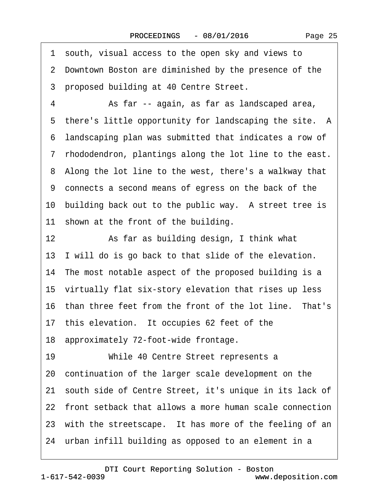·1· south, visual access to the open sky and views to ·2· Downtown Boston are diminished by the presence of the 3 proposed building at 40 Centre Street. 4 • • As far -- again, as far as landscaped area, 5 there's little opportunity for landscaping the site. A ·6· landscaping plan was submitted that indicates a row of ·7· rhododendron, plantings along the lot line to the east. 8 Along the lot line to the west, there's a walkway that ·9· connects a second means of egress on the back of the 10 building back out to the public way. A street tree is 11 shown at the front of the building. 12 **8. • As far as building design, I think what** 13 I will do is go back to that slide of the elevation. 14 The most notable aspect of the proposed building is a 15 virtually flat six-story elevation that rises up less 16 than three feet from the front of the lot line. That's 17 this elevation. It occupies 62 feet of the 18· approximately 72-foot-wide frontage. 19 • • • While 40 Centre Street represents a 20· continuation of the larger scale development on the 21 south side of Centre Street, it's unique in its lack of 22· front setback that allows a more human scale connection 23 with the streetscape. It has more of the feeling of an 24 urban infill building as opposed to an element in a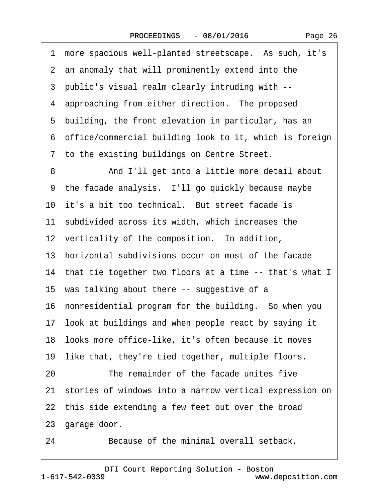|  | Page 26 |  |
|--|---------|--|
|--|---------|--|

| 1  | more spacious well-planted streetscape. As such, it's      |
|----|------------------------------------------------------------|
|    | 2 an anomaly that will prominently extend into the         |
|    | 3 public's visual realm clearly intruding with --          |
|    | 4 approaching from either direction. The proposed          |
| 5  | building, the front elevation in particular, has an        |
|    | 6 office/commercial building look to it, which is foreign  |
|    | 7 to the existing buildings on Centre Street.              |
| 8  | And I'll get into a little more detail about               |
|    | 9 the facade analysis. I'll go quickly because maybe       |
|    | 10 it's a bit too technical. But street facade is          |
|    | 11 subdivided across its width, which increases the        |
|    | 12 verticality of the composition. In addition,            |
|    | 13 horizontal subdivisions occur on most of the facade     |
|    | 14 that tie together two floors at a time -- that's what I |
|    | 15 was talking about there -- suggestive of a              |
|    | 16 nonresidential program for the building. So when you    |
|    | 17 look at buildings and when people react by saying it    |
|    | 18 looks more office-like, it's often because it moves     |
|    | 19 like that, they're tied together, multiple floors.      |
| 20 | The remainder of the facade unites five                    |
|    | 21 stories of windows into a narrow vertical expression on |
|    | 22 this side extending a few feet out over the broad       |
|    | 23 garage door.                                            |
|    |                                                            |

24 Because of the minimal overall setback,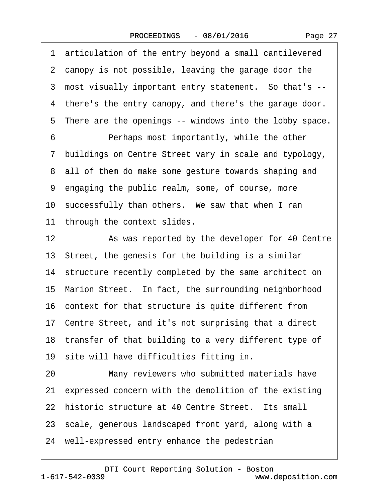Page 27

1 articulation of the entry beyond a small cantilevered 2 canopy is not possible, leaving the garage door the ·3· most visually important entry statement.· So that's -- 4 there's the entry canopy, and there's the garage door. 5 There are the openings -- windows into the lobby space. 6 • • Perhaps most importantly, while the other ·7· buildings on Centre Street vary in scale and typology, 8 all of them do make some gesture towards shaping and ·9· engaging the public realm, some, of course, more 10 successfully than others. We saw that when I ran 11 through the context slides. 12 • As was reported by the developer for 40 Centre 13· Street, the genesis for the building is a similar 14 structure recently completed by the same architect on 15· Marion Street.· In fact, the surrounding neighborhood 16· context for that structure is quite different from 17· Centre Street, and it's not surprising that a direct 18 transfer of that building to a very different type of 19 site will have difficulties fitting in. 20 Many reviewers who submitted materials have 21 expressed concern with the demolition of the existing 22 historic structure at 40 Centre Street. Its small 23 scale, generous landscaped front yard, along with a 24 well-expressed entry enhance the pedestrian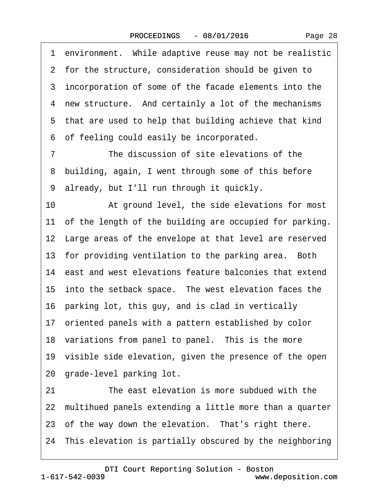1 environment. While adaptive reuse may not be realistic 2 for the structure, consideration should be given to 3 incorporation of some of the facade elements into the 4 new structure. And certainly a lot of the mechanisms 5 that are used to help that building achieve that kind ·6· of feeling could easily be incorporated. 7 The discussion of site elevations of the 8 building, again, I went through some of this before ·9· already, but I'll run through it quickly. 10 • At ground level, the side elevations for most 11 of the length of the building are occupied for parking. 12 Large areas of the envelope at that level are reserved 13 for providing ventilation to the parking area. Both 14 east and west elevations feature balconies that extend 15 into the setback space. The west elevation faces the 16· parking lot, this guy, and is clad in vertically 17 oriented panels with a pattern established by color 18 variations from panel to panel. This is the more 19 visible side elevation, given the presence of the open 20· grade-level parking lot. 21 The east elevation is more subdued with the 22· multihued panels extending a little more than a quarter 23 of the way down the elevation. That's right there. 24· This elevation is partially obscured by the neighboring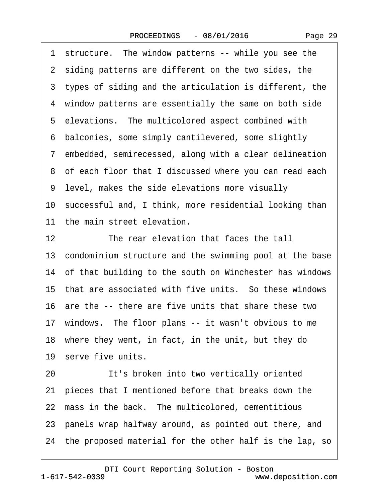| Page 29 |  |
|---------|--|
|---------|--|

|    | 1 structure. The window patterns -- while you see the      |
|----|------------------------------------------------------------|
|    | 2 siding patterns are different on the two sides, the      |
|    | 3 types of siding and the articulation is different, the   |
|    | 4 window patterns are essentially the same on both side    |
|    | 5 elevations. The multicolored aspect combined with        |
|    | 6 balconies, some simply cantilevered, some slightly       |
|    | 7 embedded, semirecessed, along with a clear delineation   |
|    | 8 of each floor that I discussed where you can read each   |
|    | 9 level, makes the side elevations more visually           |
|    | 10 successful and, I think, more residential looking than  |
|    | 11 the main street elevation.                              |
| 12 | The rear elevation that faces the tall                     |
|    | 13 condominium structure and the swimming pool at the base |
|    | 14 of that building to the south on Winchester has windows |
|    | 15 that are associated with five units. So these windows   |
|    | 16 are the -- there are five units that share these two    |
|    | 17 windows. The floor plans -- it wasn't obvious to me     |
|    | 18 where they went, in fact, in the unit, but they do      |
|    | 19 serve five units.                                       |
| 20 | It's broken into two vertically oriented                   |
| 21 | pieces that I mentioned before that breaks down the        |
|    | 22 mass in the back. The multicolored, cementitious        |
|    | 23 panels wrap halfway around, as pointed out there, and   |
|    | 24 the proposed material for the other half is the lap, so |
|    |                                                            |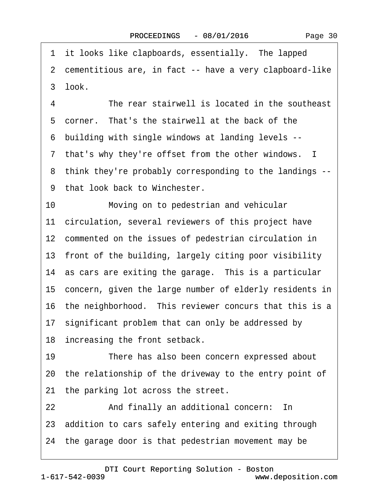1 it looks like clapboards, essentially. The lapped ·2· cementitious are, in fact -- have a very clapboard-like 3 look. 4 The rear stairwell is located in the southeast 5 corner. That's the stairwell at the back of the ·6· building with single windows at landing levels -- 7 that's why they're offset from the other windows. I ·8· think they're probably corresponding to the landings -- 9 that look back to Winchester. 10 Moving on to pedestrian and vehicular 11 circulation, several reviewers of this project have 12 commented on the issues of pedestrian circulation in 13 front of the building, largely citing poor visibility 14 as cars are exiting the garage. This is a particular 15 concern, given the large number of elderly residents in 16 the neighborhood. This reviewer concurs that this is a 17 significant problem that can only be addressed by 18 increasing the front setback. 19 There has also been concern expressed about 20· the relationship of the driveway to the entry point of 21 the parking lot across the street. 22 And finally an additional concern: In 23 addition to cars safely entering and exiting through 24· the garage door is that pedestrian movement may be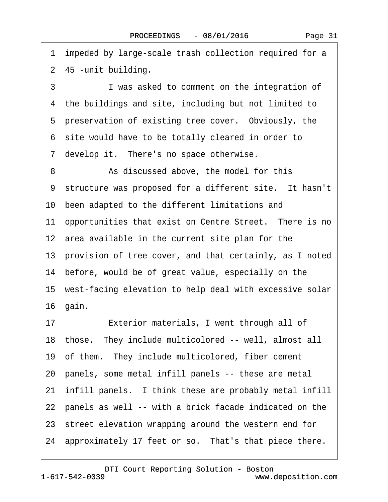3 I was asked to comment on the integration of 4 the buildings and site, including but not limited to 5 preservation of existing tree cover. Obviously, the ·6· site would have to be totally cleared in order to 7 develop it. There's no space otherwise. 8 **8** As discussed above, the model for this 9 structure was proposed for a different site. It hasn't 10 been adapted to the different limitations and 11 opportunities that exist on Centre Street. There is no 12 area available in the current site plan for the 13· provision of tree cover, and that certainly, as I noted 14 before, would be of great value, especially on the 15· west-facing elevation to help deal with excessive solar 16· gain. 17 **Exterior materials, I went through all of** 18 those. They include multicolored -- well, almost all 19 of them. They include multicolored, fiber cement 20· panels, some metal infill panels -- these are metal 21· infill panels.· I think these are probably metal infill 22 panels as well -- with a brick facade indicated on the

1 impeded by large-scale trash collection required for a

2 45 - unit building.

- 23 street elevation wrapping around the western end for
- 24 approximately 17 feet or so. That's that piece there.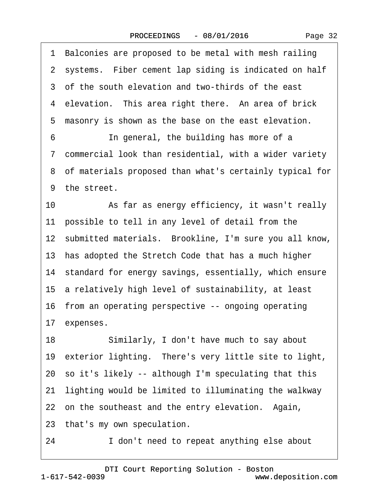| 1 Balconies are proposed to be metal with mesh railing      |
|-------------------------------------------------------------|
| 2 systems. Fiber cement lap siding is indicated on half     |
| 3 of the south elevation and two-thirds of the east         |
| 4 elevation. This area right there. An area of brick        |
| 5<br>masonry is shown as the base on the east elevation.    |
| In general, the building has more of a<br>6                 |
| 7 commercial look than residential, with a wider variety    |
| 8 of materials proposed than what's certainly typical for   |
| 9 the street.                                               |
| 10<br>As far as energy efficiency, it wasn't really         |
| 11 possible to tell in any level of detail from the         |
| 12 submitted materials. Brookline, I'm sure you all know,   |
| 13 has adopted the Stretch Code that has a much higher      |
| 14 standard for energy savings, essentially, which ensure   |
| 15 a relatively high level of sustainability, at least      |
| 16 from an operating perspective -- ongoing operating       |
| 17 expenses.                                                |
| 18<br>Similarly, I don't have much to say about             |
| 19 exterior lighting. There's very little site to light,    |
| 20 so it's likely -- although I'm speculating that this     |
| lighting would be limited to illuminating the walkway<br>21 |
| 22 on the southeast and the entry elevation. Again,         |
| 23 that's my own speculation.                               |
|                                                             |

24 I don't need to repeat anything else about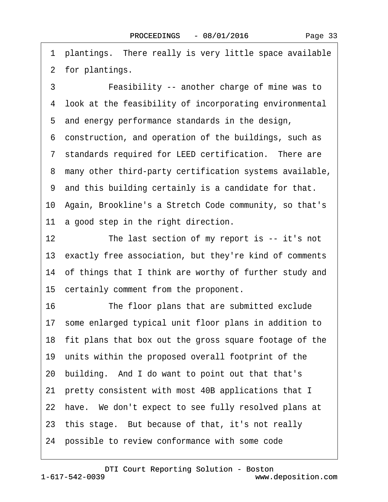1 plantings. There really is very little space available 2 for plantings.

3 **• • Feasibility -- another charge of mine was to** 4 look at the feasibility of incorporating environmental 5 and energy performance standards in the design, ·6· construction, and operation of the buildings, such as 7 standards required for LEED certification. There are ·8· many other third-party certification systems available, ·9· and this building certainly is a candidate for that. 10· Again, Brookline's a Stretch Code community, so that's 11 a good step in the right direction. 12 The last section of my report is -- it's not 16 The floor plans that are submitted exclude 17· some enlarged typical unit floor plans in addition to 18· fit plans that box out the gross square footage of the 19· units within the proposed overall footprint of the 20· building.· And I do want to point out that that's 21· pretty consistent with most 40B applications that I 22 have. We don't expect to see fully resolved plans at 23· this stage.· But because of that, it's not really 24 possible to review conformance with some code

[DTI Court Reporting Solution - Boston](http://www.deposition.com)

13 exactly free association, but they're kind of comments

14 of things that I think are worthy of further study and

15 certainly comment from the proponent.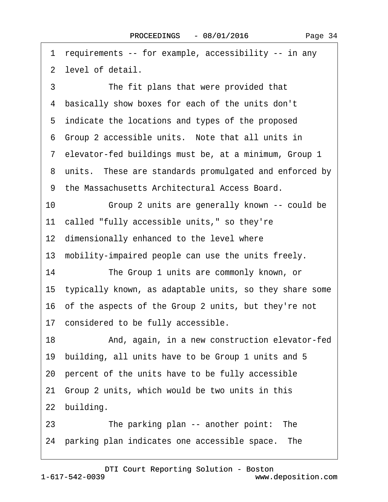·1· requirements -- for example, accessibility -- in any ·2· level of detail. 3 The fit plans that were provided that 4 basically show boxes for each of the units don't 5 indicate the locations and types of the proposed 6 Group 2 accessible units. Note that all units in ·7· elevator-fed buildings must be, at a minimum, Group 1 8 units. These are standards promulgated and enforced by ·9· the Massachusetts Architectural Access Board. 10 • • • Group 2 units are generally known -- could be 11 called "fully accessible units," so they're 12 dimensionally enhanced to the level where 13 mobility-impaired people can use the units freely. 14 The Group 1 units are commonly known, or 15· typically known, as adaptable units, so they share some 16· of the aspects of the Group 2 units, but they're not 17 considered to be fully accessible. 18 • **And, again, in a new construction elevator-fed** 19· building, all units have to be Group 1 units and 5 20· percent of the units have to be fully accessible 21· Group 2 units, which would be two units in this 22 building. 23 The parking plan -- another point: The 24 parking plan indicates one accessible space. The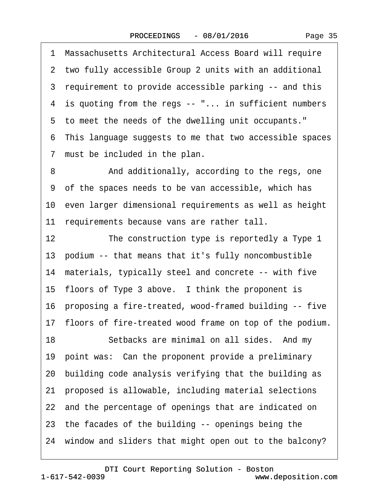·1· Massachusetts Architectural Access Board will require

2 two fully accessible Group 2 units with an additional ·3· requirement to provide accessible parking -- and this 4 is quoting from the regs -- "... in sufficient numbers 5 to meet the needs of the dwelling unit occupants." ·6· This language suggests to me that two accessible spaces 7 must be included in the plan. 8 • **And additionally, according to the regs, one** ·9· of the spaces needs to be van accessible, which has 10· even larger dimensional requirements as well as height 11 requirements because vans are rather tall. 12 The construction type is reportedly a Type 1 13· podium -- that means that it's fully noncombustible 14 materials, typically steel and concrete -- with five 15 floors of Type 3 above. I think the proponent is 16· proposing a fire-treated, wood-framed building -- five 17· floors of fire-treated wood frame on top of the podium. 18 Setbacks are minimal on all sides. And my 19 point was: Can the proponent provide a preliminary 20· building code analysis verifying that the building as 21· proposed is allowable, including material selections 22 and the percentage of openings that are indicated on 23· the facades of the building -- openings being the 24· window and sliders that might open out to the balcony?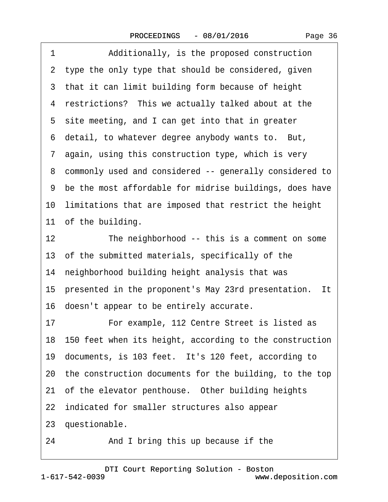| 1<br>Additionally, is the proposed construction                  |
|------------------------------------------------------------------|
| 2 type the only type that should be considered, given            |
| 3 that it can limit building form because of height              |
| 4 restrictions? This we actually talked about at the             |
| 5 site meeting, and I can get into that in greater               |
| 6 detail, to whatever degree anybody wants to. But,              |
| 7 again, using this construction type, which is very             |
| 8 commonly used and considered -- generally considered to        |
| 9 be the most affordable for midrise buildings, does have        |
| 10 limitations that are imposed that restrict the height         |
| 11 of the building.                                              |
| The neighborhood -- this is a comment on some<br>12 <sub>2</sub> |
| 13 of the submitted materials, specifically of the               |
| 14 neighborhood building height analysis that was                |
| 15 presented in the proponent's May 23rd presentation. It        |
| 16 doesn't appear to be entirely accurate.                       |
| For example, 112 Centre Street is listed as<br>17                |
| 18 150 feet when its height, according to the construction       |
| 19 documents, is 103 feet. It's 120 feet, according to           |
| 20 the construction documents for the building, to the top       |
| 21 of the elevator penthouse. Other building heights             |
| 22 indicated for smaller structures also appear                  |
| 23 questionable.                                                 |
| 24<br>And I bring this up because if the                         |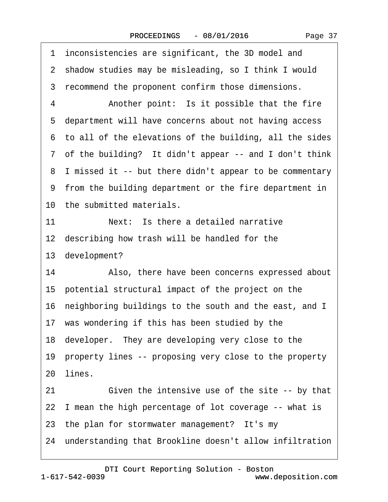| Page 37 |  |
|---------|--|
|---------|--|

|    | 1 inconsistencies are significant, the 3D model and        |
|----|------------------------------------------------------------|
|    | 2 shadow studies may be misleading, so I think I would     |
|    | 3 recommend the proponent confirm those dimensions.        |
| 4  | Another point: Is it possible that the fire                |
|    | 5 department will have concerns about not having access    |
|    | 6 to all of the elevations of the building, all the sides  |
|    | 7 of the building? It didn't appear -- and I don't think   |
|    | 8 I missed it -- but there didn't appear to be commentary  |
|    | 9 from the building department or the fire department in   |
|    | 10 the submitted materials.                                |
| 11 | Next: Is there a detailed narrative                        |
|    | 12 describing how trash will be handled for the            |
|    | 13 development?                                            |
| 14 | Also, there have been concerns expressed about             |
|    | 15 potential structural impact of the project on the       |
|    | 16 neighboring buildings to the south and the east, and I  |
|    | 17 was wondering if this has been studied by the           |
|    | 18 developer. They are developing very close to the        |
|    | 19 property lines -- proposing very close to the property  |
|    | 20 lines.                                                  |
| 21 | Given the intensive use of the site -- by that             |
|    | 22 I mean the high percentage of lot coverage -- what is   |
|    | 23 the plan for stormwater management? It's my             |
|    | 24 understanding that Brookline doesn't allow infiltration |
|    |                                                            |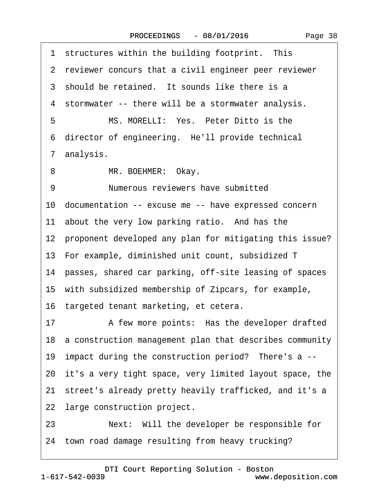| 1 structures within the building footprint. This           |
|------------------------------------------------------------|
| 2 reviewer concurs that a civil engineer peer reviewer     |
| 3 should be retained. It sounds like there is a            |
| 4 stormwater -- there will be a stormwater analysis.       |
| MS. MORELLI: Yes. Peter Ditto is the<br>5                  |
| 6 director of engineering. He'll provide technical         |
| 7 analysis.                                                |
| MR. BOEHMER: Okay.<br>8                                    |
| 9<br>Numerous reviewers have submitted                     |
| 10 documentation -- excuse me -- have expressed concern    |
| 11 about the very low parking ratio. And has the           |
| 12 proponent developed any plan for mitigating this issue? |
| 13 For example, diminished unit count, subsidized T        |
| 14 passes, shared car parking, off-site leasing of spaces  |
| 15 with subsidized membership of Zipcars, for example,     |
| 16 targeted tenant marketing, et cetera.                   |
| A few more points: Has the developer drafted<br>17         |
| 18 a construction management plan that describes community |
| 19 impact during the construction period? There's a --     |
| 20 it's a very tight space, very limited layout space, the |
| 21 street's already pretty heavily trafficked, and it's a  |
| 22 large construction project.                             |
| Next: Will the developer be responsible for<br>23          |
| 24 town road damage resulting from heavy trucking?         |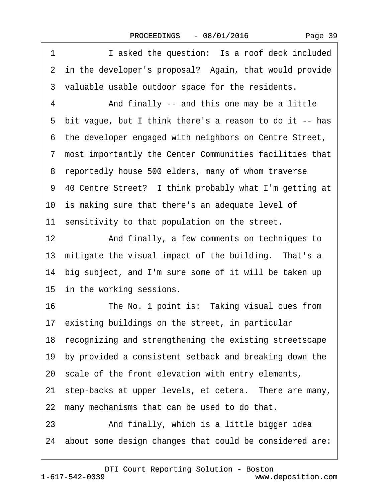1 **I** asked the question: Is a roof deck included 2 in the developer's proposal? Again, that would provide 3 valuable usable outdoor space for the residents. 4 • And finally -- and this one may be a little ·5· bit vague, but I think there's a reason to do it -- has ·6· the developer engaged with neighbors on Centre Street, ·7· most importantly the Center Communities facilities that 8 reportedly house 500 elders, many of whom traverse 9 40 Centre Street? I think probably what I'm getting at 10 is making sure that there's an adequate level of 11 sensitivity to that population on the street. 12 • And finally, a few comments on techniques to 13 mitigate the visual impact of the building. That's a 14 big subject, and I'm sure some of it will be taken up 15 in the working sessions. 16 The No. 1 point is: Taking visual cues from 17 existing buildings on the street, in particular 18· recognizing and strengthening the existing streetscape 19· by provided a consistent setback and breaking down the 20 scale of the front elevation with entry elements, 21 step-backs at upper levels, et cetera. There are many, 22 many mechanisms that can be used to do that. 23 • And finally, which is a little bigger idea 24· about some design changes that could be considered are: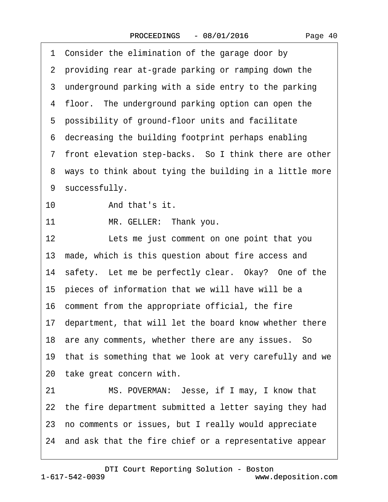1 Consider the elimination of the garage door by ·2· providing rear at-grade parking or ramping down the 3 underground parking with a side entry to the parking 4 floor. The underground parking option can open the 5 possibility of ground-floor units and facilitate ·6· decreasing the building footprint perhaps enabling 7 front elevation step-backs. So I think there are other 8 ways to think about tying the building in a little more 9 successfully. 10 And that's it. 11 MR. GELLER: Thank you. 12 Lets me just comment on one point that you 13 made, which is this question about fire access and 14 safety. Let me be perfectly clear. Okay? One of the 15 pieces of information that we will have will be a 16· comment from the appropriate official, the fire 17 department, that will let the board know whether there 18 are any comments, whether there are any issues. So 19· that is something that we look at very carefully and we 20 take great concern with. 21 MS. POVERMAN: Jesse, if I may, I know that 22 the fire department submitted a letter saying they had 23· no comments or issues, but I really would appreciate 24· and ask that the fire chief or a representative appear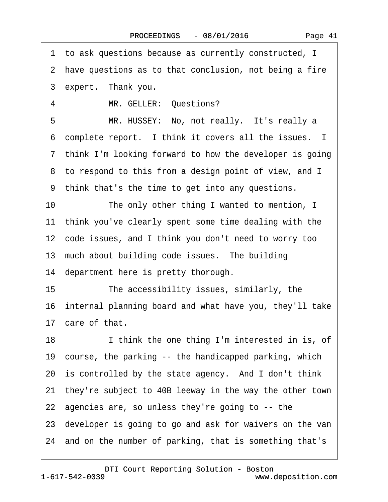·1· to ask questions because as currently constructed, I 2 have questions as to that conclusion, not being a fire 3 expert. Thank you. 4 MR. GELLER: Questions? 5 MR. HUSSEY: No, not really. It's really a 6 complete report. I think it covers all the issues. I 7 think I'm looking forward to how the developer is going 8 to respond to this from a design point of view, and I ·9· think that's the time to get into any questions. 10 The only other thing I wanted to mention, I 11 think you've clearly spent some time dealing with the 12 code issues, and I think you don't need to worry too 13 much about building code issues. The building 14 department here is pretty thorough. 15 The accessibility issues, similarly, the 16· internal planning board and what have you, they'll take 17 care of that. 18 I think the one thing I'm interested in is, of 19 course, the parking -- the handicapped parking, which 20 is controlled by the state agency. And I don't think 21· they're subject to 40B leeway in the way the other town 22· agencies are, so unless they're going to -- the 23· developer is going to go and ask for waivers on the van 24· and on the number of parking, that is something that's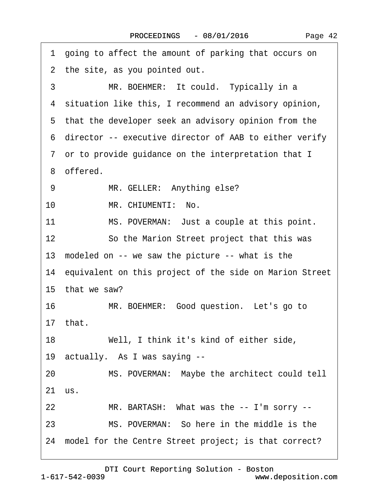|    | 1 going to affect the amount of parking that occurs on     |
|----|------------------------------------------------------------|
|    | 2 the site, as you pointed out.                            |
| 3  | MR. BOEHMER: It could. Typically in a                      |
|    | 4 situation like this, I recommend an advisory opinion,    |
|    | 5 that the developer seek an advisory opinion from the     |
|    | 6 director -- executive director of AAB to either verify   |
|    | 7 or to provide guidance on the interpretation that I      |
|    | 8 offered.                                                 |
| 9  | MR. GELLER: Anything else?                                 |
| 10 | MR. CHIUMENTI: No.                                         |
| 11 | MS. POVERMAN: Just a couple at this point.                 |
| 12 | So the Marion Street project that this was                 |
|    | 13 modeled on -- we saw the picture -- what is the         |
|    | 14 equivalent on this project of the side on Marion Street |
|    | 15 that we saw?                                            |
| 16 | MR. BOEHMER: Good question. Let's go to                    |
|    | 17 that.                                                   |
| 18 | Well, I think it's kind of either side,                    |
|    | 19 actually. As I was saying --                            |
| 20 | MS. POVERMAN: Maybe the architect could tell               |
|    | 21 us.                                                     |
| 22 | MR. BARTASH: What was the -- I'm sorry --                  |
| 23 | MS. POVERMAN: So here in the middle is the                 |
|    | 24 model for the Centre Street project; is that correct?   |
|    |                                                            |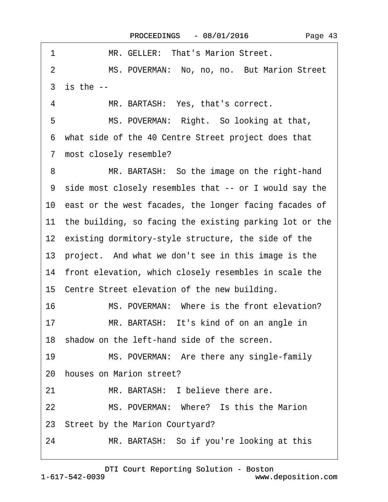| 1<br>MR. GELLER: That's Marion Street.                        |  |
|---------------------------------------------------------------|--|
| MS. POVERMAN: No, no, no. But Marion Street<br>$\overline{2}$ |  |
| $3$ is the $-$                                                |  |
| MR. BARTASH: Yes, that's correct.<br>4                        |  |
| MS. POVERMAN: Right. So looking at that,<br>5                 |  |
| 6 what side of the 40 Centre Street project does that         |  |
| 7 most closely resemble?                                      |  |
| MR. BARTASH: So the image on the right-hand<br>8              |  |
| 9 side most closely resembles that -- or I would say the      |  |
| 10 east or the west facades, the longer facing facades of     |  |
| 11 the building, so facing the existing parking lot or the    |  |
| 12 existing dormitory-style structure, the side of the        |  |
| 13 project. And what we don't see in this image is the        |  |
| 14 front elevation, which closely resembles in scale the      |  |
| 15 Centre Street elevation of the new building.               |  |
| 16<br>MS. POVERMAN: Where is the front elevation?             |  |
| MR. BARTASH: It's kind of on an angle in<br>17                |  |
| 18 shadow on the left-hand side of the screen.                |  |
| 19<br>MS. POVERMAN: Are there any single-family               |  |
| 20 houses on Marion street?                                   |  |
| MR. BARTASH: I believe there are.<br>21                       |  |
| MS. POVERMAN: Where? Is this the Marion<br>22                 |  |
| 23 Street by the Marion Courtyard?                            |  |
| MR. BARTASH: So if you're looking at this<br>24               |  |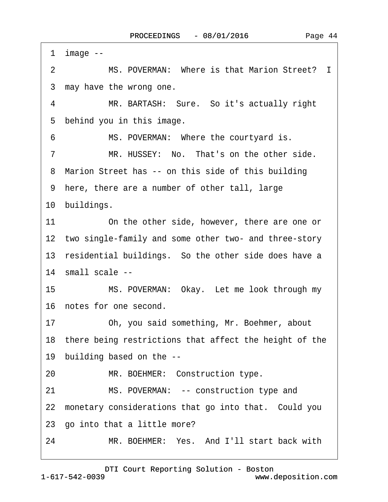1 image  $-$ 2 MS. POVERMAN: Where is that Marion Street? I 3 may have the wrong one. 4 MR. BARTASH: Sure. So it's actually right 5 behind you in this image. 6 MS. POVERMAN: Where the courtyard is. 7 MR. HUSSEY: No. That's on the other side. 8 Marion Street has -- on this side of this building ·9· here, there are a number of other tall, large 10 buildings. 11 On the other side, however, there are one or 12 two single-family and some other two- and three-story 13 residential buildings. So the other side does have a 14 small scale --15 MS. POVERMAN: Okay. Let me look through my 16 notes for one second. 17 Oh, you said something, Mr. Boehmer, about 18 there being restrictions that affect the height of the 19 building based on the --20 MR. BOEHMER: Construction type. 21 MS. POVERMAN: -- construction type and 22 monetary considerations that go into that. Could you 23 go into that a little more? 24 MR. BOEHMER: Yes. And I'll start back with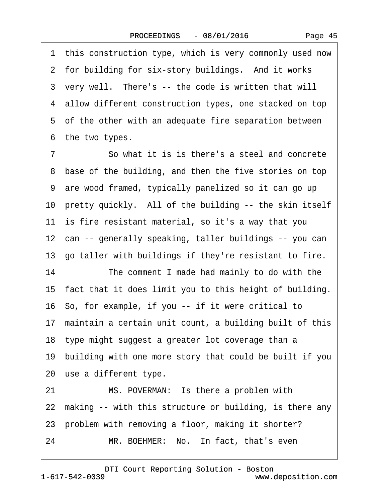1 this construction type, which is very commonly used now 2 for building for six-story buildings. And it works 3 very well. There's -- the code is written that will 4 allow different construction types, one stacked on top 5 of the other with an adequate fire separation between 6 the two types. 7 **··** So what it is is there's a steel and concrete 8 base of the building, and then the five stories on top ·9· are wood framed, typically panelized so it can go up 10 pretty quickly. All of the building -- the skin itself 11 is fire resistant material, so it's a way that you 12 can -- generally speaking, taller buildings -- you can 13· go taller with buildings if they're resistant to fire. 14 The comment I made had mainly to do with the 15· fact that it does limit you to this height of building. 16· So, for example, if you -- if it were critical to 17 maintain a certain unit count, a building built of this 18· type might suggest a greater lot coverage than a 19· building with one more story that could be built if you 20 use a different type. 21 MS. POVERMAN: Is there a problem with 22 making -- with this structure or building, is there any 23 problem with removing a floor, making it shorter?

24 MR. BOEHMER: No. In fact, that's even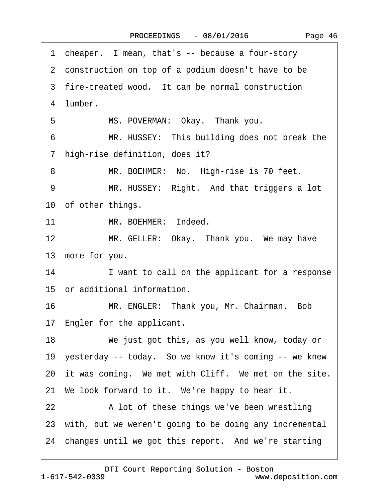| 1 cheaper. I mean, that's -- because a four-story           |
|-------------------------------------------------------------|
| 2 construction on top of a podium doesn't have to be        |
| 3 fire-treated wood. It can be normal construction          |
| 4 lumber.                                                   |
| 5<br>MS. POVERMAN: Okay. Thank you.                         |
| MR. HUSSEY: This building does not break the<br>6           |
| 7 high-rise definition, does it?                            |
| MR. BOEHMER: No. High-rise is 70 feet.<br>8                 |
| 9<br>MR. HUSSEY: Right. And that triggers a lot             |
| 10 of other things.                                         |
| 11<br>MR. BOEHMER: Indeed.                                  |
| 12 <sup>°</sup><br>MR. GELLER: Okay. Thank you. We may have |
| 13 more for you.                                            |
| 14<br>I want to call on the applicant for a response        |
| 15 or additional information.                               |
| 16<br>MR. ENGLER: Thank you, Mr. Chairman. Bob              |
| 17 Engler for the applicant.                                |
| 18<br>We just got this, as you well know, today or          |
| 19 yesterday -- today. So we know it's coming -- we knew    |
| 20 it was coming. We met with Cliff. We met on the site.    |
| 21 We look forward to it. We're happy to hear it.           |
| 22<br>A lot of these things we've been wrestling            |
| 23 with, but we weren't going to be doing any incremental   |
| 24 changes until we got this report. And we're starting     |
|                                                             |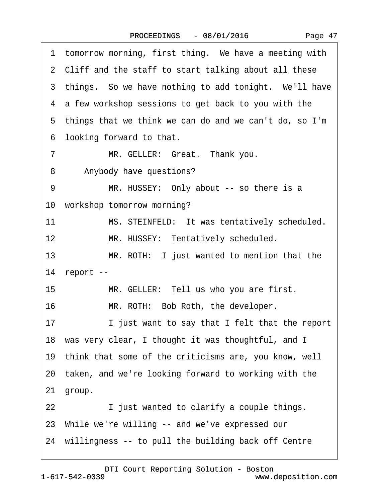| tomorrow morning, first thing. We have a meeting with<br>1 |
|------------------------------------------------------------|
| 2 Cliff and the staff to start talking about all these     |
| 3 things. So we have nothing to add tonight. We'll have    |
| 4 a few workshop sessions to get back to you with the      |
| 5 things that we think we can do and we can't do, so I'm   |
| 6 looking forward to that.                                 |
| MR. GELLER: Great. Thank you.<br>7                         |
| 8<br>Anybody have questions?                               |
| 9<br>MR. HUSSEY: Only about -- so there is a               |
| 10 workshop tomorrow morning?                              |
| 11<br>MS. STEINFELD: It was tentatively scheduled.         |
| 12<br>MR. HUSSEY: Tentatively scheduled.                   |
| 13<br>MR. ROTH: I just wanted to mention that the          |
| 14 report --                                               |
| 15<br>MR. GELLER: Tell us who you are first.               |
| 16<br>MR. ROTH: Bob Roth, the developer.                   |
| 17<br>I just want to say that I felt that the report       |
| 18 was very clear, I thought it was thoughtful, and I      |
| 19 think that some of the criticisms are, you know, well   |
| 20 taken, and we're looking forward to working with the    |
| group.<br>21                                               |
| I just wanted to clarify a couple things.<br>22            |
| 23 While we're willing -- and we've expressed our          |
| 24 willingness -- to pull the building back off Centre     |

 $\Gamma$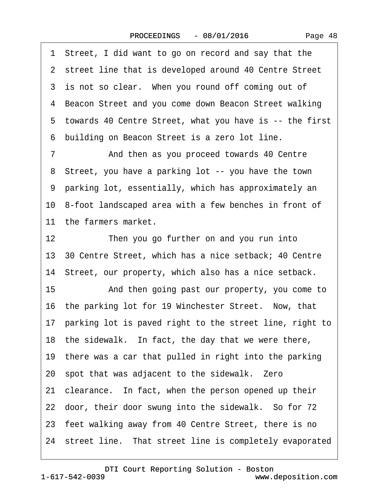Page 48

1 Street, I did want to go on record and say that the 2 street line that is developed around 40 Centre Street 3 is not so clear. When you round off coming out of 4 Beacon Street and you come down Beacon Street walking ·5· towards 40 Centre Street, what you have is -- the first ·6· building on Beacon Street is a zero lot line. 7 • And then as you proceed towards 40 Centre 8 Street, you have a parking lot -- you have the town ·9· parking lot, essentially, which has approximately an 10· 8-foot landscaped area with a few benches in front of 11 the farmers market. 12 Then you go further on and you run into

13· 30 Centre Street, which has a nice setback; 40 Centre 14 Street, our property, which also has a nice setback.

15 • And then going past our property, you come to 16 the parking lot for 19 Winchester Street. Now, that 17 parking lot is paved right to the street line, right to 18 the sidewalk. In fact, the day that we were there, 19 there was a car that pulled in right into the parking 20· spot that was adjacent to the sidewalk.· Zero 21 clearance. In fact, when the person opened up their 22 door, their door swung into the sidewalk. So for 72 23 feet walking away from 40 Centre Street, there is no 24 street line. That street line is completely evaporated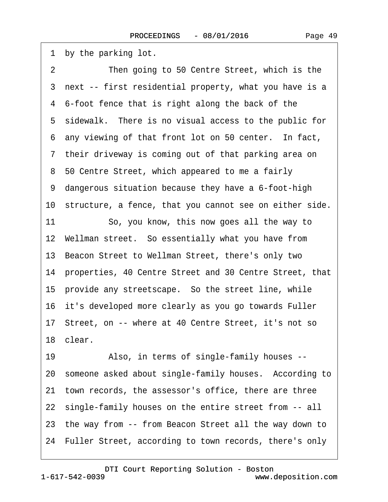1 by the parking lot.

2 Then going to 50 Centre Street, which is the 3 next -- first residential property, what you have is a 4 6-foot fence that is right along the back of the 5 sidewalk. There is no visual access to the public for 6 any viewing of that front lot on 50 center. In fact, 7 their driveway is coming out of that parking area on 8 50 Centre Street, which appeared to me a fairly ·9· dangerous situation because they have a 6-foot-high 10· structure, a fence, that you cannot see on either side. 11 So, you know, this now goes all the way to 12· Wellman street.· So essentially what you have from 13· Beacon Street to Wellman Street, there's only two 14 properties, 40 Centre Street and 30 Centre Street, that 15 provide any streetscape. So the street line, while 16· it's developed more clearly as you go towards Fuller 17· Street, on -- where at 40 Centre Street, it's not so 18· clear. 19 • Also, in terms of single-family houses --20 someone asked about single-family houses. According to 21· town records, the assessor's office, there are three 22 single-family houses on the entire street from -- all 23· the way from -- from Beacon Street all the way down to 24 Fuller Street, according to town records, there's only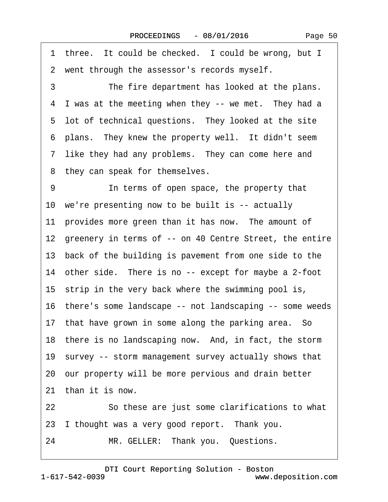Page 50

1 three. It could be checked. I could be wrong, but I 2 went through the assessor's records myself. 3 The fire department has looked at the plans. 4 I was at the meeting when they -- we met. They had a 5 lot of technical questions. They looked at the site 6 plans. They knew the property well. It didn't seem 7 like they had any problems. They can come here and 8 they can speak for themselves. 9 **In terms of open space, the property that** 10 we're presenting now to be built is -- actually 11 provides more green than it has now. The amount of 12 greenery in terms of -- on 40 Centre Street, the entire 13· back of the building is pavement from one side to the 14 other side. There is no -- except for maybe a 2-foot 15 strip in the very back where the swimming pool is, 16· there's some landscape -- not landscaping -- some weeds 17 that have grown in some along the parking area. So 18 there is no landscaping now. And, in fact, the storm 19 survey -- storm management survey actually shows that 20· our property will be more pervious and drain better 21 than it is now. 22 So these are just some clarifications to what 23 I thought was a very good report. Thank you. 24 MR. GELLER: Thank you. Questions.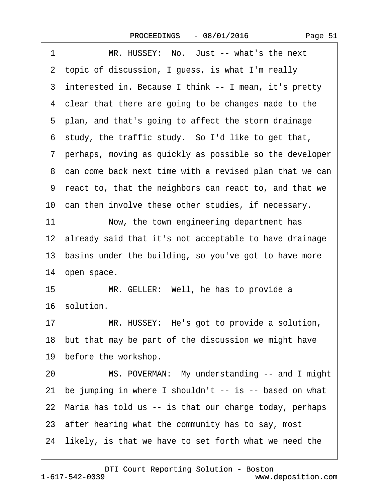| MR. HUSSEY: No. Just -- what's the next<br>1              |
|-----------------------------------------------------------|
| 2 topic of discussion, I guess, is what I'm really        |
| 3 interested in. Because I think -- I mean, it's pretty   |
| 4 clear that there are going to be changes made to the    |
| 5 plan, and that's going to affect the storm drainage     |
| 6 study, the traffic study. So I'd like to get that,      |
| 7 perhaps, moving as quickly as possible so the developer |
| 8 can come back next time with a revised plan that we can |
| 9 react to, that the neighbors can react to, and that we  |
| 10 can then involve these other studies, if necessary.    |
| 11<br>Now, the town engineering department has            |
| 12 already said that it's not acceptable to have drainage |
| 13 basins under the building, so you've got to have more  |
| 14 open space.                                            |
| 15<br>MR. GELLER: Well, he has to provide a               |
| 16 solution.                                              |
| 17<br>MR. HUSSEY: He's got to provide a solution,         |
| 18 but that may be part of the discussion we might have   |
| 19 before the workshop.                                   |
| MS. POVERMAN: My understanding -- and I might<br>20       |
| 21 be jumping in where I shouldn't -- is -- based on what |
| 22 Maria has told us -- is that our charge today, perhaps |
| 23 after hearing what the community has to say, most      |
| 24 likely, is that we have to set forth what we need the  |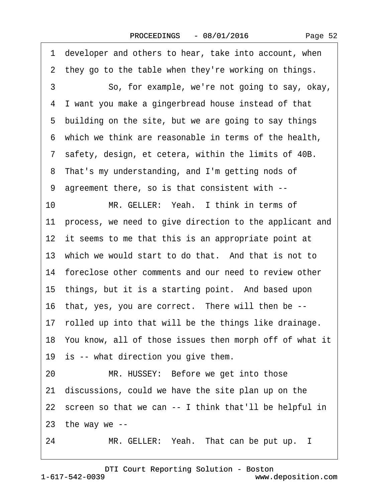Page 52

·1· developer and others to hear, take into account, when 2 they go to the table when they're working on things. 3 So, for example, we're not going to say, okay, ·4· I want you make a gingerbread house instead of that 5 building on the site, but we are going to say things ·6· which we think are reasonable in terms of the health, 7 safety, design, et cetera, within the limits of 40B. 8 That's my understanding, and I'm getting nods of ·9· agreement there, so is that consistent with -- 10 MR. GELLER: Yeah. I think in terms of 11 process, we need to give direction to the applicant and 12 it seems to me that this is an appropriate point at 13 which we would start to do that. And that is not to 14 foreclose other comments and our need to review other 15 things, but it is a starting point. And based upon 16 that, yes, you are correct. There will then be --17 rolled up into that will be the things like drainage. 18· You know, all of those issues then morph off of what it 19 is -- what direction you give them. 20 MR. HUSSEY: Before we get into those 21· discussions, could we have the site plan up on the 22 screen so that we can -- I think that'll be helpful in 23 the way we  $-$ 24 MR. GELLER: Yeah. That can be put up. I

1-617-542-0039 [DTI Court Reporting Solution - Boston](http://www.deposition.com) www.deposition.com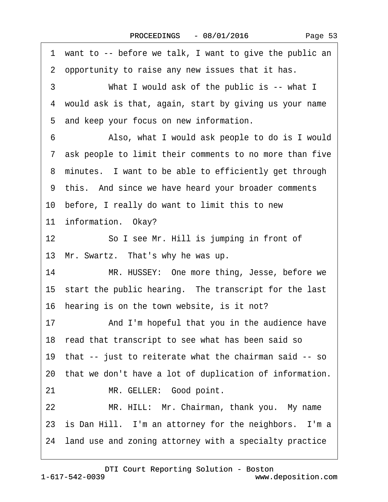| 1 want to -- before we talk, I want to give the public an  |
|------------------------------------------------------------|
| 2 opportunity to raise any new issues that it has.         |
| 3<br>What I would ask of the public is -- what I           |
| 4 would ask is that, again, start by giving us your name   |
| 5 and keep your focus on new information.                  |
| Also, what I would ask people to do is I would<br>6        |
| 7 ask people to limit their comments to no more than five  |
| 8 minutes. I want to be able to efficiently get through    |
| 9 this. And since we have heard your broader comments      |
| 10 before, I really do want to limit this to new           |
| 11 information. Okay?                                      |
| 12<br>So I see Mr. Hill is jumping in front of             |
| 13 Mr. Swartz. That's why he was up.                       |
| 14<br>MR. HUSSEY: One more thing, Jesse, before we         |
| 15 start the public hearing. The transcript for the last   |
| 16 hearing is on the town website, is it not?              |
| And I'm hopeful that you in the audience have<br>17        |
| 18 read that transcript to see what has been said so       |
| 19 that -- just to reiterate what the chairman said -- so  |
| 20 that we don't have a lot of duplication of information. |
| MR. GELLER: Good point.<br>21                              |
| 22<br>MR. HILL: Mr. Chairman, thank you. My name           |
| 23 is Dan Hill. I'm an attorney for the neighbors. I'm a   |
| 24 land use and zoning attorney with a specialty practice  |
|                                                            |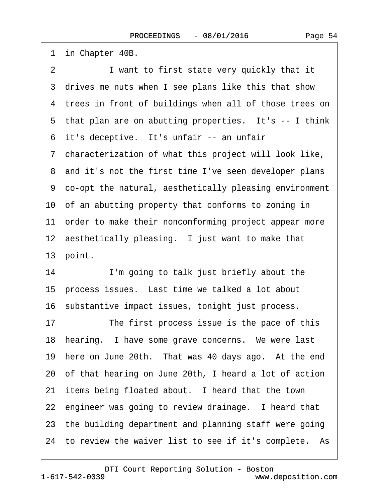1 in Chapter 40B. 2 I want to first state very quickly that it 3 drives me nuts when I see plans like this that show 4 trees in front of buildings when all of those trees on 5 that plan are on abutting properties. It's -- I think 6 it's deceptive. It's unfair -- an unfair ·7· characterization of what this project will look like, 8 and it's not the first time I've seen developer plans ·9· co-opt the natural, aesthetically pleasing environment 10· of an abutting property that conforms to zoning in 11 order to make their nonconforming project appear more 12 aesthetically pleasing. I just want to make that 13 point. 14 I'm going to talk just briefly about the 15 process issues. Last time we talked a lot about 16· substantive impact issues, tonight just process. 17 The first process issue is the pace of this 18 hearing. I have some grave concerns. We were last 19 here on June 20th. That was 40 days ago. At the end 20· of that hearing on June 20th, I heard a lot of action 21 items being floated about. I heard that the town 22 engineer was going to review drainage. I heard that 23· the building department and planning staff were going 24 to review the waiver list to see if it's complete. As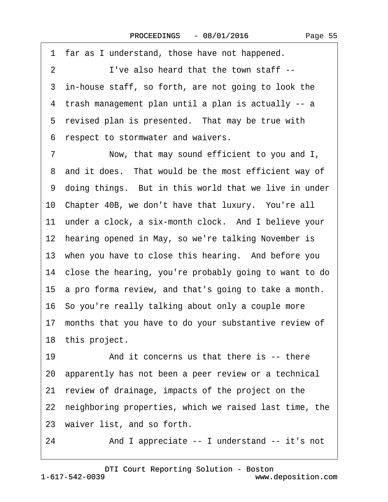·1· far as I understand, those have not happened. 2 I've also heard that the town staff --3 in-house staff, so forth, are not going to look the ·4· trash management plan until a plan is actually -- a 5 revised plan is presented. That may be true with ·6· respect to stormwater and waivers.

7 Now, that may sound efficient to you and I, 8 and it does. That would be the most efficient way of 9 doing things. But in this world that we live in under 10· Chapter 40B, we don't have that luxury.· You're all 11 under a clock, a six-month clock. And I believe your 12 hearing opened in May, so we're talking November is 13 when you have to close this hearing. And before you 14· close the hearing, you're probably going to want to do 15· a pro forma review, and that's going to take a month. 16· So you're really talking about only a couple more 17 months that you have to do your substantive review of 18 this project. 19 • And it concerns us that there is -- there

20· apparently has not been a peer review or a technical

21 review of drainage, impacts of the project on the

22 neighboring properties, which we raised last time, the

23 waiver list, and so forth.

24 • And I appreciate -- I understand -- it's not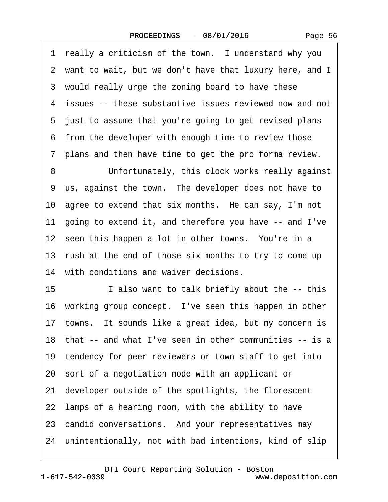Page 56

1 really a criticism of the town. I understand why you ·2· want to wait, but we don't have that luxury here, and I 3 would really urge the zoning board to have these 4 issues -- these substantive issues reviewed now and not 5 just to assume that you're going to get revised plans 6 from the developer with enough time to review those ·7· plans and then have time to get the pro forma review.

8 Unfortunately, this clock works really against 9 us, against the town. The developer does not have to 10· agree to extend that six months.· He can say, I'm not 11· going to extend it, and therefore you have -- and I've 12 seen this happen a lot in other towns. You're in a 13 rush at the end of those six months to try to come up 14 with conditions and waiver decisions.

15 I also want to talk briefly about the -- this 16 working group concept. I've seen this happen in other 17 towns. It sounds like a great idea, but my concern is 18· that -- and what I've seen in other communities -- is a 19 tendency for peer reviewers or town staff to get into 20· sort of a negotiation mode with an applicant or 21· developer outside of the spotlights, the florescent 22 lamps of a hearing room, with the ability to have 23 candid conversations. And your representatives may 24 unintentionally, not with bad intentions, kind of slip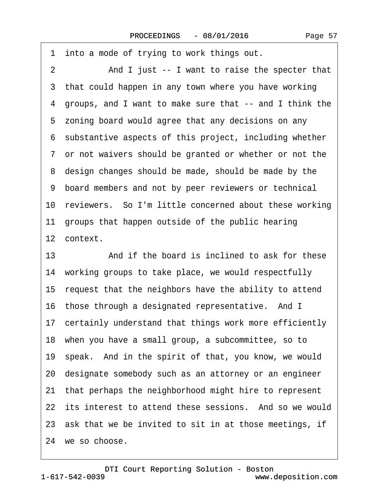·1· into a mode of trying to work things out. 2 And I just -- I want to raise the specter that 3 that could happen in any town where you have working ·4· groups, and I want to make sure that -- and I think the 5 zoning board would agree that any decisions on any ·6· substantive aspects of this project, including whether ·7· or not waivers should be granted or whether or not the 8 design changes should be made, should be made by the ·9· board members and not by peer reviewers or technical 10 reviewers. So I'm little concerned about these working 11 groups that happen outside of the public hearing 12 context. 13· · · · · ·And if the board is inclined to ask for these 14 working groups to take place, we would respectfully

15 request that the neighbors have the ability to attend 16 those through a designated representative. And I 17 certainly understand that things work more efficiently 18· when you have a small group, a subcommittee, so to 19· speak.· And in the spirit of that, you know, we would 20· designate somebody such as an attorney or an engineer 21· that perhaps the neighborhood might hire to represent 22 its interest to attend these sessions. And so we would 23 ask that we be invited to sit in at those meetings, if 24 we so choose.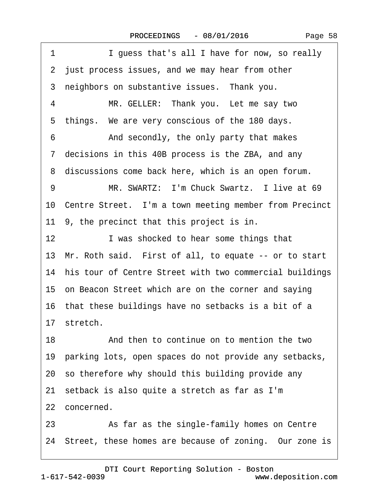| 1<br>I guess that's all I have for now, so really          |
|------------------------------------------------------------|
| 2 just process issues, and we may hear from other          |
| 3 neighbors on substantive issues. Thank you.              |
| MR. GELLER: Thank you. Let me say two<br>4                 |
| 5 things. We are very conscious of the 180 days.           |
| And secondly, the only party that makes<br>6               |
| 7 decisions in this 40B process is the ZBA, and any        |
| 8 discussions come back here, which is an open forum.      |
| MR. SWARTZ: I'm Chuck Swartz. I live at 69<br>9            |
| 10 Centre Street. I'm a town meeting member from Precinct  |
| 11 9, the precinct that this project is in.                |
| 12 <sup>2</sup><br>I was shocked to hear some things that  |
| 13 Mr. Roth said. First of all, to equate -- or to start   |
| 14 his tour of Centre Street with two commercial buildings |
| 15 on Beacon Street which are on the corner and saying     |
| 16 that these buildings have no setbacks is a bit of a     |
| 17 stretch.                                                |
| 18<br>And then to continue on to mention the two           |
| 19 parking lots, open spaces do not provide any setbacks,  |
| 20 so therefore why should this building provide any       |
| 21 setback is also quite a stretch as far as I'm           |
| 22 concerned.                                              |
| As far as the single-family homes on Centre<br>23          |
| 24 Street, these homes are because of zoning. Our zone is  |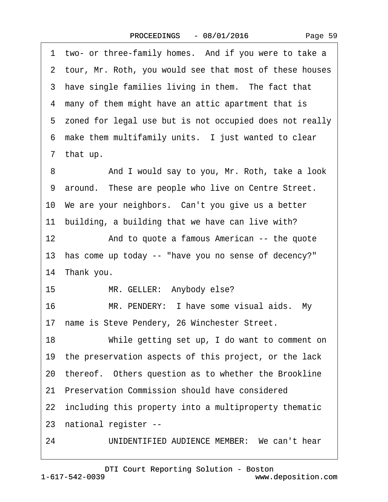|  | Page 59 |  |
|--|---------|--|
|--|---------|--|

1 two- or three-family homes. And if you were to take a 2 tour, Mr. Roth, you would see that most of these houses 3 have single families living in them. The fact that 4 many of them might have an attic apartment that is 5 zoned for legal use but is not occupied does not really 6 make them multifamily units. I just wanted to clear 7 that up. 8 And I would say to you, Mr. Roth, take a look 9 around. These are people who live on Centre Street. 10· We are your neighbors.· Can't you give us a better 11 building, a building that we have can live with? 12 • And to quote a famous American -- the quote 13· has come up today -- "have you no sense of decency?" 14 Thank you. 15 MR. GELLER: Anybody else? 16 MR. PENDERY: I have some visual aids. My 17 name is Steve Pendery, 26 Winchester Street. 18 While getting set up, I do want to comment on 19· the preservation aspects of this project, or the lack 20 thereof. Others question as to whether the Brookline 21· Preservation Commission should have considered 22 including this property into a multiproperty thematic 23· national register -- 24 UNIDENTIFIED AUDIENCE MEMBER: We can't hear

1-617-542-0039 [DTI Court Reporting Solution - Boston](http://www.deposition.com) www.deposition.com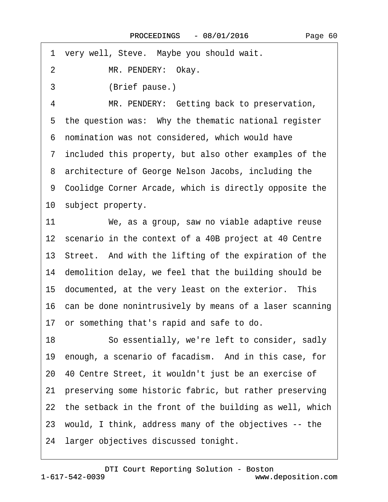·1· very well, Steve.· Maybe you should wait.

2 MR. PENDERY: Okay.

3 (Brief pause.)

4 MR. PENDERY: Getting back to preservation, 5 the question was: Why the thematic national register ·6· nomination was not considered, which would have ·7· included this property, but also other examples of the 8 architecture of George Nelson Jacobs, including the 9 Coolidge Corner Arcade, which is directly opposite the 10 subject property.

11 We, as a group, saw no viable adaptive reuse 12 scenario in the context of a 40B project at 40 Centre 13· Street.· And with the lifting of the expiration of the 14 demolition delay, we feel that the building should be 15 documented, at the very least on the exterior. This 16· can be done nonintrusively by means of a laser scanning 17 or something that's rapid and safe to do. 18 **· · So essentially, we're left to consider, sadly** 19 enough, a scenario of facadism. And in this case, for 20· 40 Centre Street, it wouldn't just be an exercise of 21· preserving some historic fabric, but rather preserving 22 the setback in the front of the building as well, which 23· would, I think, address many of the objectives -- the 24 larger objectives discussed tonight.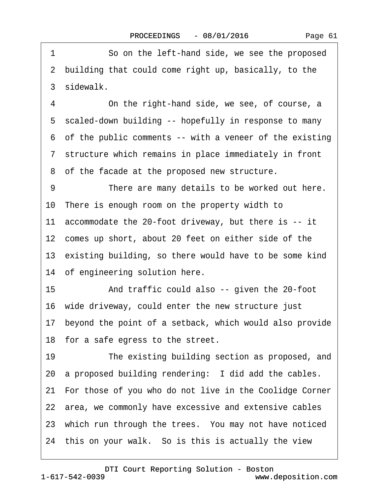1 So on the left-hand side, we see the proposed ·2· building that could come right up, basically, to the 3 sidewalk.

4 Ching the right-hand side, we see, of course, a ·5· scaled-down building -- hopefully in response to many ·6· of the public comments -- with a veneer of the existing ·7· structure which remains in place immediately in front 8 of the facade at the proposed new structure.

9 There are many details to be worked out here. 10· There is enough room on the property width to 11· accommodate the 20-foot driveway, but there is -- it 12 comes up short, about 20 feet on either side of the 13 existing building, so there would have to be some kind 14 of engineering solution here. 15 • And traffic could also -- given the 20-foot 16· wide driveway, could enter the new structure just 17· beyond the point of a setback, which would also provide 18 for a safe egress to the street. 19 The existing building section as proposed, and 20 a proposed building rendering: I did add the cables. 21 For those of you who do not live in the Coolidge Corner

22 area, we commonly have excessive and extensive cables

23 which run through the trees. You may not have noticed

24 this on your walk. So is this is actually the view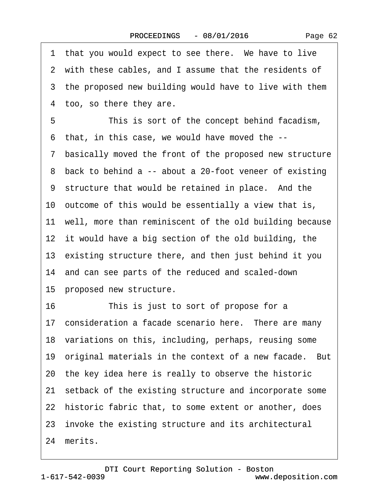|    | 1 that you would expect to see there. We have to live      |
|----|------------------------------------------------------------|
|    | 2 with these cables, and I assume that the residents of    |
|    | 3 the proposed new building would have to live with them   |
|    | 4 too, so there they are.                                  |
| 5  | This is sort of the concept behind facadism,               |
|    | 6 that, in this case, we would have moved the --           |
|    | 7 basically moved the front of the proposed new structure  |
|    | 8 back to behind a -- about a 20-foot veneer of existing   |
|    | 9 structure that would be retained in place. And the       |
|    | 10 outcome of this would be essentially a view that is,    |
|    | 11 well, more than reminiscent of the old building because |
|    | 12 it would have a big section of the old building, the    |
|    | 13 existing structure there, and then just behind it you   |
|    | 14 and can see parts of the reduced and scaled-down        |
|    | 15 proposed new structure.                                 |
| 16 | This is just to sort of propose for a                      |
|    | 17 consideration a facade scenario here. There are many    |
|    | 18 variations on this, including, perhaps, reusing some    |
|    | 19 original materials in the context of a new facade. But  |
|    | 20 the key idea here is really to observe the historic     |
|    | 21 setback of the existing structure and incorporate some  |
|    | 22 historic fabric that, to some extent or another, does   |
|    | 23 invoke the existing structure and its architectural     |
|    | 24 merits.                                                 |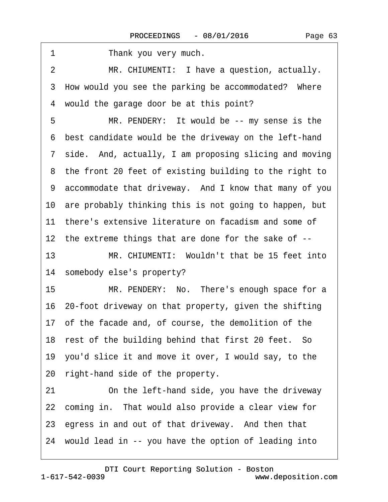| 1<br>Thank you very much.                                 |
|-----------------------------------------------------------|
| MR. CHIUMENTI: I have a question, actually.<br>2          |
| 3 How would you see the parking be accommodated? Where    |
| would the garage door be at this point?<br>4              |
| 5<br>MR. PENDERY: It would be -- my sense is the          |
| 6 best candidate would be the driveway on the left-hand   |
| 7 side. And, actually, I am proposing slicing and moving  |
| 8 the front 20 feet of existing building to the right to  |
| 9 accommodate that driveway. And I know that many of you  |
| 10 are probably thinking this is not going to happen, but |
| 11 there's extensive literature on facadism and some of   |
| 12 the extreme things that are done for the sake of --    |
| 13<br>MR. CHIUMENTI: Wouldn't that be 15 feet into        |
| 14 somebody else's property?                              |
| MR. PENDERY: No. There's enough space for a<br>15         |
| 16 20-foot driveway on that property, given the shifting  |
| 17 of the facade and, of course, the demolition of the    |
| 18 rest of the building behind that first 20 feet. So     |
| 19 you'd slice it and move it over, I would say, to the   |
| 20 right-hand side of the property.                       |
| On the left-hand side, you have the driveway<br>21        |
| 22 coming in. That would also provide a clear view for    |
| 23 egress in and out of that driveway. And then that      |
| 24 would lead in -- you have the option of leading into   |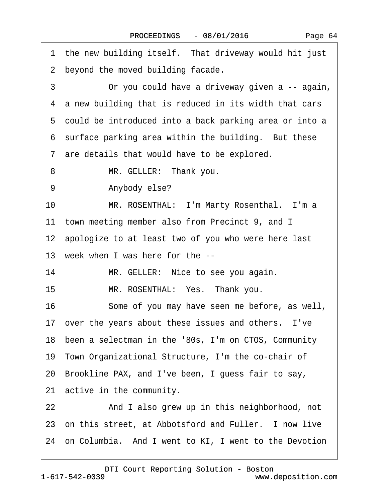| 1 the new building itself. That driveway would hit just  |
|----------------------------------------------------------|
| 2 beyond the moved building facade.                      |
| 3<br>Or you could have a driveway given a -- again,      |
| 4 a new building that is reduced in its width that cars  |
| 5 could be introduced into a back parking area or into a |
| 6 surface parking area within the building. But these    |
| 7 are details that would have to be explored.            |
| 8<br>MR. GELLER: Thank you.                              |
| Anybody else?<br>9                                       |
| MR. ROSENTHAL: I'm Marty Rosenthal. I'm a<br>10          |
| 11 town meeting member also from Precinct 9, and I       |
| 12 apologize to at least two of you who were here last   |
| 13 week when I was here for the --                       |
| 14<br>MR. GELLER: Nice to see you again.                 |
| 15<br>MR. ROSENTHAL: Yes. Thank you.                     |
| 16<br>Some of you may have seen me before, as well,      |
| 17 over the years about these issues and others. I've    |
| 18 been a selectman in the '80s, I'm on CTOS, Community  |
| 19 Town Organizational Structure, I'm the co-chair of    |
| 20 Brookline PAX, and I've been, I guess fair to say,    |
| 21 active in the community.                              |
| And I also grew up in this neighborhood, not<br>22       |
| 23 on this street, at Abbotsford and Fuller. I now live  |
| 24 on Columbia. And I went to KI, I went to the Devotion |
|                                                          |

 $\lceil$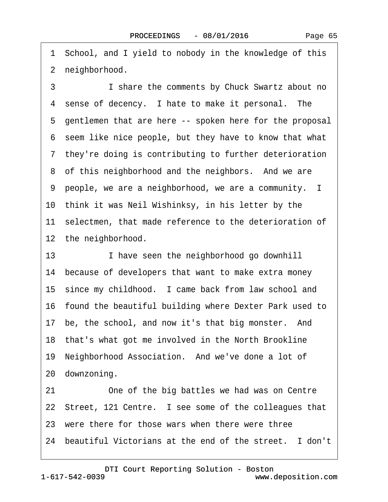·1· School, and I yield to nobody in the knowledge of this 2 neighborhood.

3 **I** share the comments by Chuck Swartz about no 4 sense of decency. I hate to make it personal. The 5 gentlemen that are here -- spoken here for the proposal ·6· seem like nice people, but they have to know that what 7 they're doing is contributing to further deterioration 8 of this neighborhood and the neighbors. And we are ·9· people, we are a neighborhood, we are a community. I 10· think it was Neil Wishinksy, in his letter by the 11 selectmen, that made reference to the deterioration of 12 the neighborhood.

13 I have seen the neighborhood go downhill 14 because of developers that want to make extra money 15 since my childhood. I came back from law school and 16· found the beautiful building where Dexter Park used to 17 be, the school, and now it's that big monster. And 18 that's what got me involved in the North Brookline 19 Neighborhood Association. And we've done a lot of 20 downzoning. 21 One of the big battles we had was on Centre 22 Street, 121 Centre. I see some of the colleagues that 23 were there for those wars when there were three 24 beautiful Victorians at the end of the street. I don't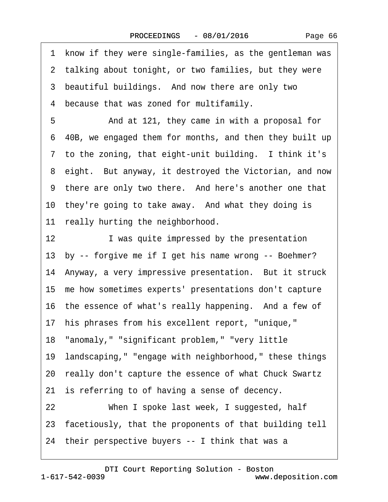|    | 1 know if they were single-families, as the gentleman was |
|----|-----------------------------------------------------------|
|    | 2 talking about tonight, or two families, but they were   |
|    | 3 beautiful buildings. And now there are only two         |
|    | 4 because that was zoned for multifamily.                 |
| 5  | And at 121, they came in with a proposal for              |
|    | 6 40B, we engaged them for months, and then they built up |
|    | 7 to the zoning, that eight-unit building. I think it's   |
|    | 8 eight. But anyway, it destroyed the Victorian, and now  |
|    | 9 there are only two there. And here's another one that   |
|    | 10 they're going to take away. And what they doing is     |
|    | 11 really hurting the neighborhood.                       |
| 12 | I was quite impressed by the presentation                 |
|    | 13 by -- forgive me if I get his name wrong -- Boehmer?   |
|    | 14 Anyway, a very impressive presentation. But it struck  |
|    | 15 me how sometimes experts' presentations don't capture  |
|    | 16 the essence of what's really happening. And a few of   |
|    | 17 his phrases from his excellent report, "unique,"       |
|    | 18 "anomaly," "significant problem," "very little         |
|    | 19 landscaping," "engage with neighborhood," these things |
|    | 20 really don't capture the essence of what Chuck Swartz  |
|    | 21 is referring to of having a sense of decency.          |
| 22 | When I spoke last week, I suggested, half                 |
|    | 23 facetiously, that the proponents of that building tell |
|    | 24 their perspective buyers -- I think that was a         |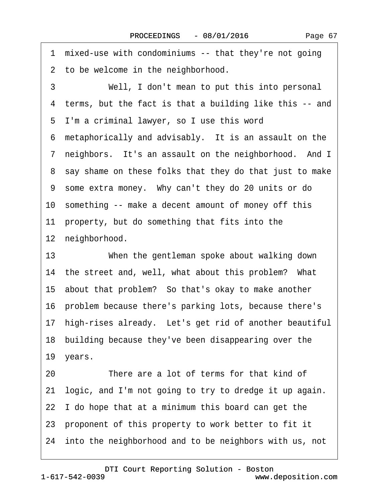·1· mixed-use with condominiums -- that they're not going 2 to be welcome in the neighborhood. 3 Well, I don't mean to put this into personal ·4· terms, but the fact is that a building like this -- and ·5· I'm a criminal lawyer, so I use this word 6 metaphorically and advisably. It is an assault on the 7 neighbors. It's an assault on the neighborhood. And I ·8· say shame on these folks that they do that just to make ·9· some extra money.· Why can't they do 20 units or do 10 something -- make a decent amount of money off this 11 property, but do something that fits into the 12 neighborhood. 13 When the gentleman spoke about walking down 14 the street and, well, what about this problem? What

15· about that problem?· So that's okay to make another

16· problem because there's parking lots, because there's

17 high-rises already. Let's get rid of another beautiful

18· building because they've been disappearing over the

19 years.

20 There are a lot of terms for that kind of 21· logic, and I'm not going to try to dredge it up again. 22 I do hope that at a minimum this board can get the 23 proponent of this property to work better to fit it 24 into the neighborhood and to be neighbors with us, not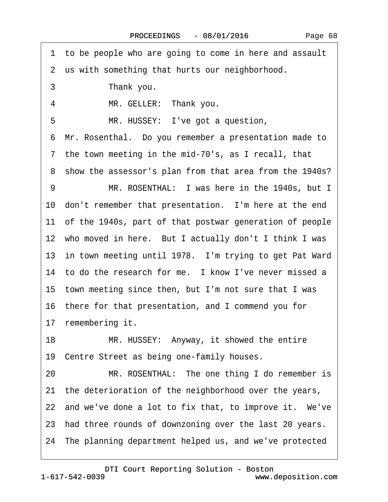1 to be people who are going to come in here and assault

2 us with something that hurts our neighborhood.

3 Thank you.

4 MR. GELLER: Thank you.

5 MR. HUSSEY: I've got a question,

·6· Mr. Rosenthal.· Do you remember a presentation made to

7 the town meeting in the mid-70's, as I recall, that

8 show the assessor's plan from that area from the 1940s?

9 MR. ROSENTHAL: I was here in the 1940s, but I 10 don't remember that presentation. I'm here at the end 11 of the 1940s, part of that postwar generation of people 12 who moved in here. But I actually don't I think I was 13 in town meeting until 1978. I'm trying to get Pat Ward 14 to do the research for me. I know I've never missed a 15· town meeting since then, but I'm not sure that I was 16· there for that presentation, and I commend you for 17 remembering it.

18 MR. HUSSEY: Anyway, it showed the entire

19 Centre Street as being one-family houses.

20 MR. ROSENTHAL: The one thing I do remember is 21· the deterioration of the neighborhood over the years,

22 and we've done a lot to fix that, to improve it. We've

23 had three rounds of downzoning over the last 20 years.

24 The planning department helped us, and we've protected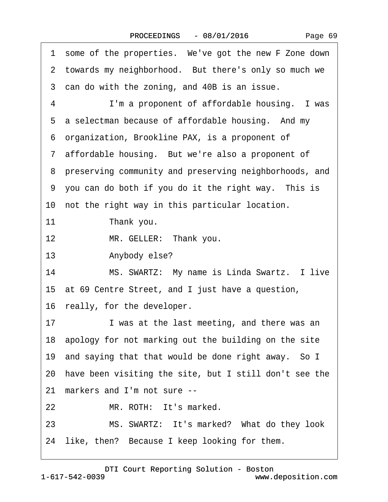|    | 1 some of the properties. We've got the new F Zone down   |
|----|-----------------------------------------------------------|
|    | 2 towards my neighborhood. But there's only so much we    |
|    | 3 can do with the zoning, and 40B is an issue.            |
| 4  | I'm a proponent of affordable housing. I was              |
|    | 5 a selectman because of affordable housing. And my       |
|    | 6 organization, Brookline PAX, is a proponent of          |
|    | 7 affordable housing. But we're also a proponent of       |
|    | 8 preserving community and preserving neighborhoods, and  |
|    | 9 you can do both if you do it the right way. This is     |
|    | 10 not the right way in this particular location.         |
| 11 | Thank you.                                                |
| 12 | MR. GELLER: Thank you.                                    |
| 13 | Anybody else?                                             |
| 14 | MS. SWARTZ: My name is Linda Swartz. I live               |
|    | 15 at 69 Centre Street, and I just have a question,       |
|    | 16 really, for the developer.                             |
| 17 | I was at the last meeting, and there was an               |
|    | 18 apology for not marking out the building on the site   |
|    | 19 and saying that that would be done right away. So I    |
|    | 20 have been visiting the site, but I still don't see the |
|    | 21 markers and I'm not sure --                            |
| 22 | MR. ROTH: It's marked.                                    |
| 23 | MS. SWARTZ: It's marked? What do they look                |
|    | 24 like, then? Because I keep looking for them.           |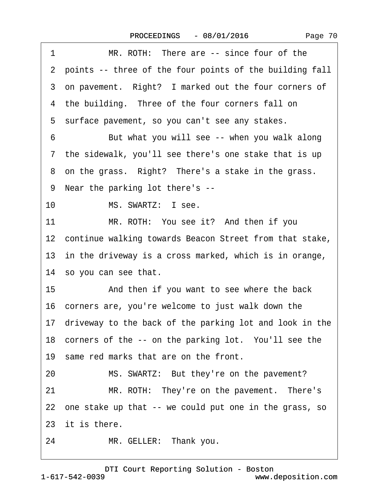| 1<br>MR. ROTH: There are -- since four of the              |
|------------------------------------------------------------|
| 2 points -- three of the four points of the building fall  |
| 3 on pavement. Right? I marked out the four corners of     |
| 4 the building. Three of the four corners fall on          |
| 5 surface pavement, so you can't see any stakes.           |
| But what you will see -- when you walk along<br>6          |
| 7 the sidewalk, you'll see there's one stake that is up    |
| 8 on the grass. Right? There's a stake in the grass.       |
| 9 Near the parking lot there's --                          |
| 10<br>MS. SWARTZ: I see.                                   |
| MR. ROTH: You see it? And then if you<br>11                |
| 12 continue walking towards Beacon Street from that stake, |
| 13 in the driveway is a cross marked, which is in orange,  |
| 14 so you can see that.                                    |
| 15<br>And then if you want to see where the back           |
| 16 corners are, you're welcome to just walk down the       |
| 17 driveway to the back of the parking lot and look in the |
| 18 corners of the -- on the parking lot. You'll see the    |
| 19 same red marks that are on the front.                   |
| MS. SWARTZ: But they're on the pavement?<br>20             |
| MR. ROTH: They're on the pavement. There's<br>21           |
| 22 one stake up that -- we could put one in the grass, so  |
| 23 it is there.                                            |
| MR. GELLER: Thank you.<br>24                               |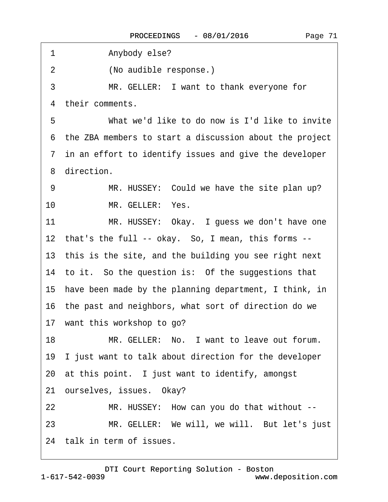| $\mathbf 1$ | Anybody else?                                             |
|-------------|-----------------------------------------------------------|
| 2           | (No audible response.)                                    |
| 3           | MR. GELLER: I want to thank everyone for                  |
|             | 4 their comments.                                         |
| 5           | What we'd like to do now is I'd like to invite            |
|             | 6 the ZBA members to start a discussion about the project |
|             | 7 in an effort to identify issues and give the developer  |
|             | 8 direction.                                              |
| 9           | MR. HUSSEY: Could we have the site plan up?               |
| 10          | MR. GELLER: Yes.                                          |
| 11          | MR. HUSSEY: Okay. I guess we don't have one               |
|             | 12 that's the full -- okay. So, I mean, this forms --     |
|             | 13 this is the site, and the building you see right next  |
|             | 14 to it. So the question is: Of the suggestions that     |
|             | 15 have been made by the planning department, I think, in |
|             | 16 the past and neighbors, what sort of direction do we   |
|             | 17 want this workshop to go?                              |
| 18          | MR. GELLER: No. I want to leave out forum.                |
|             | 19 I just want to talk about direction for the developer  |
|             | 20 at this point. I just want to identify, amongst        |
|             | 21 ourselves, issues. Okay?                               |
| 22          | MR. HUSSEY: How can you do that without --                |
| 23          | MR. GELLER: We will, we will. But let's just              |
|             | 24 talk in term of issues.                                |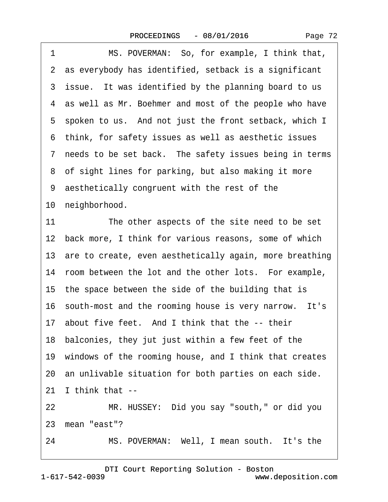| 1<br>MS. POVERMAN: So, for example, I think that,          |
|------------------------------------------------------------|
| 2 as everybody has identified, setback is a significant    |
| 3 issue. It was identified by the planning board to us     |
| 4 as well as Mr. Boehmer and most of the people who have   |
| 5 spoken to us. And not just the front setback, which I    |
| 6 think, for safety issues as well as aesthetic issues     |
| 7 needs to be set back. The safety issues being in terms   |
| 8 of sight lines for parking, but also making it more      |
| 9 aesthetically congruent with the rest of the             |
| 10 neighborhood.                                           |
| 11<br>The other aspects of the site need to be set         |
| 12 back more, I think for various reasons, some of which   |
| 13 are to create, even aesthetically again, more breathing |
| 14 room between the lot and the other lots. For example,   |
| 15 the space between the side of the building that is      |
| 16 south-most and the rooming house is very narrow. It's   |
| 17 about five feet. And I think that the -- their          |
| 18 balconies, they jut just within a few feet of the       |
| 19 windows of the rooming house, and I think that creates  |
| 20 an unlivable situation for both parties on each side.   |
| I think that --<br>21                                      |
| MR. HUSSEY: Did you say "south," or did you<br>22          |
| 23 mean "east"?                                            |
| MS. POVERMAN: Well, I mean south. It's the<br>24           |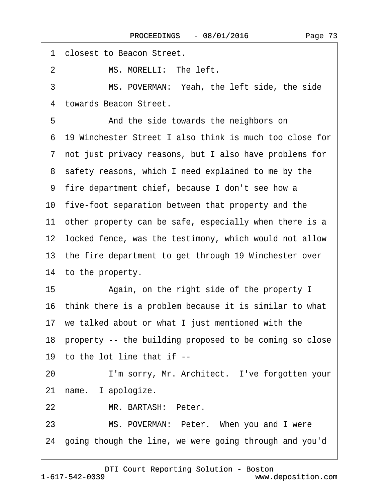<span id="page-72-0"></span>1 **closest to Beacon Street.** 2 MS. MORELLI: The left. 3 MS. POVERMAN: Yeah, the left side, the side 4 towards Beacon Street. 5 • **And the side towards the neighbors on** ·6· 19 Winchester Street I also think is much too close for ·7· not just privacy reasons, but I also have problems for 8 safety reasons, which I need explained to me by the ·9· fire department chief, because I don't see how a 10· five-foot separation between that property and the 11 other property can be safe, especially when there is a 12 locked fence, was the testimony, which would not allow 13 the fire department to get through 19 Winchester over 14 to the property. 15 • Again, on the right side of the property I 16· think there is a problem because it is similar to what 17· we talked about or what I just mentioned with the 18· property -- the building proposed to be coming so close 19 to the lot line that if --20 I'm sorry, Mr. Architect. I've forgotten your 21 name. I apologize. 22 MR. BARTASH: Peter. 23 MS. POVERMAN: Peter. When you and I were 24· going though the line, we were going through and you'd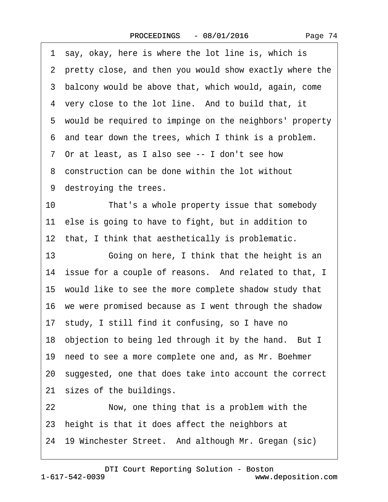<span id="page-73-0"></span>

|    | 3 balcony would be above that, which would, again, come   |
|----|-----------------------------------------------------------|
|    | 4 very close to the lot line. And to build that, it       |
|    | 5 would be required to impinge on the neighbors' property |
|    | 6 and tear down the trees, which I think is a problem.    |
|    | 7 Or at least, as I also see -- I don't see how           |
|    | 8 construction can be done within the lot without         |
|    | 9 destroying the trees.                                   |
| 10 | That's a whole property issue that somebody               |
|    | 11 else is going to have to fight, but in addition to     |
|    | 12 that, I think that aesthetically is problematic.       |
| 13 | Going on here, I think that the height is an              |
|    | 14 issue for a couple of reasons. And related to that, I  |
|    | 15 would like to see the more complete shadow study that  |
|    | 16 we were promised because as I went through the shadow  |
|    | 17 study, I still find it confusing, so I have no         |
|    | 18 objection to being led through it by the hand. But I   |
|    | 19 need to see a more complete one and, as Mr. Boehmer    |
|    | 20 suggested, one that does take into account the correct |

21 sizes of the buildings.

22 Now, one thing that is a problem with the

23 height is that it does affect the neighbors at

24 19 Winchester Street. And although Mr. Gregan (sic)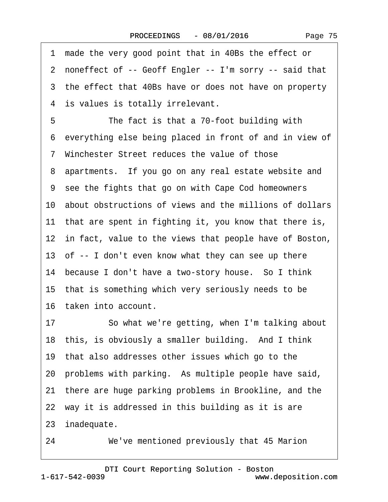<span id="page-74-0"></span>

|    | 1 made the very good point that in 40Bs the effect or      |
|----|------------------------------------------------------------|
|    | 2 noneffect of -- Geoff Engler -- I'm sorry -- said that   |
|    | 3 the effect that 40Bs have or does not have on property   |
|    | 4 is values is totally irrelevant.                         |
| 5  | The fact is that a 70-foot building with                   |
|    | 6 everything else being placed in front of and in view of  |
|    | 7 Winchester Street reduces the value of those             |
|    | 8 apartments. If you go on any real estate website and     |
|    | 9 see the fights that go on with Cape Cod homeowners       |
|    | 10 about obstructions of views and the millions of dollars |
|    | 11 that are spent in fighting it, you know that there is,  |
|    | 12 in fact, value to the views that people have of Boston, |
|    | 13 of -- I don't even know what they can see up there      |
|    | 14 because I don't have a two-story house. So I think      |
|    | 15 that is something which very seriously needs to be      |
|    | 16 taken into account.                                     |
| 17 | So what we're getting, when I'm talking about              |
|    | 18 this, is obviously a smaller building. And I think      |
|    | 19 that also addresses other issues which go to the        |
|    | 20 problems with parking. As multiple people have said,    |
|    | 21 there are huge parking problems in Brookline, and the   |
|    | 22 way it is addressed in this building as it is are       |
|    | 23 inadequate.                                             |
|    |                                                            |

24 We've mentioned previously that 45 Marion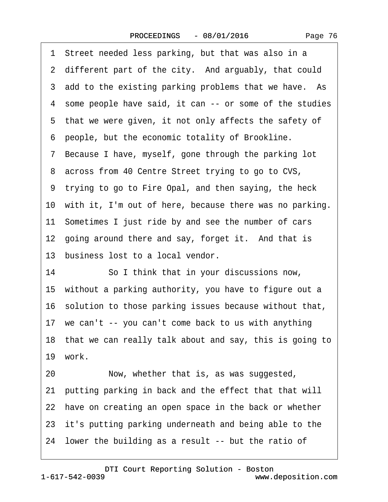|  | Page 76 |  |
|--|---------|--|
|--|---------|--|

<span id="page-75-0"></span>

| 1 Street needed less parking, but that was also in a       |
|------------------------------------------------------------|
| 2 different part of the city. And arguably, that could     |
| 3 add to the existing parking problems that we have. As    |
| 4 some people have said, it can -- or some of the studies  |
| 5 that we were given, it not only affects the safety of    |
| 6 people, but the economic totality of Brookline.          |
| 7 Because I have, myself, gone through the parking lot     |
| 8 across from 40 Centre Street trying to go to CVS,        |
| 9 trying to go to Fire Opal, and then saying, the heck     |
| 10 with it, I'm out of here, because there was no parking. |
| 11 Sometimes I just ride by and see the number of cars     |
| 12 going around there and say, forget it. And that is      |
| 13 business lost to a local vendor.                        |
| 14<br>So I think that in your discussions now,             |
| 15 without a parking authority, you have to figure out a   |
| 16 solution to those parking issues because without that,  |
| 17 we can't -- you can't come back to us with anything     |
| 18 that we can really talk about and say, this is going to |
| 19 work.                                                   |
| Now, whether that is, as was suggested,<br>20              |
| 21 putting parking in back and the effect that that will   |
| 22 have on creating an open space in the back or whether   |
| 23 it's putting parking underneath and being able to the   |
| 24 lower the building as a result -- but the ratio of      |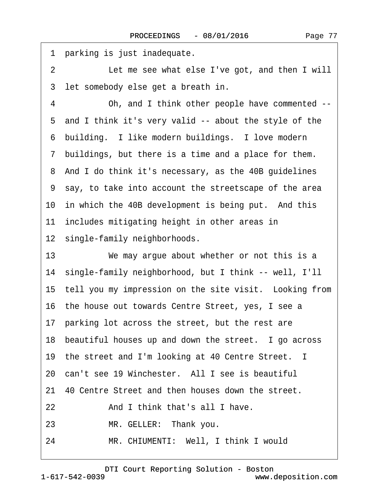<span id="page-76-0"></span>1 parking is just inadequate. 2 Let me see what else I've got, and then I will 3 let somebody else get a breath in. 4 Oh, and I think other people have commented --·5· and I think it's very valid -- about the style of the 6 building. I like modern buildings. I love modern ·7· buildings, but there is a time and a place for them. 8 And I do think it's necessary, as the 40B guidelines ·9· say, to take into account the streetscape of the area 10 in which the 40B development is being put. And this 11 includes mitigating height in other areas in 12 single-family neighborhoods. 13 We may argue about whether or not this is a 14· single-family neighborhood, but I think -- well, I'll 15 tell you my impression on the site visit. Looking from 16· the house out towards Centre Street, yes, I see a 17 parking lot across the street, but the rest are 18 beautiful houses up and down the street. I go across 19 the street and I'm looking at 40 Centre Street. I 20 can't see 19 Winchester. All I see is beautiful 21· 40 Centre Street and then houses down the street. 22 And I think that's all I have. 23 MR. GELLER: Thank you.

24 MR. CHIUMENTI: Well, I think I would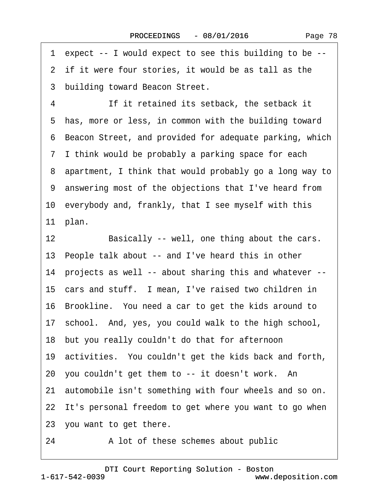<span id="page-77-0"></span>·1· expect -- I would expect to see this building to be --

2 if it were four stories, it would be as tall as the

3 building toward Beacon Street.

4 **If it retained its setback, the setback it** 5 has, more or less, in common with the building toward ·6· Beacon Street, and provided for adequate parking, which ·7· I think would be probably a parking space for each ·8· apartment, I think that would probably go a long way to ·9· answering most of the objections that I've heard from 10· everybody and, frankly, that I see myself with this 11 plan.

12 Basically -- well, one thing about the cars.

13· People talk about -- and I've heard this in other

14· projects as well -- about sharing this and whatever --

15 cars and stuff. I mean, I've raised two children in

16 Brookline. You need a car to get the kids around to

17 school. And, yes, you could walk to the high school,

18· but you really couldn't do that for afternoon

19· activities.· You couldn't get the kids back and forth,

20 you couldn't get them to -- it doesn't work. An

21· automobile isn't something with four wheels and so on.

22 It's personal freedom to get where you want to go when

23 you want to get there.

24 A lot of these schemes about public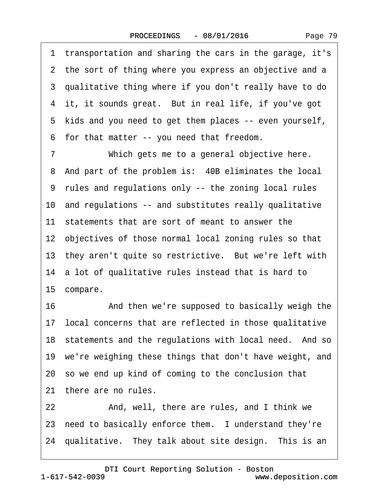Page 79

<span id="page-78-0"></span>·1· transportation and sharing the cars in the garage, it's 2 the sort of thing where you express an objective and a ·3· qualitative thing where if you don't really have to do 4 it, it sounds great. But in real life, if you've got 5 kids and you need to get them places -- even yourself, ·6· for that matter -- you need that freedom. 7 Which gets me to a general objective here. 8 And part of the problem is: 40B eliminates the local ·9· rules and regulations only -- the zoning local rules 10 and regulations -- and substitutes really qualitative 11 statements that are sort of meant to answer the 12 objectives of those normal local zoning rules so that 13 they aren't quite so restrictive. But we're left with 14· a lot of qualitative rules instead that is hard to 15 compare. 16 • **And then we're supposed to basically weigh the** 

17 local concerns that are reflected in those qualitative 18 statements and the regulations with local need. And so 19 we're weighing these things that don't have weight, and 20· so we end up kind of coming to the conclusion that 21 there are no rules.

22 And, well, there are rules, and I think we 23 need to basically enforce them. I understand they're 24 qualitative. They talk about site design. This is an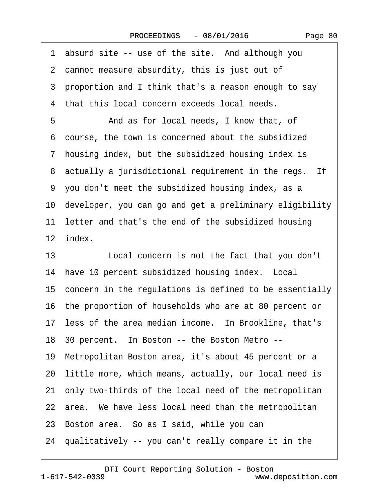<span id="page-79-0"></span>1 absurd site -- use of the site. And although you 2 cannot measure absurdity, this is just out of ·3· proportion and I think that's a reason enough to say 4 that this local concern exceeds local needs. 5 **• • And as for local needs, I know that, of** ·6· course, the town is concerned about the subsidized ·7· housing index, but the subsidized housing index is 8 actually a jurisdictional requirement in the regs. If ·9· you don't meet the subsidized housing index, as a 10· developer, you can go and get a preliminary eligibility 11 letter and that's the end of the subsidized housing 12 index. 13 **Local concern is not the fact that you don't** 14 have 10 percent subsidized housing index. Local 15 concern in the regulations is defined to be essentially 16· the proportion of households who are at 80 percent or 17 less of the area median income. In Brookline, that's 18 30 percent. In Boston -- the Boston Metro --19· Metropolitan Boston area, it's about 45 percent or a 20 little more, which means, actually, our local need is 21· only two-thirds of the local need of the metropolitan 22 area. We have less local need than the metropolitan 23 Boston area. So as I said, while you can 24· qualitatively -- you can't really compare it in the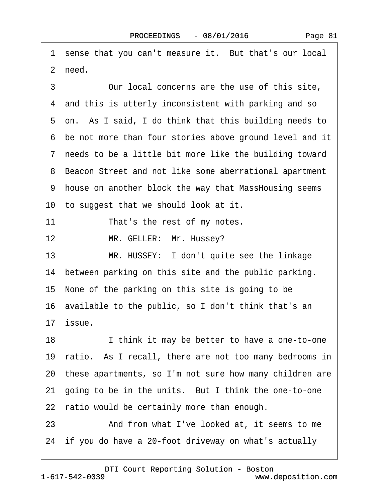<span id="page-80-0"></span>1 sense that you can't measure it. But that's our local 2 need. 3 **• Our local concerns are the use of this site,** 4 and this is utterly inconsistent with parking and so 5 on. As I said, I do think that this building needs to ·6· be not more than four stories above ground level and it ·7· needs to be a little bit more like the building toward ·8· Beacon Street and not like some aberrational apartment ·9· house on another block the way that MassHousing seems 10 to suggest that we should look at it. 11 That's the rest of my notes. 12 MR. GELLER: Mr. Hussey? 13 MR. HUSSEY: I don't quite see the linkage 14 between parking on this site and the public parking. 15· None of the parking on this site is going to be 16· available to the public, so I don't think that's an 17· issue. 18 I think it may be better to have a one-to-one 19 ratio. As I recall, there are not too many bedrooms in 20· these apartments, so I'm not sure how many children are 21 going to be in the units. But I think the one-to-one 22 ratio would be certainly more than enough. 23 And from what I've looked at, it seems to me 24 if you do have a 20-foot driveway on what's actually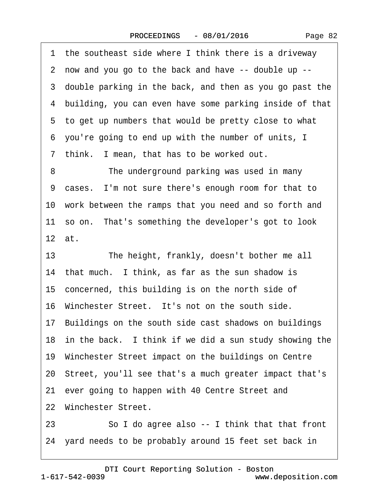Page 82

<span id="page-81-0"></span>1 the southeast side where I think there is a driveway ·2· now and you go to the back and have -- double up -- 3 double parking in the back, and then as you go past the 4 building, you can even have some parking inside of that ·5· to get up numbers that would be pretty close to what ·6· you're going to end up with the number of units, I 7 think. I mean, that has to be worked out. 8 The underground parking was used in many ·9· cases.· I'm not sure there's enough room for that to 10· work between the ramps that you need and so forth and 11 so on. That's something the developer's got to look 12· at. 13 The height, frankly, doesn't bother me all 14 that much. I think, as far as the sun shadow is 15 concerned, this building is on the north side of 16 Winchester Street. It's not on the south side. 17 Buildings on the south side cast shadows on buildings 18 in the back. I think if we did a sun study showing the 19· Winchester Street impact on the buildings on Centre 20· Street, you'll see that's a much greater impact that's 21 ever going to happen with 40 Centre Street and 22 Winchester Street. 23 So I do agree also -- I think that that front

24· yard needs to be probably around 15 feet set back in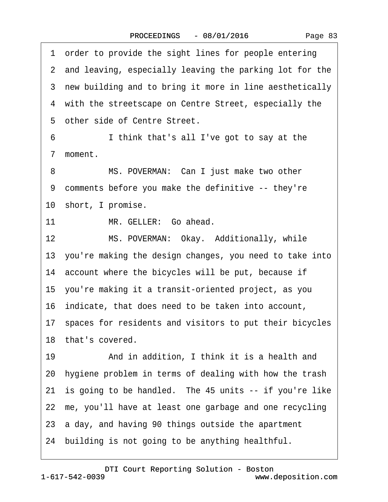Page 83

<span id="page-82-0"></span>1 order to provide the sight lines for people entering 2 and leaving, especially leaving the parking lot for the 3 new building and to bring it more in line aesthetically 4 with the streetscape on Centre Street, especially the 5 other side of Centre Street. 6 I think that's all I've got to say at the 7 moment. 8 MS. POVERMAN: Can I just make two other ·9· comments before you make the definitive -- they're 10 short, I promise. 11 MR. GELLER: Go ahead. 12 MS. POVERMAN: Okay. Additionally, while 13· you're making the design changes, you need to take into 14 account where the bicycles will be put, because if 15· you're making it a transit-oriented project, as you 16· indicate, that does need to be taken into account, 17· spaces for residents and visitors to put their bicycles 18 that's covered. 19 • And in addition, I think it is a health and 20· hygiene problem in terms of dealing with how the trash 21 is going to be handled. The 45 units -- if you're like 22· me, you'll have at least one garbage and one recycling 23 a day, and having 90 things outside the apartment 24· building is not going to be anything healthful.

1-617-542-0039 [DTI Court Reporting Solution - Boston](http://www.deposition.com) www.deposition.com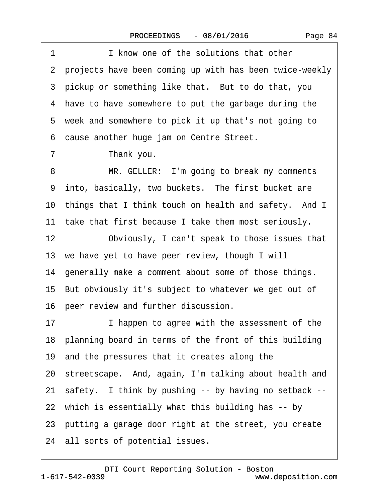<span id="page-83-0"></span>1 **I** know one of the solutions that other ·2· projects have been coming up with has been twice-weekly 3 pickup or something like that. But to do that, you 4 have to have somewhere to put the garbage during the 5 week and somewhere to pick it up that's not going to ·6· cause another huge jam on Centre Street. 7 Thank you. 8 MR. GELLER: I'm going to break my comments 9 into, basically, two buckets. The first bucket are 10 things that I think touch on health and safety. And I 11 take that first because I take them most seriously. 12 Obviously, I can't speak to those issues that 13 we have yet to have peer review, though I will 14 generally make a comment about some of those things. 15· But obviously it's subject to whatever we get out of 16· peer review and further discussion. 17 I happen to agree with the assessment of the 18 planning board in terms of the front of this building 19· and the pressures that it creates along the 20· streetscape.· And, again, I'm talking about health and 21 safety. I think by pushing -- by having no setback --22· which is essentially what this building has -- by 23· putting a garage door right at the street, you create 24 all sorts of potential issues.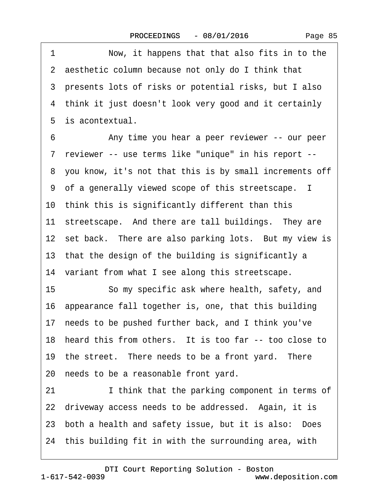<span id="page-84-0"></span>1 Now, it happens that that also fits in to the 2 aesthetic column because not only do I think that ·3· presents lots of risks or potential risks, but I also 4 think it just doesn't look very good and it certainly 5 is acontextual.

6 • Christian Any time you hear a peer reviewer -- our peer ·7· reviewer -- use terms like "unique" in his report -- ·8· you know, it's not that this is by small increments off ·9· of a generally viewed scope of this streetscape. I 10 think this is significantly different than this 11 streetscape. And there are tall buildings. They are 12 set back. There are also parking lots. But my view is 13 that the design of the building is significantly a 14 variant from what I see along this streetscape. 15 **· · So my specific ask where health, safety, and** 16· appearance fall together is, one, that this building 17 needs to be pushed further back, and I think you've 18 heard this from others. It is too far -- too close to 19 the street. There needs to be a front yard. There 20 needs to be a reasonable front yard. 21 I think that the parking component in terms of

22 driveway access needs to be addressed. Again, it is 23 both a health and safety issue, but it is also: Does 24 this building fit in with the surrounding area, with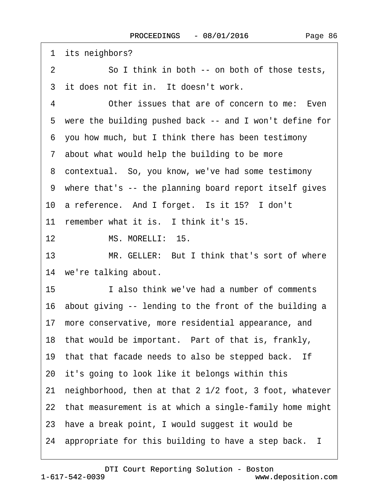<span id="page-85-0"></span>1 its neighbors?

2 So I think in both -- on both of those tests,

3 it does not fit in. It doesn't work.

4 Other issues that are of concern to me: Even

5 were the building pushed back -- and I won't define for

·6· you how much, but I think there has been testimony

7 about what would help the building to be more

8 contextual. So, you know, we've had some testimony

·9· where that's -- the planning board report itself gives

10 a reference. And I forget. Is it 15? I don't

11 remember what it is. I think it's 15.

12 MS. MORELLI: 15.

13 MR. GELLER: But I think that's sort of where 14 we're talking about.

15 **I** also think we've had a number of comments

16 about giving -- lending to the front of the building a

17· more conservative, more residential appearance, and

18 that would be important. Part of that is, frankly,

19 that that facade needs to also be stepped back. If

20 it's going to look like it belongs within this

21· neighborhood, then at that 2 1/2 foot, 3 foot, whatever

22· that measurement is at which a single-family home might

23· have a break point, I would suggest it would be

24· appropriate for this building to have a step back. I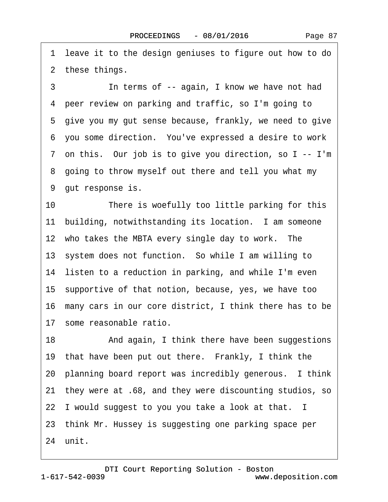<span id="page-86-0"></span>1 leave it to the design geniuses to figure out how to do 2 these things.

3 **In terms of -- again, I know we have not had** ·4· peer review on parking and traffic, so I'm going to 5 give you my gut sense because, frankly, we need to give ·6· you some direction.· You've expressed a desire to work 7 on this. Our job is to give you direction, so I -- I'm 8 going to throw myself out there and tell you what my 9 gut response is.

10 There is woefully too little parking for this 11 building, notwithstanding its location. I am someone 12 who takes the MBTA every single day to work. The 13 system does not function. So while I am willing to 14 listen to a reduction in parking, and while I'm even 15· supportive of that notion, because, yes, we have too 16· many cars in our core district, I think there has to be 17· some reasonable ratio.

18 • And again, I think there have been suggestions 19 that have been put out there. Frankly, I think the 20 planning board report was incredibly generous. I think 21· they were at .68, and they were discounting studios, so 22 I would suggest to you you take a look at that. I 23· think Mr. Hussey is suggesting one parking space per 24 unit.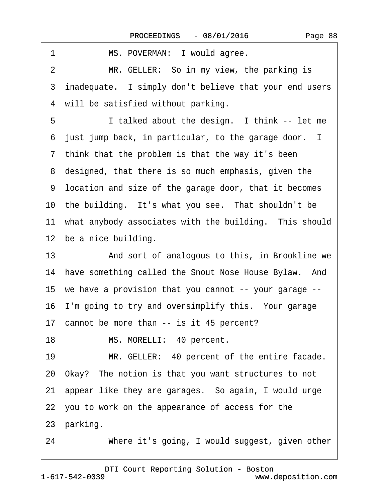<span id="page-87-0"></span>

| MS. POVERMAN: I would agree.<br>1                         |
|-----------------------------------------------------------|
| MR. GELLER: So in my view, the parking is<br>2            |
| 3 inadequate. I simply don't believe that your end users  |
| 4 will be satisfied without parking.                      |
| 5<br>I talked about the design. I think -- let me         |
| 6 just jump back, in particular, to the garage door. I    |
| 7 think that the problem is that the way it's been        |
| 8 designed, that there is so much emphasis, given the     |
| 9 location and size of the garage door, that it becomes   |
| 10 the building. It's what you see. That shouldn't be     |
| 11 what anybody associates with the building. This should |
| 12 be a nice building.                                    |
| 13<br>And sort of analogous to this, in Brookline we      |
| 14 have something called the Snout Nose House Bylaw. And  |
| 15 we have a provision that you cannot -- your garage --  |
| 16 I'm going to try and oversimplify this. Your garage    |
| 17 cannot be more than -- is it 45 percent?               |
| 18<br>MS. MORELLI: 40 percent.                            |
| MR. GELLER: 40 percent of the entire facade.<br>19        |
| 20 Okay? The notion is that you want structures to not    |
| 21 appear like they are garages. So again, I would urge   |
| 22 you to work on the appearance of access for the        |
| 23 parking.                                               |
| Where it's going, I would suggest, given other<br>24      |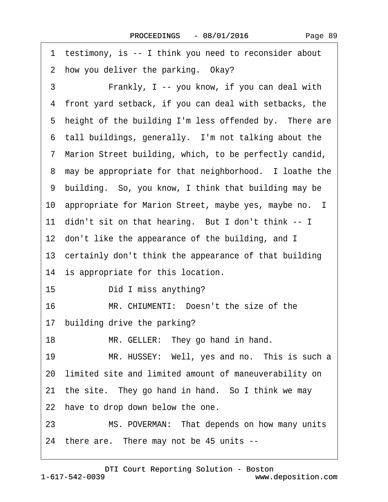<span id="page-88-0"></span>

| testimony, is -- I think you need to reconsider about<br>1  |
|-------------------------------------------------------------|
| 2 how you deliver the parking. Okay?                        |
| 3<br>Frankly, I -- you know, if you can deal with           |
| front yard setback, if you can deal with setbacks, the<br>4 |
| 5 height of the building I'm less offended by. There are    |
| 6 tall buildings, generally. I'm not talking about the      |
| 7 Marion Street building, which, to be perfectly candid,    |
| 8 may be appropriate for that neighborhood. I loathe the    |
| 9 building. So, you know, I think that building may be      |
| 10 appropriate for Marion Street, maybe yes, maybe no. I    |
| 11 didn't sit on that hearing. But I don't think -- I       |
| 12 don't like the appearance of the building, and I         |
| 13 certainly don't think the appearance of that building    |
| 14 is appropriate for this location.                        |
| 15 <sub>1</sub><br>Did I miss anything?                     |
| 16<br>MR. CHIUMENTI: Doesn't the size of the                |
| 17 building drive the parking?                              |
| 18<br>MR. GELLER: They go hand in hand.                     |
| MR. HUSSEY: Well, yes and no. This is such a<br>19          |
| 20 limited site and limited amount of maneuverability on    |
| 21 the site. They go hand in hand. So I think we may        |
| 22 have to drop down below the one.                         |
| MS. POVERMAN: That depends on how many units<br>23          |
| 24 there are. There may not be 45 units --                  |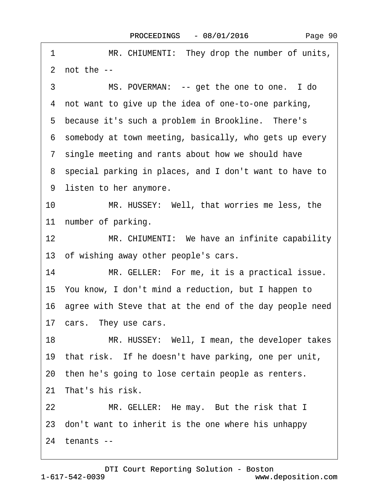<span id="page-89-0"></span>1 MR. CHIUMENTI: They drop the number of units,  $2$  not the  $-$ 3 MS. POVERMAN: -- get the one to one. I do 4 not want to give up the idea of one-to-one parking, 5 because it's such a problem in Brookline. There's ·6· somebody at town meeting, basically, who gets up every 7 single meeting and rants about how we should have ·8· special parking in places, and I don't want to have to 9 listen to her anymore. 10 MR. HUSSEY: Well, that worries me less, the 11 number of parking. 12 MR. CHIUMENTI: We have an infinite capability 13 of wishing away other people's cars. 14 MR. GELLER: For me, it is a practical issue. 15· You know, I don't mind a reduction, but I happen to 16 agree with Steve that at the end of the day people need 17 cars. They use cars. 18 MR. HUSSEY: Well, I mean, the developer takes 19 that risk. If he doesn't have parking, one per unit, 20 then he's going to lose certain people as renters. 21 That's his risk. 22 MR. GELLER: He may. But the risk that I 23· don't want to inherit is the one where his unhappy 24 tenants --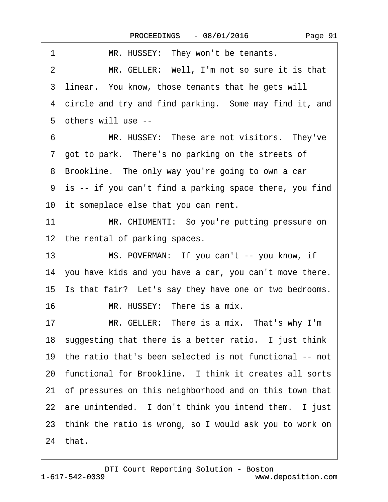<span id="page-90-0"></span>

| 1<br>MR. HUSSEY: They won't be tenants.                        |
|----------------------------------------------------------------|
| MR. GELLER: Well, I'm not so sure it is that<br>$\overline{2}$ |
| 3 linear. You know, those tenants that he gets will            |
| 4 circle and try and find parking. Some may find it, and       |
| 5 others will use --                                           |
| 6<br>MR. HUSSEY: These are not visitors. They've               |
| 7 got to park. There's no parking on the streets of            |
| 8 Brookline. The only way you're going to own a car            |
| 9 is -- if you can't find a parking space there, you find      |
| 10 it someplace else that you can rent.                        |
| 11<br>MR. CHIUMENTI: So you're putting pressure on             |
| 12 the rental of parking spaces.                               |
| MS. POVERMAN: If you can't -- you know, if<br>13               |
| 14 you have kids and you have a car, you can't move there.     |
| 15 Is that fair? Let's say they have one or two bedrooms.      |
| 16<br>MR. HUSSEY: There is a mix.                              |
| MR. GELLER: There is a mix. That's why I'm<br>17               |
| 18 suggesting that there is a better ratio. I just think       |
| 19 the ratio that's been selected is not functional -- not     |
| 20 functional for Brookline. I think it creates all sorts      |
| 21 of pressures on this neighborhood and on this town that     |
| 22 are unintended. I don't think you intend them. I just       |
| 23 think the ratio is wrong, so I would ask you to work on     |
| 24 that.                                                       |
|                                                                |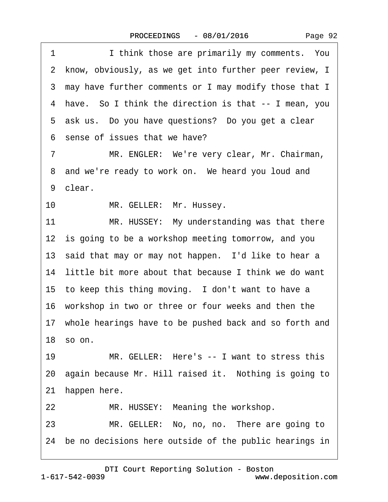Page 92

<span id="page-91-0"></span>1 I think those are primarily my comments. You 2 know, obviously, as we get into further peer review, I 3 may have further comments or I may modify those that I 4 have. So I think the direction is that -- I mean, you 5 ask us. Do you have questions? Do you get a clear ·6· sense of issues that we have?

7 MR. ENGLER: We're very clear, Mr. Chairman, 8 and we're ready to work on. We heard you loud and 9 clear.

10 MR. GELLER: Mr. Hussey.

11 MR. HUSSEY: My understanding was that there 12 is going to be a workshop meeting tomorrow, and you 13 said that may or may not happen. I'd like to hear a 14 little bit more about that because I think we do want 15 to keep this thing moving. I don't want to have a 16 workshop in two or three or four weeks and then the 17 whole hearings have to be pushed back and so forth and 18 $s$  so on.

19 MR. GELLER: Here's -- I want to stress this 20 again because Mr. Hill raised it. Nothing is going to 21 happen here.

22 MR. HUSSEY: Meaning the workshop.

23 MR. GELLER: No, no, no. There are going to 24· be no decisions here outside of the public hearings in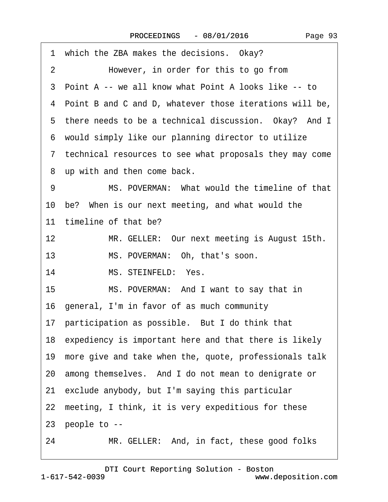<span id="page-92-0"></span>

| 1 which the ZBA makes the decisions. Okay?                |
|-----------------------------------------------------------|
| However, in order for this to go from<br>2                |
| 3 Point A -- we all know what Point A looks like -- to    |
| 4 Point B and C and D, whatever those iterations will be, |
| 5 there needs to be a technical discussion. Okay? And I   |
| 6 would simply like our planning director to utilize      |
| 7 technical resources to see what proposals they may come |
| 8 up with and then come back.                             |
| MS. POVERMAN: What would the timeline of that<br>9        |
| 10 be? When is our next meeting, and what would the       |
| 11 timeline of that be?                                   |
| 12<br>MR. GELLER: Our next meeting is August 15th.        |
| MS. POVERMAN: Oh, that's soon.<br>13                      |
| MS. STEINFELD: Yes.<br>14                                 |
| 15<br>MS. POVERMAN: And I want to say that in             |
| 16 general, I'm in favor of as much community             |
| 17 participation as possible. But I do think that         |
| 18 expediency is important here and that there is likely  |
| 19 more give and take when the, quote, professionals talk |
| 20 among themselves. And I do not mean to denigrate or    |
| 21 exclude anybody, but I'm saying this particular        |
| 22 meeting, I think, it is very expeditious for these     |
| 23 people to --                                           |
| MR. GELLER: And, in fact, these good folks<br>24          |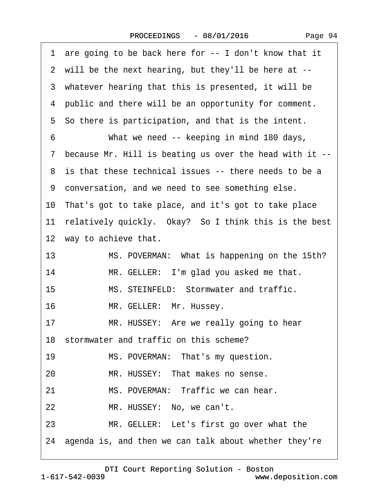<span id="page-93-0"></span>

|    | 1 are going to be back here for -- I don't know that it   |
|----|-----------------------------------------------------------|
|    | 2 will be the next hearing, but they'll be here at --     |
|    | 3 whatever hearing that this is presented, it will be     |
|    | 4 public and there will be an opportunity for comment.    |
|    | 5 So there is participation, and that is the intent.      |
| 6  | What we need -- keeping in mind 180 days,                 |
|    | 7 because Mr. Hill is beating us over the head with it -- |
|    | 8 is that these technical issues -- there needs to be a   |
|    | 9 conversation, and we need to see something else.        |
|    | 10 That's got to take place, and it's got to take place   |
|    | 11 relatively quickly. Okay? So I think this is the best  |
|    | 12 way to achieve that.                                   |
| 13 | MS. POVERMAN: What is happening on the 15th?              |
| 14 | MR. GELLER: I'm glad you asked me that.                   |
| 15 | MS. STEINFELD: Stormwater and traffic.                    |
| 16 | MR. GELLER: Mr. Hussey.                                   |
| 17 | MR. HUSSEY: Are we really going to hear                   |
|    | 18 stormwater and traffic on this scheme?                 |
| 19 | MS. POVERMAN: That's my question.                         |
| 20 | MR. HUSSEY: That makes no sense.                          |
| 21 | MS. POVERMAN: Traffic we can hear.                        |
| 22 | MR. HUSSEY: No, we can't.                                 |
| 23 | MR. GELLER: Let's first go over what the                  |
|    | 24 agenda is, and then we can talk about whether they're  |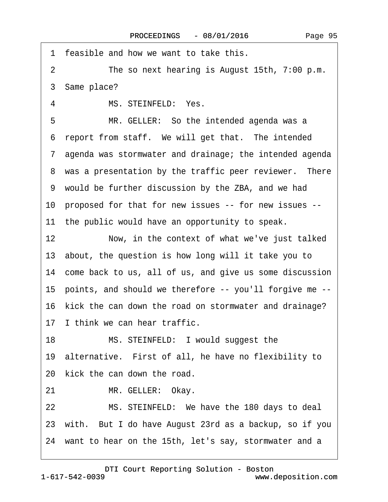<span id="page-94-0"></span>1 feasible and how we want to take this. 2 The so next hearing is August 15th, 7:00 p.m. ·3· Same place? 4 MS. STEINFELD: Yes. 5 MR. GELLER: So the intended agenda was a 6 report from staff. We will get that. The intended ·7· agenda was stormwater and drainage; the intended agenda 8 was a presentation by the traffic peer reviewer. There ·9· would be further discussion by the ZBA, and we had 10 proposed for that for new issues -- for new issues --11 the public would have an opportunity to speak. 12 Now, in the context of what we've just talked 13· about, the question is how long will it take you to 14 come back to us, all of us, and give us some discussion 15· points, and should we therefore -- you'll forgive me -- 16 kick the can down the road on stormwater and drainage? 17 I think we can hear traffic. 18 MS. STEINFELD: I would suggest the 19· alternative.· First of all, he have no flexibility to 20 kick the can down the road. 21 MR. GELLER: Okay. 22 MS. STEINFELD: We have the 180 days to deal 23· with.· But I do have August 23rd as a backup, so if you 24 want to hear on the 15th, let's say, stormwater and a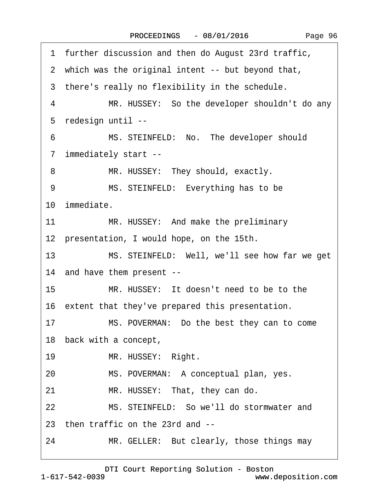<span id="page-95-0"></span>1 further discussion and then do August 23rd traffic,

|    | 2 which was the original intent -- but beyond that, |
|----|-----------------------------------------------------|
|    | 3 there's really no flexibility in the schedule.    |
| 4  | MR. HUSSEY: So the developer shouldn't do any       |
|    | 5 redesign until --                                 |
| 6  | MS. STEINFELD: No. The developer should             |
|    | 7 immediately start --                              |
| 8  | MR. HUSSEY: They should, exactly.                   |
| 9  | MS. STEINFELD: Everything has to be                 |
|    | 10 immediate.                                       |
| 11 | MR. HUSSEY: And make the preliminary                |
|    | 12 presentation, I would hope, on the 15th.         |
| 13 | MS. STEINFELD: Well, we'll see how far we get       |
|    | 14 and have them present --                         |
| 15 | MR. HUSSEY: It doesn't need to be to the            |
|    | 16 extent that they've prepared this presentation.  |
| 17 | MS. POVERMAN: Do the best they can to come          |
|    | 18 back with a concept,                             |
| 19 | MR. HUSSEY: Right.                                  |
| 20 | MS. POVERMAN: A conceptual plan, yes.               |
| 21 | MR. HUSSEY: That, they can do.                      |

22 MS. STEINFELD: So we'll do stormwater and

23· then traffic on the 23rd and --

24 MR. GELLER: But clearly, those things may

[DTI Court Reporting Solution - Boston](http://www.deposition.com)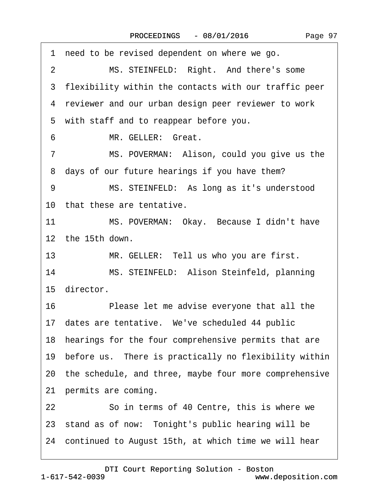<span id="page-96-0"></span>

| need to be revised dependent on where we go.<br>1             |
|---------------------------------------------------------------|
| $\overline{2}$<br>MS. STEINFELD: Right. And there's some      |
| 3 flexibility within the contacts with our traffic peer       |
| 4 reviewer and our urban design peer reviewer to work         |
| 5 with staff and to reappear before you.                      |
| MR. GELLER: Great.<br>6                                       |
| MS. POVERMAN: Alison, could you give us the<br>$\overline{7}$ |
| 8 days of our future hearings if you have them?               |
| MS. STEINFELD: As long as it's understood<br>9                |
| 10 that these are tentative.                                  |
| 11<br>MS. POVERMAN: Okay. Because I didn't have               |
| 12 the 15th down.                                             |
| MR. GELLER: Tell us who you are first.<br>13                  |
| MS. STEINFELD: Alison Steinfeld, planning<br>14               |
| 15 director.                                                  |
| 16<br>Please let me advise everyone that all the              |
| 17 dates are tentative. We've scheduled 44 public             |
| 18 hearings for the four comprehensive permits that are       |
| 19 before us. There is practically no flexibility within      |
| 20 the schedule, and three, maybe four more comprehensive     |
| 21 permits are coming.                                        |
| So in terms of 40 Centre, this is where we<br>22              |
| 23 stand as of now: Tonight's public hearing will be          |
| 24 continued to August 15th, at which time we will hear       |
|                                                               |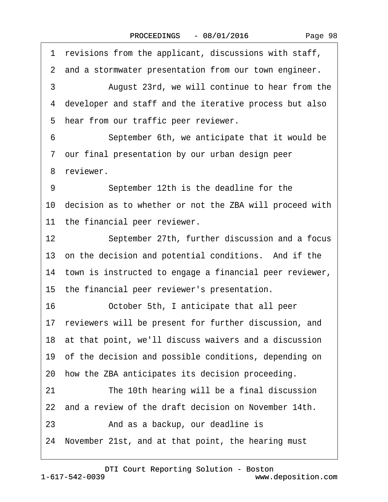Page 98

<span id="page-97-0"></span>1 revisions from the applicant, discussions with staff, 2 and a stormwater presentation from our town engineer. 3 • August 23rd, we will continue to hear from the ·4· developer and staff and the iterative process but also 5 hear from our traffic peer reviewer. 6 September 6th, we anticipate that it would be ·7· our final presentation by our urban design peer 8 reviewer. 9 September 12th is the deadline for the 10 decision as to whether or not the ZBA will proceed with 11 the financial peer reviewer. 12 September 27th, further discussion and a focus 13 on the decision and potential conditions. And if the 14 town is instructed to engage a financial peer reviewer, 15 the financial peer reviewer's presentation. 16· · · · · ·October 5th, I anticipate that all peer 17 reviewers will be present for further discussion, and 18 at that point, we'll discuss waivers and a discussion 19 of the decision and possible conditions, depending on 20 how the ZBA anticipates its decision proceeding. 21 The 10th hearing will be a final discussion 22 and a review of the draft decision on November 14th. 23 • **And as a backup, our deadline is** 24· November 21st, and at that point, the hearing must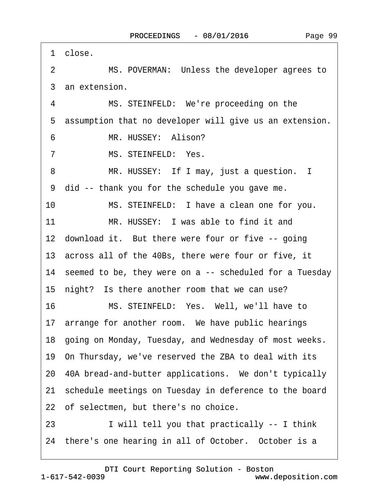<span id="page-98-0"></span>

|    | 1 close.                                                   |
|----|------------------------------------------------------------|
| 2  | MS. POVERMAN: Unless the developer agrees to               |
|    | 3 an extension.                                            |
| 4  | MS. STEINFELD: We're proceeding on the                     |
| 5  | assumption that no developer will give us an extension.    |
| 6  | MR. HUSSEY: Alison?                                        |
| 7  | MS. STEINFELD: Yes.                                        |
| 8  | MR. HUSSEY: If I may, just a question. I                   |
|    | 9 did -- thank you for the schedule you gave me.           |
| 10 | MS. STEINFELD: I have a clean one for you.                 |
| 11 | MR. HUSSEY: I was able to find it and                      |
|    | 12 download it. But there were four or five -- going       |
|    | 13 across all of the 40Bs, there were four or five, it     |
|    | 14 seemed to be, they were on a -- scheduled for a Tuesday |
|    | 15 night? Is there another room that we can use?           |
| 16 | MS. STEINFELD: Yes. Well, we'll have to                    |
|    | 17 arrange for another room. We have public hearings       |
|    | 18 going on Monday, Tuesday, and Wednesday of most weeks.  |
|    | 19 On Thursday, we've reserved the ZBA to deal with its    |
|    | 20 40A bread-and-butter applications. We don't typically   |
|    | 21 schedule meetings on Tuesday in deference to the board  |
|    | 22 of selectmen, but there's no choice.                    |
| 23 | I will tell you that practically -- I think                |
|    | 24 there's one hearing in all of October. October is a     |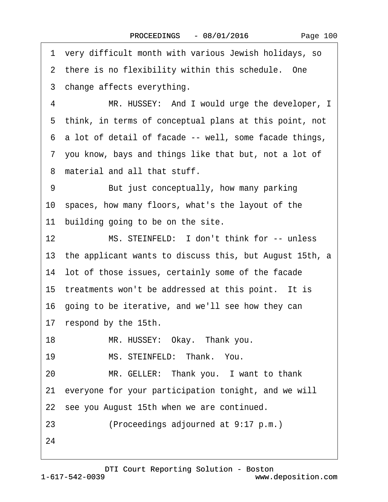<span id="page-99-0"></span>·1· very difficult month with various Jewish holidays, so 2 there is no flexibility within this schedule. One 3 change affects everything. 4 MR. HUSSEY: And I would urge the developer, I ·5· think, in terms of conceptual plans at this point, not ·6· a lot of detail of facade -- well, some facade things, ·7· you know, bays and things like that but, not a lot of ·8· material and all that stuff. 9 But just conceptually, how many parking 10· spaces, how many floors, what's the layout of the 11 building going to be on the site. 12 MS. STEINFELD: I don't think for -- unless 13· the applicant wants to discuss this, but August 15th, a 14 lot of those issues, certainly some of the facade 15 treatments won't be addressed at this point. It is 16 going to be iterative, and we'll see how they can 17 respond by the 15th. 18 MR. HUSSEY: Okay. Thank you. 19 MS. STEINFELD: Thank. You. 20 MR. GELLER: Thank you. I want to thank 21· everyone for your participation tonight, and we will 22 see you August 15th when we are continued. 23 • (Proceedings adjourned at 9:17 p.m.) 24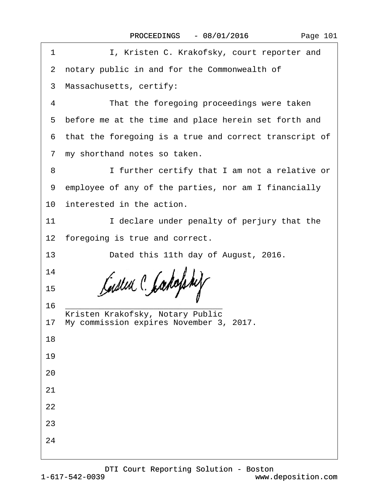| Page 101 |  |
|----------|--|
|----------|--|

| 1                                      | I, Kristen C. Krakofsky, court reporter and              |  |  |  |  |  |
|----------------------------------------|----------------------------------------------------------|--|--|--|--|--|
|                                        | 2 notary public in and for the Commonwealth of           |  |  |  |  |  |
|                                        | 3 Massachusetts, certify:                                |  |  |  |  |  |
| 4                                      | That the foregoing proceedings were taken                |  |  |  |  |  |
|                                        | 5 before me at the time and place herein set forth and   |  |  |  |  |  |
|                                        | 6 that the foregoing is a true and correct transcript of |  |  |  |  |  |
|                                        | 7 my shorthand notes so taken.                           |  |  |  |  |  |
| 8                                      | I further certify that I am not a relative or            |  |  |  |  |  |
|                                        | 9 employee of any of the parties, nor am I financially   |  |  |  |  |  |
|                                        | 10 interested in the action.                             |  |  |  |  |  |
| 11                                     | I declare under penalty of perjury that the              |  |  |  |  |  |
|                                        | 12 foregoing is true and correct.                        |  |  |  |  |  |
| 13                                     | Dated this 11th day of August, 2016.                     |  |  |  |  |  |
| 14                                     |                                                          |  |  |  |  |  |
| 15                                     |                                                          |  |  |  |  |  |
| 16<br>Kristen Krakofsky, Notary Public |                                                          |  |  |  |  |  |
|                                        | 17 My commission expires November 3, 2017.               |  |  |  |  |  |
| 18                                     |                                                          |  |  |  |  |  |
| 19                                     |                                                          |  |  |  |  |  |
| 20                                     |                                                          |  |  |  |  |  |
| 21                                     |                                                          |  |  |  |  |  |
| 22                                     |                                                          |  |  |  |  |  |
| 23                                     |                                                          |  |  |  |  |  |
| 24                                     |                                                          |  |  |  |  |  |
|                                        |                                                          |  |  |  |  |  |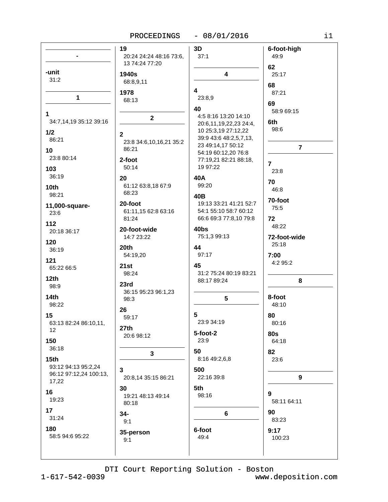# PROCEEDINGS - 08/01/2016

|                                                        | 19                               | 3D                                                                | 6-foot-high       |
|--------------------------------------------------------|----------------------------------|-------------------------------------------------------------------|-------------------|
|                                                        | 20:24 24:24 48:16 73:6,          | 37:1                                                              | 49:9              |
|                                                        | 13 74:24 77:20                   |                                                                   | 62                |
| -unit                                                  | 1940s                            | $\overline{\mathbf{4}}$                                           | 25:17             |
| 31:2                                                   | 68:8,9,11                        |                                                                   | 68                |
| 1                                                      | 1978                             | 4                                                                 | 87:21             |
|                                                        | 68:13                            | 23:8,9                                                            | 69                |
| 1<br>34:7,14,19 35:12 39:16                            | $\mathbf{2}$                     | 40<br>4:5 8:16 13:20 14:10<br>20:6,11,19,22,23 24:4,              | 58:9 69:15<br>6th |
| 1/2                                                    | $\overline{2}$                   | 10 25:3,19 27:12,22                                               | 98:6              |
| 86:21                                                  | 23:8 34:6, 10, 16, 21 35:2       | 39:9 43:6 48:2,5,7,13,                                            |                   |
| 10<br>23:8 80:14                                       | 86:21<br>2-foot                  | 23 49:14,17 50:12<br>54:19 60:12,20 76:8<br>77:19,21 82:21 88:18, | $\overline{7}$    |
| 103                                                    | 50:14                            | 19 97:22                                                          | $\overline{7}$    |
| 36:19                                                  | 20                               | 40A                                                               | 23:8              |
| 10th                                                   | 61:12 63:8,18 67:9               | 99:20                                                             | 70                |
| 98:21                                                  | 68:23                            | 40B                                                               | 46:8              |
| 11,000-square-                                         | 20-foot                          | 19:13 33:21 41:21 52:7                                            | 70-foot           |
| 23:6                                                   | 61:11,15 62:8 63:16              | 54:1 55:10 58:7 60:12                                             | 75:5              |
| 112                                                    | 81:24                            | 66:6 69:3 77:8,10 79:8                                            | 72                |
| 20:18 36:17                                            | 20-foot-wide                     | 40bs                                                              | 48:22             |
| 120                                                    | 14:7 23:22                       | 75:1,3 99:13                                                      | 72-foot-wide      |
| 36:19                                                  | 20th                             | 44                                                                | 25:18             |
| 121                                                    | 54:19,20                         | 97:17                                                             | 7:00              |
| 65:22 66:5                                             | 21st                             | 45                                                                | 4:2 95:2          |
| 12 <sub>th</sub>                                       | 98:24                            | 31:2 75:24 80:19 83:21                                            | 8                 |
| 98:9                                                   | 23rd                             | 88:17 89:24                                                       |                   |
| 14 <sub>th</sub>                                       | 36:15 95:23 96:1,23              | $5\phantom{.0}$                                                   | 8-foot            |
| 98:22                                                  | 98:3                             |                                                                   | 48:10             |
| 15                                                     | 26                               | 5                                                                 | 80                |
| 63:13 82:24 86:10,11,                                  | 59:17                            | 23:9 34:19                                                        | 80:16             |
| 12                                                     | 27th                             | 5-foot-2                                                          | <b>80s</b>        |
| 150                                                    | 20:6 98:12                       | 23:9                                                              | 64:18             |
| 36:18                                                  | 3                                | 50                                                                | 82                |
| 15 <sub>th</sub>                                       |                                  | 8:16 49:2,6,8                                                     | 23:6              |
| 93:12 94:13 95:2,24<br>96:12 97:12,24 100:13,<br>17,22 | 3<br>20:8,14 35:15 86:21         | 500<br>22:16 39:8                                                 | 9                 |
| 16<br>19:23                                            | 30<br>19:21 48:13 49:14<br>80:18 | 5th<br>98:16                                                      | 9<br>58:11 64:11  |
| 17                                                     | 34-                              | $6\phantom{a}$                                                    | 90                |
| 31:24                                                  | 9:1                              |                                                                   | 83:23             |
| 180                                                    | 35-person                        | 6-foot                                                            | 9:17              |
| 58:5 94:6 95:22                                        | 9:1                              | 49:4                                                              | 100:23            |
|                                                        |                                  |                                                                   |                   |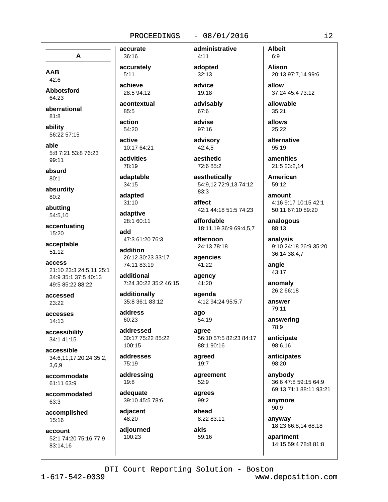#### $-08/01/2016$

administrative

A

**AAB**  $42:6$ 

**Abbotsford**  $64.23$ 

aberrational  $81:8$ 

ability  $56.22557.15$ 

able 5:8 7:21 53:8 76:23 99:11

absurd  $80:1$ 

absurdity  $80:2$ 

abutting 54:5,10

accentuating 15:20

acceptable  $51:12$ 

access 21:10 23:3 24:5.11 25:1 34:9 35:1 37:5 40:13 49:5 85:22 88:22

accessed 23:22

accesses  $14:13$ 

accessibility 34:1 41:15

accessible 34:6,11,17,20,24 35:2, 3.6.9

accommodate 61:11 63:9

accommodated 63:3

accomplished 15:16

account 52:1 74:20 75:16 77:9 83:14,16

36:16 accurately  $5:11$ 

accurate

achieve 28:5 94:12

acontextual  $85:5$ 

action 54:20

active 10:17 64:21

activities 78:19

adaptable  $34:15$ 

adapted  $31:10$ 

adaptive 28:1 60:11

add 47:3 61:20 76:3

addition 26:12 30:23 33:17 74:11 83:19

additional 7:24 30:22 35:2 46:15

additionally 35:8 36:1 83:12

address 60:23

addressed 30:17 75:22 85:22  $100:15$ 

addresses 75:19

addressing 19:8 adequate

39:10 45:5 78:6

adjacent 48:20

adjourned 100:23

 $4.11$ adopted  $32:13$ advice

19:18 advisablv

 $67:6$ advise

97:16 advisory

42:4.5 aesthetic

72:6 85:2 aesthetically

54:9,12 72:9,13 74:12  $83.3$ 

affect 42:1 44:18 51:5 74:23

affordable 18:11,19 36:9 69:4,5,7

afternoon 24:13 78:18

agencies 41:22

agency 41:20

agenda 4:12 94:24 95:5,7

ago 54:19

agree 56:10 57:5 82:23 84:17 88:1 90:16

agreed  $19:7$ 

agreement  $52:9$ agrees

99:2 ahead

8:22 83:11 aids 59:16

 $6:9$ **Alison** 20:13 97:7,14 99:6 allow

37:24 45:4 73:12

allowable  $35:21$ 

**Albeit** 

allows 25:22

alternative 95:19

amenities 21:5 23:2,14

American 59:12

 $amoint$ 4:16 9:17 10:15 42:1 50:11 67:10 89:20

analogous 88:13

analysis 9:10 24:18 26:9 35:20 36:14 38:4,7

angle 43:17

anomaly 26:2 66:18

answer 79:11

answering 78:9

anticipate 98:6,16

anticipates  $98:20$ 

anvbody 36:6 47:8 59:15 64:9 69:13 71:1 88:11 93:21

anymore  $90:9$ 

anyway 18:23 66:8,14 68:18

apartment 14:15 59:4 78:8 81:8

DTI Court Reporting Solution - Boston

 $1 - 617 - 542 - 0039$ 

www.deposition.com

 $i2$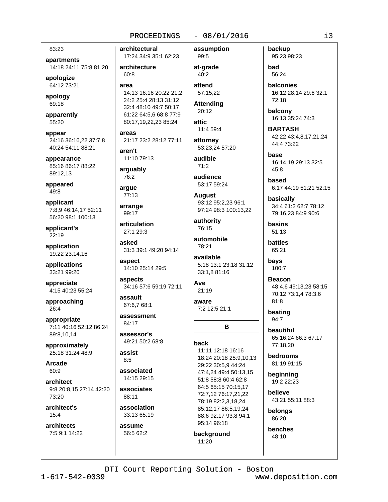### $-08/01/2016$

83:23

apartments 14:18 24:11 75:8 81:20

apologize 64:12 73:21

apology 69:18

apparently 55:20

appear 24:16 36:16.22 37:7.8 40:24 54:11 88:21

appearance 85:16 86:17 88:22 89:12,13

appeared 49:8

applicant 7:8,9 46:14,17 52:11 56:20 98:1 100:13

applicant's 22:19

application 19:22 23:14,16

applications 33:21 99:20

appreciate 4:15 40:23 55:24

approaching 26:4

appropriate 7:11 40:16 52:12 86:24 89:8,10,14

approximately 25:18 31:24 48:9

**Arcade**  $60:9$ 

architect 9:8 20:8,15 27:14 42:20  $73.20$ 

architect's  $15:4$ 

architects 7:5 9:1 14:22

# architectural 17:24 34:9 35:1 62:23

architecture  $60:8$ 

area

14:13 16:16 20:22 21:2 24:2 25:4 28:13 31:12 32:4 48:10 49:7 50:17 61:22 64:5,6 68:8 77:9 80:17,19,22,23 85:24

areas 21:17 23:2 28:12 77:11

aren't 11:10 79:13

arguably 76:2

arque 77:13

arrange

99:17 articulation 27:1.29:3

asked

31:3 39:1 49:20 94:14

aspect 14:10 25:14 29:5

aspects 34:16 57:6 59:19 72:11

assault 67:6.7 68:1

assessment 84:17

assessor's 49:21 50:2 68:8

assist  $8:5$ 

associated 14:15 29:15

associates 88:11

association 33:13 65:19

assume 56:5 62:2 assumption 99:5

at-grade  $40:2$ 

attend 57:15,22

**Attending** 20:12

attic 11:4 59:4

attorney

53:23,24 57:20 audible

 $71:2$ audience

53:17 59:24

**August** 93:12 95:2.23 96:1 97:24 98:3 100:13,22

authority 76:15

automobile 78:21

available 5:18 13:1 23:18 31:12 33:1,8 81:16

B

Ave  $21:19$ 

aware 7:2 12:5 21:1

back

11:11 12:18 16:16 18:24 20:18 25:9,10,13 29:22 30:5,9 44:24 47:4,24 49:4 50:13,15 51:8 58:8 60:4 62:8 64:5 65:15 70:15.17 72:7,12 76:17,21,22 78:19 82:2,3,18,24 85:12,17 86:5,19,24 88:6 92:17 93:8 94:1 95:14 96:18

background  $11:20$ 

backup 95:23 98:23

bad 56:24

**balconies** 16:12 28:14 29:6 32:1 72:18

balcony 16:13 35:24 74:3

**BARTASH** 42:22 43:4,8,17,21,24 44:4 73:22

hase 16:14,19 29:13 32:5  $45:8$ 

based 6:17 44:19 51:21 52:15

basically 34:4 61:2 62:7 78:12 79:16,23 84:9 90:6

basins  $51:13$ 

battles 65:21

bays 100:7

> **Beacon** 48:4,6 49:13,23 58:15 70:12 73:1,4 78:3,6  $81:8$

beating  $94:7$ 

beautiful 65:16,24 66:3 67:17 77:18.20

bedrooms 81:19 91:15

beginning 19:2 22:23

believe 43:21 55:11 88:3

belongs 86:20

benches 48:10

DTI Court Reporting Solution - Boston

 $1 - 617 - 542 - 0039$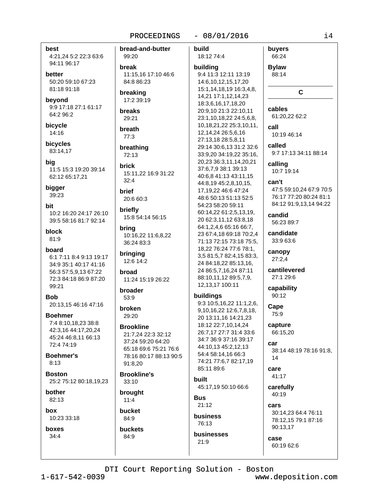#### $-08/01/2016$

best 4:21,24 5:2 22:3 63:6 94:11 96:17

hetter 50:20 59:10 67:23 81:18 91:18

beyond 9:9 17:18 27:1 61:17 64:2 96:2

bicycle 14:16

**bicvcles** 83:14.17

bia 11:5 15:3 19:20 39:14 62:12 65:17,21

bigger 39:23

bit 10:2 16:20 24:17 26:10 39:5 58:16 81:7 92:14

block 81:9

board 6:1 7:11 8:4 9:13 19:17 34:9 35:1 40:17 41:16 56:3 57:5,9,13 67:22 72:3 84:18 86:9 87:20 99:21

**Bob** 20:13.15 46:16 47:16

**Boehmer** 7:4 8:10,18,23 38:8 42:3.16 44:17.20.24 45:24 46:8,11 66:13 72:4 74:19

**Boehmer's**  $8:13$ 

**Roston** 25:2 75:12 80:18,19,23

84:9

bother 82:13

hox

10:23 33:18

boxes  $34:4$ 

bread-and-butter huild 99:20 18:12 74:4 break 11:15.16 17:10 46:6 84:8 86:23 breaking 17:2 39:19 **breaks** 29:21 breath  $77:3$ breathing 72:13 **brick** 15:11,22 16:9 31:22  $32:4$ **brief** 20:6 60:3 briefly 15:8 54:14 56:15 bring 10:16,22 11:6,8,22 36:24 83:3 bringing 12:6 14:2 hroad 11:24 15:19 26:22 broader  $53:9$ broken 29:20 **Brookline** 21:7,24 22:3 32:12 37:24 59:20 64:20 65:18 69:6 75:21 76:6 78:16 80:17 88:13 90:5 91:8.20 **Brookline's built**  $33:10$ brought **Rus**  $11:4$ bucket 84:9 buckets

building 9:4 11:3 12:11 13:19 14:6,10,12,15,17,20 15:1,14,18,19 16:3,4,8, 14,21 17:1,12,14,23 18:3,6,16,17,18,20 20:9,10 21:3 22:10,11 23:1,10,18,22 24:5,6,8, 10,18,21,22 25:3,10,11, 12,14,24 26:5,6,16 27:13,18 28:5,8,11 29:14 30:6,13 31:2 32:6 33:9,20 34:19,22 35:16, 20,23 36:3,11,14,20,21 37:6,7,9 38:1 39:13 40:6,8 41:13 43:11,15 44:8,19 45:2,8,10,15, 17, 19, 22 46: 6 47: 24 48:6 50:13 51:13 52:5 54:23 58:20 59:11 60:14,22 61:2,5,13,19, 20 62:3,11,12 63:8,18 64:1,2,4,6 65:16 66:7, 23 67:4,18 69:18 70:2,4 71:13 72:15 73:18 75:5, 18,22 76:24 77:6 78:1, 3,5 81:5,7 82:4,15 83:3, 24 84:18,22 85:13,16, 24 86:5,7,16,24 87:11 88:10,11,12 89:5,7,9, 12, 13, 17 100: 11 buildings 9:3 10:5,16,22 11:1,2,6, 9,10,16,22 12:6,7,8,18, 20 13:11,16 14:21,23 18:12 22:7,10,14,24 26:7,17 27:7 31:4 33:6 34:7 36:9 37:16 39:17 44:10.13 45:2.12.13 54:4 58:14,16 66:3 74:21 77:6,7 82:17,19 85:11 89:6 45:17,19 50:10 66:6

 $21:12$ business 76:13

businesses 21:9

buyers 66:24

**Bylaw** 88:14

C

cables

61:20,22 62:2

call 10:19 46:14

called

9:7 17:13 34:11 88:14

calling

10:7 19:14

can't

47:5 59:10.24 67:9 70:5 76:17 77:20 80:24 81:1 84:12 91:9,13,14 94:22

candid 56:23 89:7

candidate 33:9 63:6

canopy  $27:2.4$ 

cantilevered 27:1 29:6

capability 90:12

Cape 75:9

capture 66:15,20

car 38:14 48:19 78:16 91:8, 14

Care 41:17

carefully 40:19

cars 30:14,23 64:4 76:11 78:12.15 79:1 87:16 90:13,17

case 60:19 62:6

DTI Court Reporting Solution - Boston

 $1 - 617 - 542 - 0039$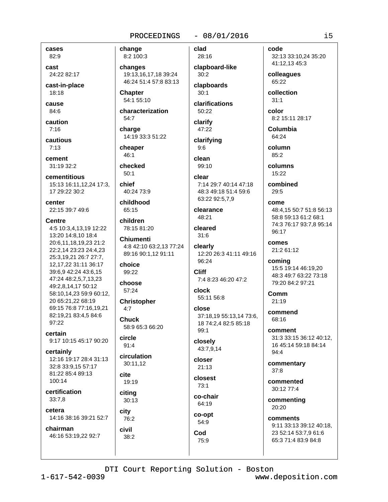## $-08/01/2016$

cases 82:9

cast 24:22 82:17

cast-in-place 18:18

cause  $84:6$ 

caution  $7:16$ 

cautious

 $7:13$ cement

31:19 32:2

cementitious 15:13 16:11.12.24 17:3. 17 29:22 30:2

center 22:15 39:7 49:6

**Centre** 4:5 10:3,4,13,19 12:22 13:20 14:8,10 18:4 20:6.11.18.19.23 21:2 22:2,14 23:23 24:4,23 25:3,19,21 26:7 27:7, 12, 17, 22 31: 11 36: 17 39:6,9 42:24 43:6,15 47:24 48:2,5,7,13,23 49:2,8,14,17 50:12 58:10,14,23 59:9 60:12, 20 65:21.22 68:19 69:15 76:8 77:16.19.21 82:19,21 83:4,5 84:6 97:22

certain 9:17 10:15 45:17 90:20

certainly 12:16 19:17 28:4 31:13 32:8 33:9,15 57:17 81:22 85:4 89:13 100:14

certification  $33:7.8$ 

cetera 14:16 38:16 39:21 52:7

chairman 46:16 53:19,22 92:7 change 8:2 100:3

changes 19:13,16,17,18 39:24 46:24 51:4 57:8 83:13

**Chapter** 54:1 55:10

characterization 54:7

charge 14:19 33:3 51:22

cheaper  $46:1$ 

checked  $50:1$ 

chief  $40.2473.9$ 

childhood 65:15

children 78:15 81:20

**Chiumenti** 4:8 42:10 63:2.13 77:24 89:16 90:1,12 91:11

choice 99:22

choose 57:24

**Christopher**  $4:7$ 

**Chuck** 58:9 65:3 66:20

circle  $91:4$ 

circulation 30:11.12 cite

19:19 citing

30:13 city

76:2 civil 38:2

clad 28:16

 $30:2$ clapboards

clapboard-like

 $30:1$ clarifications

 $50:22$ 

clarify 47:22

clarifying  $9:6$ clean

 $99:10$ 

clear 7:14 29:7 40:14 47:18 48:3 49:18 51:4 59:6 63:22 92:5,7,9

clearance 48:21

cleared  $31:6$ 

clearly 12:20 26:3 41:11 49:16 96:24

**Cliff** 7:4 8:23 46:20 47:2

clock 55:11 56:8

close 37:18,19 55:13,14 73:6, 18 74:2.4 82:5 85:18 99:1

closely 43:7,9,14

closer  $21:13$ 

closest  $73.1$ 

co-chair 64:19

co-opt 54:9 Cod 75:9

code 32:13 33:10,24 35:20 41:12,13 45:3

colleagues 65:22

collection

 $31:1$ color 8:2 15:11 28:17

Columbia 64:24

column 85:2

columns 15:22

combined  $29.5$ 

come 48:4.15 50:7 51:8 56:13 58:8 59:13 61:2 68:1 74:3 76:17 93:7,8 95:14 96:17

comes 21:2 61:12

coming 15:5 19:14 46:19,20 48:3 49:7 63:22 73:18 79:20 84:2 97:21

Comm  $21:19$ 

commend 68:16

comment 31:3 33:15 36:12 40:12, 16 45:14 59:18 84:14  $94:4$ 

commentary  $37:8$ 

commented 30:12 77:4

commenting 20:20

comments 9:11 33:13 39:12 40:18, 23 52:14 53:7,9 61:6 65:3 71:4 83:9 84:8

DTI Court Reporting Solution - Boston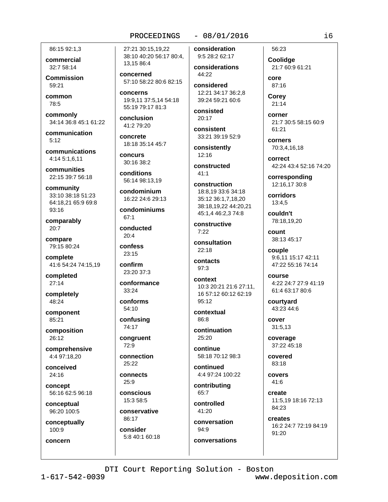86:15 92:1.3

commercial 32:7 58:14

**Commission**  $59.21$ 

common 78:5

commonly 34:14 36:8 45:1 61:22

communication  $5:12$ 

communications 4:14 5:1.6.11

communities 22:15 39:7 56:18

community 33:10 38:18 51:23 64:18,21 65:9 69:8 93:16

comparably 20:7

compare 79:15 80:24

complete 41:6 54:24 74:15,19

completed  $27:14$ 

completely 48:24

component 85:21

composition 26:12

comprehensive 4:4 97:18.20

conceived 24:16

concept 56:16 62:5 96:18

conceptual 96:20 100:5

conceptually 100:9

concern

27:21 30:15.19.22 38:10 40:20 56:17 80:4, 13,15 86:4

concerned 57:10 58:22 80:6 82:15

concerns 19:9.11 37:5.14 54:18 55:19 79:17 81:3

conclusion 41:2 79:20

concrete 18:18 35:14 45:7

**concurs** 30:16 38:2

conditions 56:14 98:13.19

condominium 16:22 24:6 29:13

condominiums  $67.1$ 

conducted

 $20:4$ confess

 $23:15$ confirm

23:20 37:3

conformance  $33.24$ 

conforms 54:10

confusing 74:17

congruent  $72:9$ 

connection 25:22

connects  $25:9$ 

conscious 15:3 58:5

conservative 86:17 consider

5:8 40:1 60:18

# $-08/01/2016$

consideration 9:5 28:2 62:17

considerations  $44:22$ 

considered 12:21 34:17 36:2,8 39:24 59:21 60:6

consisted  $20:17$ 

consistent 33:21 39:19 52:9

consistently  $12:16$ 

constructed  $41.1$ 

construction 18:8.19 33:6 34:18 35:12 36:1,7,18,20 38:18,19,22 44:20,21 45:1,4 46:2,3 74:8

constructive  $7:22$ 

consultation  $22.18$ 

contacts  $97:3$ 

context 10:3 20:21 21:6 27:11. 16 57:12 60:12 62:19 95:12

contextual 86:8

continuation 25:20

continue 58:18 70:12 98:3

continued 4:4 97:24 100:22

contributing 65:7

controlled  $41:20$ 

conversation 94:9 conversations

56:23 Coolidge 21:7 60:9 61:21

core 87:16

Corey  $21:14$ 

> corner 21:7 30:5 58:15 60:9  $61.21$

corners 70:3,4,16,18

correct 42:24 43:4 52:16 74:20

corresponding 12:16.17 30:8

corridors 13:4.5

couldn't 78:18.19.20

count 38:13 45:17

couple 9:6,11 15:17 42:11 47:22 55:16 74:14

course 4:22 24:7 27:9 41:19 61:4 63:17 80:6

courtyard 43:23 44:6

cover 31:5,13

coverage 37:22 45:18

covered 83:18

covers  $41:6$ 

create 11:5,19 18:16 72:13 84:23

creates 16:2 24:7 72:19 84:19 91:20

DTI Court Reporting Solution - Boston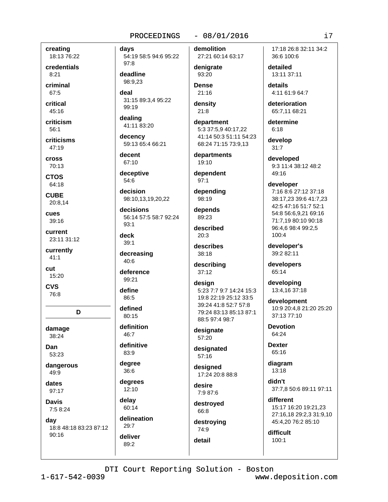creating 18:13 76:22

credentials  $8:21$ 

criminal 67:5

critical  $45:16$ 

criticism  $56:1$ 

criticisms 47:19

**Cross** 70:13

**CTOS** 

64:18 **CUBE** 

20:8.14

cues  $39:16$ 

current 23:11 31:12

currently  $41:1$ 

cut 15:20

**CVS** 76:8

D

damage 38:24

Dan 53:23

dangerous 49:9

dates  $97:17$ 

**Davis** 

 $7:58:24$ 

day

18:8 48:18 83:23 87:12  $90:16$ 

davs 54:19 58:5 94:6 95:22 97:8

deadline 98:9.23

deal 31:15 89:3,4 95:22

99:19 dealing

41:11 83:20 decency

59:13 65:4 66:21

decent 67:10

deceptive 54:6

decision 98:10,13,19,20,22

decisions 56:14 57:5 58:7 92:24  $93:1$ 

deck  $39:1$ 

decreasing 40:6

deference 99:21

define

86:5 defined

80:15

definition

46:7 definitive

83:9

degree 36:6

degrees  $12:10$ 

delay 60:14 delineation

 $89:2$ 

 $29.7$ deliver  $-08/01/2016$ 

demolition 27:21 60:14 63:17

denigrate 93:20

**Dense**  $21:16$ 

density  $21:8$ 

> department 5:3 37:5,9 40:17,22 41:14 50:3 51:11 54:23 68:24 71:15 73:9,13

departments 19:10

dependent  $97:1$ 

depending 98:19

depends  $89:23$ 

described  $20:3$ 

describes 38:18

describing  $37:12$ 

design 5:23 7:7 9:7 14:24 15:3 19:8 22:19 25:12 33:5 39:24 41:8 52:7 57:8 79:24 83:13 85:13 87:1 88:5 97:4 98:7

designate 57:20

designated 57:16

designed 17:24 20:8 88:8

desire 7:9 87:6

destroyed 66:8

destroying 74:9

detail

17:18 26:8 32:11 34:2 36:6 100:6

detailed 13:11 37:11

details 4:11 61:9 64:7

deterioration 65:7.11 68:21

determine  $6:18$ 

develop  $31:7$ 

developed 9:3 11:4 38:12 48:2 49:16

developer

7:16 8:6 27:12 37:18 38:17,23 39:6 41:7,23 42:5 47:16 51:7 52:1 54:8 56:6,9,21 69:16 71:7.19 80:10 90:18 96:4,6 98:4 99:2,5  $100:4$ 

developer's 39:2 82:11

developers 65:14

developing 13:4,16 37:18

development 10:9 20:4.8 21:20 25:20  $37.1377.10$ 

**Devotion** 64:24

**Dexter** 65:16

diagram 13:18

didn't 37:7,8 50:6 89:11 97:11

different 15:17 16:20 19:21,23 27:16,18 29:2,3 31:9,10 45:4,20 76:2 85:10

difficult  $100:1$ 

DTI Court Reporting Solution - Boston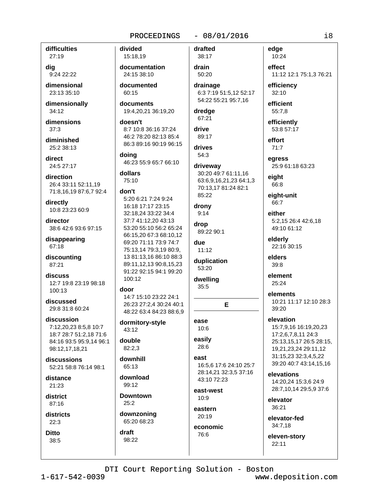#### difficulties 27:19

dig 9:24 22:22

dimensional 23:13 35:10

dimensionally 34:12

dimensions  $37:3$ 

diminished 25:2 38:13

direct 24:5 27:17

direction 26:4 33:11 52:11.19 71:8,16,19 87:6,7 92:4

directly 10:8 23:23 60:9

director 38:6 42:6 93:6 97:15

disappearing 67:18

discounting 87:21

discuss 12:7 19:8 23:19 98:18  $100.13$ 

discussed 29:8 31:8 60:24

discussion 7:12,20,23 8:5,8 10:7 18:7 28:7 51:2,18 71:6 84:16 93:5 95:9,14 96:1 98:12,17,18,21

discussions 52:21 58:8 76:14 98:1

distance  $21.23$ 

district  $87:16$ 

districts  $22:3$ 

**Ditto** 38:5 divided 15:18,19

documentation 24:15 38:10

documented 60:15

documents 19:4,20,21 36:19,20

doesn't 8:7 10:8 36:16 37:24 46:2 78:20 82:13 85:4 86:3 89:16 90:19 96:15

doina 46:23 55:9 65:7 66:10

dollars 75:10

#### don't

5:20 6:21 7:24 9:24 16:18 17:17 23:15 32:18,24 33:22 34:4 37:7 41:12,20 43:13 53:20 55:10 56:2 65:24 66:15,20 67:3 68:10,12 69:20 71:11 73:9 74:7 75:13,14 79:3,19 80:9, 13 81:13,16 86:10 88:3 89:11,12,13 90:8,15,23 91:22 92:15 94:1 99:20 100:12

#### door

14:7 15:10 23:22 24:1 26:23 27:2,4 30:24 40:1 48:22 63:4 84:23 88:6,9

dormitory-style 43:12

double 82:2.3

downhill 65:13

download 99:12

**Downtown**  $25:2$ 

downzoning 65:20 68:23

draft 98:22 drafted 38:17

 $-08/01/2016$ 

drain 50:20 drainage

6:3 7:19 51:5,12 52:17 54:22 55:21 95:7,16

```
dredge
 67:21
```
drive 89:17

#### drives 54:3

driveway 30:20 49:7 61:11,16 63:6,9,16,21,23 64:1,3 70:13.17 81:24 82:1 85:22

#### drony  $9:14$

drop 89:22 90:1

due  $11.12$ 

duplication 53:20

```
dwelling
 35:5
```
E

#### ease  $10:6$

easily 28:6

east 16:5.6 17:6 24:10 25:7 28:14,21 32:3,5 37:16 43:10 72:23

east-west  $10.9$ 

eastern 20:19

economic 76:6

edge 10:24

> effect 11:12 12:1 75:1,3 76:21

efficiency 32:10

efficient 55:7,8

efficiently

53:8 57:17 effort

 $71:7$ earess

25:9 61:18 63:23

eight 66:8

eight-unit 66:7

either 5:2.15 26:4 42:6.18 49:10 61:12

elderly 22:16 30:15

elders  $39:8$ 

element 25:24

elements 10:21 11:17 12:10 28:3 39:20

elevation 15:7,9,16 16:19,20,23 17:2,6,7,8,11 24:3

25:13,15,17 26:5 28:15, 19,21,23,24 29:11,12 31:15,23 32:3,4,5,22 39:20 40:7 43:14,15,16

elevations 14:20,24 15:3,6 24:9 28:7,10,14 29:5,9 37:6

elevator  $36:21$ 

elevator-fed 34:7,18

eleven-story  $22:11$ 

DTI Court Reporting Solution - Boston

 $1 - 617 - 542 - 0039$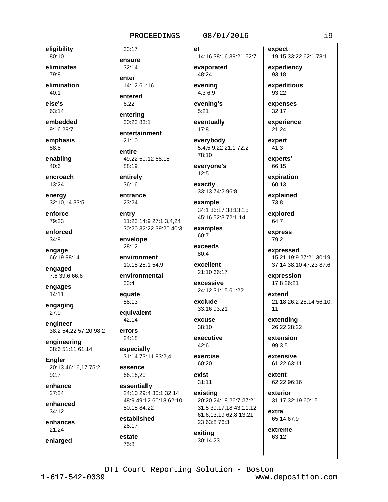#### $-08/01/2016$

eligibility 80:10

eliminates 79:8

elimination  $40:1$ 

else's  $63:14$ 

embedded 9:16 29:7

emphasis 88:8

enabling 40:6

encroach 13:24

energy 32:10,14 33:5

enforce 79:23

enforced  $34:8$ 

engage 66:19 98:14

engaged 7:6 39:6 66:6

engages  $14:11$ 

engaging 27:9

engineer 38:2 54:22 57:20 98:2

engineering 38:6 51:11 61:14

**Engler** 20:13 46:16,17 75:2  $92:7$ 

enhance  $27:24$ 

enhanced  $34:12$ 

enhances  $21:24$ 

enlarged

entered  $6:22$ entering

14:12 61:16

33:17

ensure

 $32:14$ 

enter

30:23 83:1

entertainment  $21:10$ 

entire 49:22 50:12 68:18 88:19

entirely 36:16

entrance 23:24

entry 11:23 14:9 27:1.3.4.24 30:20 32:22 39:20 40:3

envelope 28:12

environment 10:18 28:1 54:9

environmental  $33:4$ 

equate 58:13

equivalent 42:14

errors 24:18

66:16.20

especially

31:14 73:11 83:2,4 essence

essentially 24:10 29:4 30:1 32:14 48:9 49:12 60:18 62:10 80:15 84:22

established  $28.17$ 

estate  $75:8$ 

et 14:16 38:16 39:21 52:7

evaporated 48:24 evenina

4:3 6:9 evening's

 $5:21$ 

eventually  $17:8$ 

everybody 5:4.5 9:22 21:1 72:2 78:10

everyone's  $12:5$ 

exactly 33:13 74:2 96:8

example 34:1 36:17 38:13,15 45:16 52:3 72:1.14

examples

60:7 exceeds

 $80:4$ excellent

21:10 66:17

excessive 24:12 31:15 61:22

exclude 33:16 93:21

excuse  $38.10$ 

executive  $42:6$ 

exercise 60:20

exist  $31:11$ existing

20:20 24:18 26:7 27:21 31:5 39:17,18 43:11,12 61:6,13,19 62:8,13,21, 23 63:8 76:3

exiting 30:14.23 expect

19:15 33:22 62:1 78:1

expediency 93:18

expeditious 93:22

expenses  $32:17$ 

experience 21:24

expert  $41:3$ 

> experts' 66:15

expiration

60:13

explained 73:8

explored 64:7

express 79:2

expressed 15:21 19:9 27:21 30:19 37:14 38:10 47:23 87:6

expression 17:8 26:21

extend 21:18 26:2 28:14 56:10,  $11$ 

extending 26:22 28:22

extension 99:3.5

extensive 61:22 63:11

extent 62:22 96:16

exterior 31:17 32:19 60:15

65:14 67:9

extreme 63:12

extra

DTI Court Reporting Solution - Boston

 $1 - 617 - 542 - 0039$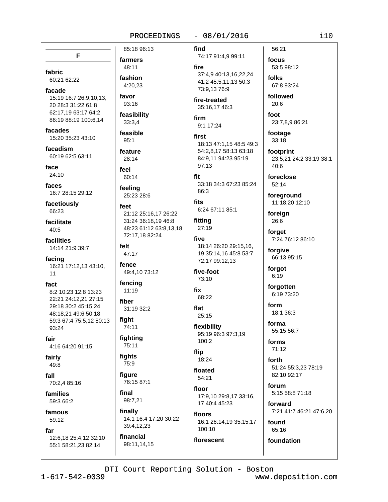### $-08/01/2016$

F farmers 48:11 fabric fashion 60:21 62:22 4:20.23 facade favor 15:19 16:7 26:9,10,13, 93:16 20 28:3 31:22 61:8 62:17,19 63:17 64:2 feasibility 86:19 88:19 100:6.14 33:3,4 facades 15:20 35:23 43:10  $95:1$ facadism 60:19 62:5 63:11 face feel  $24:10$ 60:14 faces feeling 16:7 28:15 29:12 facetiously feet 66:23 facilitate  $40:5$ facilities felt 14:14 21:9 39:7 47:17 facing fence 16:21 17:12.13 43:10. 49:4,10 73:12  $11$ fact 8:2 10:23 12:8 13:23 22:21 24:12,21 27:15 fiber 29:18 30:2 45:15.24 48:18,21 49:6 50:18 fiaht 59:3 67:4 75:5,12 80:13 93:24 fighting fair 4:16 64:20 91:15 fights fairly 75:9 49:8 figure  $fall$ 70:2,4 85:16 final families 59:3 66:2 famous

# 59:12

far 12:6,18 25:4,12 32:10 55:1 58:21,23 82:14

85:18 96:13

feasible

feature  $28:14$ 

25:23 28:6

21:12 25:16.17 26:22 31:24 36:18.19 46:8 48:23 61:12 63:8,13,18 72:17,18 82:24

fencing  $11:19$ 

31:19 32:2

74:11

75:11

76:15 87:1

98:7,21

finally 14:1 16:4 17:20 30:22 39:4,12,23

financial 98:11,14,15 find 74:17 91:4,9 99:11

fire 37:4,9 40:13,16,22,24

41:2 45:5,11,13 50:3 73:9,13 76:9

fire-treated 35:16.17 46:3

firm 9:1 17:24

first 18:13 47:1.15 48:5 49:3 54:2.8.17 58:13 63:18 84:9,11 94:23 95:19 97:13

fit 33:18 34:3 67:23 85:24 86:3

fits 6:24 67:11 85:1

fitting  $27:19$ 

five 18:14 26:20 29:15.16. 19 35:14,16 45:8 53:7 72:17 99:12,13

five-foot 73:10

fix 68:22

flat 25:15

flexibility 95:19 96:3 97:3,19 100:2

flip 18:24

floated

54:21 floor 17:9,10 29:8,17 33:16, 17 40:4 45:23

floors 16:1 26:14,19 35:15,17

100:10 florescent focus 53:5 98:12 folks 67:8 93:24

followed  $20:6$ 

56:21

foot 23:7,8,9 86:21

footage  $33:18$ 

footprint 23:5,21 24:2 33:19 38:1  $40:6$ 

foreclose  $52:14$ 

foreground 11:18,20 12:10

foreign 26:6

forget 7:24 76:12 86:10

forgive 66:13 95:15

> forgot  $6:19$

forgotten 6:19 73:20

form 18:1 36:3

forma 55:15 56:7

forms 71:12

forth 51:24 55:3.23 78:19 82:10 92:17

forum 5:15 58:8 71:18

forward 7:21 41:7 46:21 47:6,20

found 65:16

foundation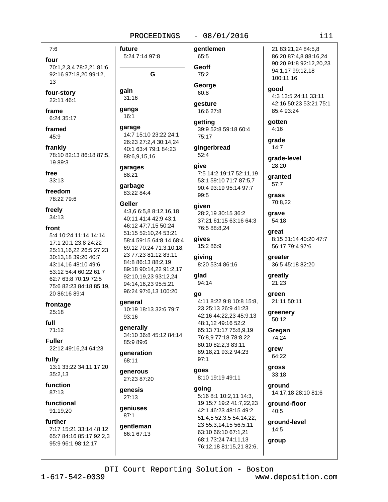#### $-08/01/2016$

four 70:1,2,3,4 78:2,21 81:6 92:16 97:18,20 99:12,

 $7:6$ 

13

four-story 22:11 46:1

frame 6:24 35:17

framed 45:9

frankly 78:10 82:13 86:18 87:5, 19 89:3

free  $33:13$ 

freedom

78:22 79:6

freely  $34:13$ 

front

5:4 10:24 11:14 14:14 17:1 20:1 23:8 24:22 25:11,16,22 26:5 27:23 30:13,18 39:20 40:7 43:14.16 48:10 49:6 53:12 54:4 60:22 61:7 62:7 63:8 70:19 72:5 75:6 82:23 84:18 85:19, 20 86:16 89:4

frontage  $25:18$ 

full  $71:12$ 

**Fuller** 22:12 49:16,24 64:23

fully 13:1 33:22 34:11,17,20 35:2,13

function  $87:13$ 

functional 91:19,20

#### further

7:17 15:21 33:14 48:12 65:7 84:16 85:17 92:2,3 95:9 96:1 98:12,17

future 5:24 7:14 97:8 G gain  $31:16$ gangs  $16:1$ 

qarage 14:7 15:10 23:22 24:1

26:23 27:2,4 30:14,24 40:1 63:4 79:1 84:23 88:6,9,15,16

garages 88:21

garbage 83:22 84:4

#### Geller

4:3,6 6:5,8 8:12,16,18 40:11 41:4 42:9 43:1 46:12 47:7,15 50:24 51:15 52:10,24 53:21 58:4 59:15 64:8,14 68:4 69:12 70:24 71:3,10,18, 23 77:23 81:12 83:11 84:8 86:13 88:2,19 89:18 90:14,22 91:2,17 92:10.19.23 93:12.24 94:14,16,23 95:5,21 96:24 97:6,13 100:20

#### deneral

10:19 18:13 32:6 79:7 93:16

generally 34:10 36:8 45:12 84:14 85:9 89:6

qeneration 68:11

#### **aenerous** 27:23 87:20

genesis  $27:13$ 

geniuses  $87:1$ 

# qentleman 66:1 67:13

gentlemen 65:5 Geoff  $75:2$ 

George 60:8

gesture 16:6 27:8

qetting 39:9 52:8 59:18 60:4  $75:17$ 

gingerbread  $52:4$ 

### give 7:5 14:2 19:17 52:11,19

53:1 59:10 71:7 87:5,7 90:4 93:19 95:14 97:7 99:5

#### given

28:2,19 30:15 36:2 37:21 61:15 63:16 64:3 76:5 88:8,24

gives 15:2 86:9

giving 8:20 53:4 86:16

glad 94:14

#### qo

4:11 8:22 9:8 10:8 15:8. 23 25:13 26:9 41:23 42:16 44:22,23 45:9,13 48:1,12 49:16 52:2 65:13 71:17 75:8,9,19 76:8,9 77:18 78:8,22 80:10 82:2,3 83:11 89:18,21 93:2 94:23  $97:1$ 

# qoes

8:10 19:19 49:11 going 5:16 8:1 10:2,11 14:3, 19 15:7 19:2 41:7,22,23 42:1 46:23 48:15 49:2 51:4,5 52:3,5 54:14,22, 23 55:3,14,15 56:5,11 63:10 66:10 67:1,21 68:1 73:24 74:11,13

76:12,18 81:15,21 82:6,

21 83:21,24 84:5,8 86:20 87:4,8 88:16,24 90:20 91:8 92:12,20,23 94:1,17 99:12,18 100:11,16

aood 4:3 13:5 24:11 33:11 42:16 50:23 53:21 75:1 85:4 93:24

gotten  $4:16$ 

grade  $14:7$ 

grade-level 28:20

qranted  $57:7$ 

grass 70:8,22

qrave 54:18

great 8:15 31:14 40:20 47:7 56:17 79:4 97:6

greater 36:5 45:18 82:20

greatly 21:23

green 21:11 50:11

greenery 50:12

Gregan 74:24

grew 64:22

gross  $33:18$ 

> ground 14:17,18 28:10 81:6

ground-floor  $40:5$ 

ground-level 14:5

group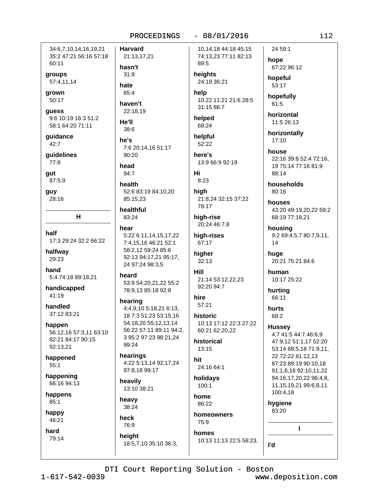34:6.7.10.14.16.19.21 35:2 47:21 56:16 57:18 60:11

groups 57:4,11,14

grown 50:17

guess 9:6 10:19 16:3 51:2 58:1 64:20 71:11

guidance 42:7

quidelines 77:8

gut

87:5,9 guy

28:16

half 17:3 29:24 32:2 66:22

H.

halfway 29:23

hand 5:4 74:18 89:18,21

handicapped 41:19

handled 37:12 83:21

happen 56:12,16 57:3,11 63:10 82:21 84:17 90:15 92:13,21

happened  $55:1$ 

happening 66:16 94:13

happens  $85:1$ 

happy 46:21

hard 79:14 **Harvard** 21:13,17,21 hasn't  $31:9$ hate 65:4 haven't 22:18.19 He'll 38:6

he's 7:6 20:14.16 51:17  $90:20$ 

head 94:7

health 52:6 83:19 84:10,20 85:15,23

healthful 83:24

hear

5:22 6:11,14,15,17,22 7:4.15.16 46:21 52:1 58:2,12 59:24 85:6 92:13 94:17,21 95:17, 24 97:24 98:3.5

heard 53:9 54:20,21,22 55:2 78:9,13 85:18 92:8

hearing 4:4.9.10 5:18.21 6:13. 18 7:3 51:23 53:15,16 54:18,20 55:12,13,14 56:22 57:11 89:11 94:2. 3 95:2 97:23 98:21,24 99:24

hearings 4:22 5:13,14 92:17,24 97:8,18 99:17

18:5,7,10 35:10 36:3,

heavily 13:10 38:21

heavy 38:24

heck 76:9 height

86:22

10:13 11:13 22:5 58:23.

10.14.18 44:18 45:15 74:13,23 77:11 82:13

 $-08/01/2016$ 

24:19 36:21

help 10:22 11:21 21:6 28:5 31:15 86:7

helped 68:24

89:5

heights

helpful 52:22

here's 13:9 66:9 92:19

Hi  $8:23$ 

high 21:8,24 32:15 37:22 78:17

high-rise 20:24 46:7,8

high-rises 67:17

higher  $32:13$ 

Hill 21:14 53:12,22,23 92:20 94:7

hire  $57:21$ 

historic 10:13 17:12 22:3 27:22 60:21 62:20,22

historical  $13:15$ 

hit 24:16 64:1

holidavs  $100.1$ 

home

homeowners 75:9

homes

hope 67:22 96:12 hopeful

24 59:1

53:17

hopefully  $61:5$ 

horizontal 11:5 26:13

horizontally  $17:10$ 

house 22:16 39:8 52:4 72:16, 19 75:14 77:16 81:9 88:14

households  $80.16$ 

houses 43:20 49:19,20,22 59:2 68:19 77:18,21

housing 9:2 69:4,5,7 80:7,9,11,  $14$ 

huge 20:21 75:21 84:6

human 10:17 25:22

hurting 66:11

hurts 68:2

**Hussey** 

4:7 41:5 44:7 46:6,9 47:9,12 51:1,17 52:20 53:14 68:5,18 71:9,11, 22 72:22 81:12,13 87:23 89:19 90:10,18 91:1,6,16 92:10,11,22 94:16,17,20,22 96:4,8, 11, 15, 19, 21 99: 6, 8, 11 100:4,18

hygiene 83:20

L

ľd

 $1 - 617 - 542 - 0039$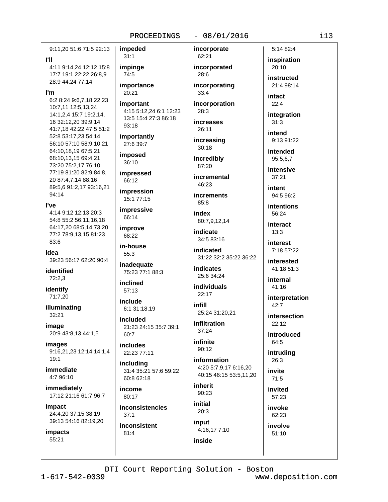#### $-08/01/2016$

9:11,20 51:6 71:5 92:13 **PH** 

4:11 9:14,24 12:12 15:8 17:7 19:1 22:22 26:8.9 28:9 44:24 77:14

#### l'm

6:2 8:24 9:6,7,18,22,23 10:7,11 12:5,13,24 14:1,2,4 15:7 19:2,14, 16 32:12,20 39:9,14 41:7,18 42:22 47:5 51:2 52:8 53:17,23 54:14 56:10 57:10 58:9,10,21 64:10.18.19 67:5.21 68:10,13,15 69:4,21 73:20 75:2,17 76:10 77:19 81:20 82:9 84:8. 20 87:4,7,14 88:16 89:5,6 91:2,17 93:16,21 94:14

#### l've

4:14 9:12 12:13 20:3 54:8 55:2 56:11,16,18 64:17,20 68:5,14 73:20 77:2 78:9,13,15 81:23 83:6

#### idea 39:23 56:17 62:20 90:4

identified  $72:2,3$ 

identify 71:7,20

illuminating  $32:21$ 

image 20:9 43:8,13 44:1,5

images 9:16,21,23 12:14 14:1,4  $19.1$ 

immediate 4:7 96:10

immediately 17:12 21:16 61:7 96:7

impact 24:4.20 37:15 38:19 39:13 54:16 82:19,20

impacts 55:21

 $31:1$ impinge 74:5 importance 20:21 important 4:15 5:12,24 6:1 12:23 13:5 15:4 27:3 86:18 93:18

importantly 27:6 39:7

impeded

imposed 36:10

impressed 66:12

impression 15:1 77:15

impressive 66:14

improve 68:22

in-house 55:3

inadequate 75:23 77:1 88:3

inclined  $57:13$ 

include 6:1 31:18,19

included 21:23 24:15 35:7 39:1 60:7

**includes** 22:23 77:11

including 31:4 35:21 57:6 59:22 60:8 62:18

income 80:17

inconsistencies  $37:1$ 

inconsistent 81:4

incorporated 28:6 incorporating

incorporate

62:21

 $33:4$ 

incorporation  $28:3$ 

increases 26:11 increasing

 $30:18$ incredibly

87:20 incremental

46:23 **increments** 

 $85:8$ index

80:7.9.12.14

indicate 34:5 83:16

indicated 31:22 32:2 35:22 36:22

indicates 25:6 34:24

**individuals**  $22:17$ 

infill 25:24 31:20,21

infiltration  $37:24$ 

infinite 90:12

information 4:20 5:7,9,17 6:16,20 40:15 46:15 53:5,11,20

inherit  $90:23$ 

initial  $20:3$ 

input 4:16,17 7:10 inside

inspiration 20:10

5:14 82:4

instructed  $21.498.14$ 

intact  $22:4$ 

integration  $31:3$ 

intend 9:13 91:22

intended 95:5,6,7

intensive  $37:21$ 

intent 94:5 96:2

intentions 56:24

interact  $13:3$ 

interest

7:18 57:22 interested

41:18 51:3

internal 41:16

interpretation  $42:7$ 

intersection  $22:12$ 

introduced 64:5

intruding  $26:3$ 

invite  $71:5$ 

invited 57:23

> invoke 62:23

involve  $51:10$ 

DTI Court Reporting Solution - Boston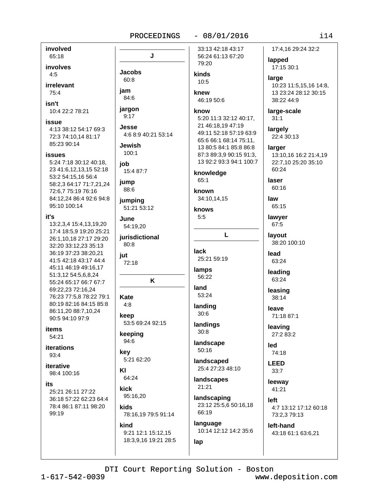#### $-08/01/2016$

J 79:20 **Jacobs** kinds  $60:8$  $10:5$ jam knew  $84:6$ 46:19 50:6 jargon know  $9:17$ Jesse. 4:6 8:9 40:21 53:14 **Jewish**  $100:1$ job 15:4 87:7 knowledge 65:1 **jump** 88:6 known 34:10,14,15 jumping 51:21 53:12 knows  $5:5$ June 54:19,20 L jurisdictional 80:8 **lack** iut 25:21 59:19 72:18 lamps 56:22 K land  $53.24$ **Kate**  $4:8$ landing  $30:6$ keep 53:5 69:24 92:15 landings  $30:8$ keeping 94:6 landscape  $50:16$ kev 5:21 62:20 landscaped KI 64:24 landscapes 21:21 kick 95:16,20 landscaping kids 66:19 78:16.19 79:5 91:14 language kind

9:21 12:1 15:12,15 18:3,9,16 19:21 28:5 33:13 42:18 43:17 56:24 61:13 67:20

```
5:20 11:3 32:12 40:17,
21 46:18,19 47:19
49:11 52:18 57:19 63:9
65:6 66:1 68:14 75:11,
13 80:5 84:1 85:8 86:8
87:3 89:3,9 90:15 91:3,
13 92:2 93:3 94:1 100:7
```
25:4 27:23 48:10

23:12 25:5,6 50:16,18

10:14 12:12 14:2 35:6

# 17:4.16 29:24 32:2 lapped

17:15 30:1

large 10:23 11:5,15,16 14:8, 13 23:24 28:12 30:15 38:22 44:9

large-scale  $31:1$ 

largely 22:4 30:13

#### larger 13:10,16 16:2 21:4,19 22:7,10 25:20 35:10  $60:24$

laser  $60:16$ 

law 65:15

lawyer 67:5

layout 38:20 100:10

lead 63:24

leading 63:24

leasing 38:14

leave 71:18 87:1

leaving

27:2 83:2 led

74:18 **LEED**  $33:7$ 

leeway 41:21

left 4:7 13:12 17:12 60:18 73:2,3 79:13

left-hand 43:18 61:1 63:6,21

DTI Court Reporting Solution - Boston

lap

involved

65:18

involves

irrelevant

10:4 22:2 78:21

85:23 90:14

4:13 38:12 54:17 69:3

5:24 7:18 30:12 40:18,

23 41:6.12.13.15 52:18

58:2,3 64:17 71:7,21,24

13:2,3,4 15:4,13,19,20

17:4 18:5.9 19:20 25:21

26:1,10,18 27:17 29:20

32:20 33:12,23 35:13

36:19 37:23 38:20.21

41:5 42:18 43:17 44:4

45:11 46:19 49:16,17

55:24 65:17 66:7 67:7

76:23 77:5.8 78:22 79:1

80:19 82:16 84:15 85:8

86:11,20 88:7,10,24

90:5 94:10 97:9

**items** 

 $54:21$ 

93:4

its

iterative

99:19

98:4 100:16

25:21 26:11 27:22

36:18 57:22 62:23 64:4

78:4 86:1 87:11 98:20

**iterations** 

51:3,12 54:5,6,8,24

69:22,23 72:16,24

53:2 54:15,16 56:4

72:6,7 75:19 76:16 84:12,24 86:4 92:6 94:8

95:10 100:14

72:3 74:10,14 81:17

 $4:5$ 

75:4

isn't

issue

**issues** 

it's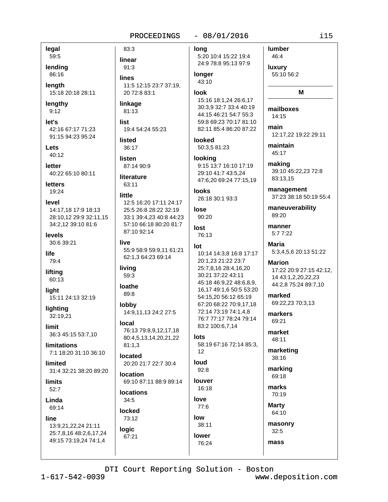83:3

linear

 $91:3$ 

legal 59:5

lending 86:16

lenath 15:18 20:18 28:11

lengthy  $9:12$ 

let's 42:16 67:17 71:23 91:15 94:23 95:24

Lets  $40:12$ 

letter 40:22 65:10 80:11

**letters** 19:24

level 14:17,18 17:9 18:13 28:10,12 29:9 32:11,15 34:2,12 39:10 81:6

levels 30:6 39:21

life 79:4

lifting 60:13

light 15:11 24:13 32:19

lighting 32:19.21

limit 36:3 45:15 53:7,10

limitations 7:1 18:20 31:10 36:10

limited 31:4 32:21 38:20 89:20

**limits**  $52:7$ 

Linda 69:14

line

13:9,21,22,24 21:11 25:7,8,16 48:2,6,17,24 49:15 73:19,24 74:1,4

**lines** 11:5 12:15 23:7 37:19. 20 72:8 83:1 linkage 81:13 list 19:4 54:24 55:23 **listed** 36:17 listen 87:14 90:9 literature 63:11 little 12:5 16:20 17:11 24:17 25:5 26:8 28:22 32:19 33:1 39:4,23 40:8 44:23

57:10 66:18 80:20 81:7 87:10 92:14 live

55:9 58:9 59:9,11 61:21 62:1,3 64:23 69:14

living 59:3

loathe 89:8

lobby 14:9,11,13 24:2 27:5

Iocal 76:13 79:8,9,12,17,18 80:4,5,13,14,20,21,22  $81:1.3$ 

located 20:20 21:7 22:7 30:4

location 69:10 87:11 88:9 89:14

# **locations**

 $34:5$ locked

73:12 logic 67:21

lona

 $-08/01/2016$ 

5:20 10:4 15:22 19:4 24:9 78:8 95:13 97:9

#### **longer**  $43:10$

look

15:16 18:1,24 26:6,17 30:3.9 32:7 33:4 40:19 44:15 46:21 54:7 55:3 59:8 69:23 70:17 81:10 82:11 85:4 86:20 87:22

looked 50:3,5 81:23

looking 9:15 13:7 16:10 17:19 29:10 41:7 43:5.24 47:6,20 69:24 77:15,19

**looks** 26:18 30:1 93:3

lose 90:20

lost 76:13

# $Int$

10:14 14:3,8 16:8 17:17 20:1,23 21:22 23:7 25:7,8,16 28:4,16,20 30:21 37:22 43:11 45:18 46:9,22 48:6,8,9, 16,17 49:1,6 50:5 53:20 54:15,20 56:12 65:19 67:20 68:22 70:9,17,18 72:14 73:19 74:1,4,8 76:7 77:17 78:24 79:14 83:2 100:6,7,14

# lots

58:19 67:16 72:14 85:3,

## loud  $92:8$

76:24

 $12$ 

louver 16:18 love 77:6 low 38:11 lower

**lumber** 46:4 luxury

55:10 56:2

### м

mailboxes 14:15 main

12:17,22 19:22 29:11

maintain 45:17

making 39:10 45:22,23 72:8 83:13,15

management 37:23 38:18 50:19 55:4

maneuverability 89:20

manner  $5:77:22$ 

Maria 5:3,4,5,6 20:13 51:22

**Marion** 17:22 20:9 27:15 42:12. 14 43:1,2,20,22,23 44:2,8 75:24 89:7,10

marked 69:22,23 70:3,13

markers 69:21

market 48:11

marketing 38:16

marking 69:18

marks 70:19

**Marty** 64:10

masonry  $32:5$ 

mass

DTI Court Reporting Solution - Boston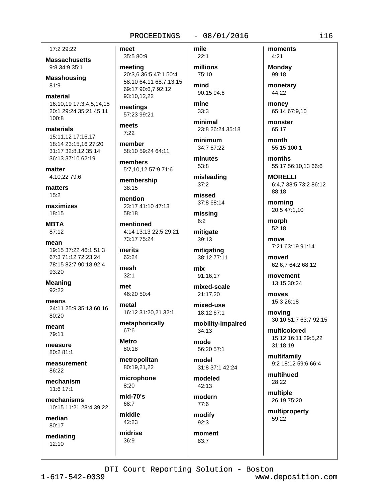#### $-08/01/2016$ PROCEEDINGS

17:2 29:22

**Massachusetts** 9:8 34:9 35:1

**Masshousing** 81:9

material 16:10.19 17:3.4.5.14.15 20:1 29:24 35:21 45:11  $100:8$ 

materials 15:11,12 17:16,17 18:14 23:15.16 27:20 31:17 32:8.12 35:14 36:13 37:10 62:19

matter 4:10,22 79:6

matters  $15:2$ 

maximizes  $18:15$ 

**MBTA** 87:12

mean 19:15 37:22 46:1 51:3 67:3 71:12 72:23,24 78:15 82:7 90:18 92:4 93:20

**Meaning** 92:22

means 24:11 25:9 35:13 60:16  $80.20$ 

meant 79:11

measure  $80.281.1$ 

measurement 86:22

mechanism 11:6 17:1

mechanisms 10:15 11:21 28:4 39:22

median 80:17

mediating  $12:10$ 

meet 35:5 80:9

meeting 20:3,6 36:5 47:1 50:4 58:10 64:11 68:7.13.15 69:17 90:6.7 92:12 93:10,12,22

meetings 57:23 99:21

meets  $7:22$ 

member 58:10 59:24 64:11

members 5:7,10,12 57:9 71:6

membership  $38:15$ 

mention 23:17 41:10 47:13 58:18

mentioned 4:14 13:13 22:5 29:21 73:17 75:24

merits 62:24

mesh  $32:1$ 

met 46:20 50:4

metal

16:12 31:20,21 32:1

metaphorically 67:6

**Metro** 80:18

metropolitan 80:19,21,22

microphone  $8.20$ 

 $mid-70's$ 68:7

middle 42:23

36:9

midrise

mile  $22:1$ 

millions 75:10 mind

90:15 94:6 mine

 $33:3$ 

minimal 23:8 26:24 35:18

minimum 34:7 67:22

minutes  $53:8$ 

misleading  $37:2$ 

missed 37:8 68:14

missing  $6:2$ 

mitigate 39:13

mitigating 38:12 77:11

mix 91:16,17

mixed-scale 21:17,20

mixed-use 18:12 67:1

mobility-impaired  $34:13$ 

mode 56:20 57:1

model 31:8 37:1 42:24

modeled  $42:13$ 

modern 77:6

modify  $92:3$ 

moment 83:7

moments  $4:21$ **Monday** 

99:18 monetary

44:22

monev 65:14 67:9,10

monster 65:17

month 55:15 100:1

months 55:17 56:10,13 66:6

**MORELLI** 6:4.7 38:5 73:2 86:12

88:18 morning

20:5 47:1,10

morph 52:18

move 7:21 63:19 91:14

moved 62:6,7 64:2 68:12

movement 13:15 30:24

moves 15:3 26:18

moving 30:10 51:7 63:7 92:15

multicolored 15:12 16:11 29:5,22 31:18,19

multifamily 9:2 18:12 59:6 66:4

multihued 28:22

multiple 26:19 75:20

multiproperty 59:22

DTI Court Reporting Solution - Boston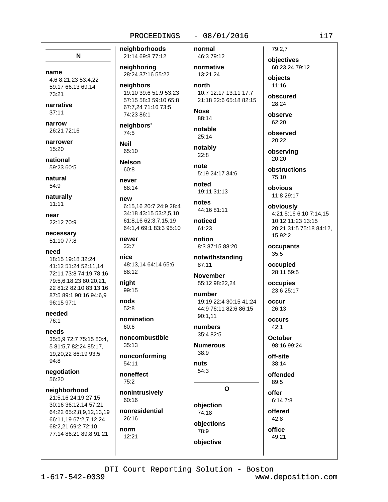#### $-08/01/2016$

N

name 4:6 8:21,23 53:4,22 59:17 66:13 69:14 73:21

narrative  $37:11$ 

narrow 26:21 72:16

narrower 15:20

national 59:23 60:5

natural 54:9

naturally  $11:11$ 

near 22:12 70:9

necessary 51:10 77:8

#### need

18:15 19:18 32:24 41:12 51:24 52:11.14 72:11 73:8 74:19 78:16 79:5,6,18,23 80:20,21, 22 81:2 82:10 83:13.16 87:5 89:1 90:16 94:6,9 96:15 97:1

needed 76:1

needs 35:5.9 72:7 75:15 80:4. 5 81:5.7 82:24 85:17. 19,20,22 86:19 93:5 94:8

negotiation 56:20

#### neighborhood

21:5,16 24:19 27:15 30:16 36:12,14 57:21 64:22 65:2,8,9,12,13,19 66:11,19 67:2,7,12,24 68:2,21 69:2 72:10 77:14 86:21 89:8 91:21

neighboring 28:24 37:16 55:22 neighbors 19:10 39:6 51:9 53:23

neighborhoods

21:14 69:8 77:12

57:15 58:3 59:10 65:8 67:7.24 71:16 73:5 74:23 86:1

neighbors' 74:5 **Neil** 

65:10 **Nelson**  $60:8$ 

never 68:14

new 6:15.16 20:7 24:9 28:4 34:18 43:15 53:2,5,10 61:8,16 62:3,7,15,19 64:1.4 69:1 83:3 95:10

newer  $22:7$ 

nice 48:13.14 64:14 65:6 88:12

night 99:15

nods  $52:8$ 

nomination  $60:6$ 

noncombustible  $35:13$ 

nonconforming 54:11

noneffect  $75:2$ 

nonintrusively 60:16

nonresidential 26:16

norm 12:21 normal 46:3 79:12

normative 13:21.24 north 10:7 12:17 13:11 17:7

21:18 22:6 65:18 82:15 **Nose** 

88:14

notable 25:14

notably  $22:8$ 

note 5:19 24:17 34:6

heton 19:11 31:13

notes 44:16 81:11

noticed 61:23

notion 8:3 87:15 88:20

notwithstanding 87:11

**November** 55:12 98:22,24

number 19:19 22:4 30:15 41:24 44:9 76:11 82:6 86:15 90:1.11

numbers 35:4 82:5

**Numerous**  $38:9$ 

nuts 54:3

objective

 $\Omega$ 

objection 74:18 obiections 78:9

79:2.7

objectives 60:23,24 79:12 objects

 $11:16$ 

obscured 28:24

observe 62:20

observed 20:22

observing  $20:20$ 

obstructions 75:10

obvious 11:8 29:17

> obviously 4:21 5:16 6:10 7:14.15

10:12 11:23 13:15 20:21 31:5 75:18 84:12, 15 92:2

occupants 35:5

occupied 28:11 59:5

occupies 23:6 25:17

occur 26:13

**occurs**  $42.1$ 

October 98:16 99:24

off-site  $38:14$ 

offended 89:5

offer

6:14 7:8

offered  $42:8$ office

49:21

DTI Court Reporting Solution - Boston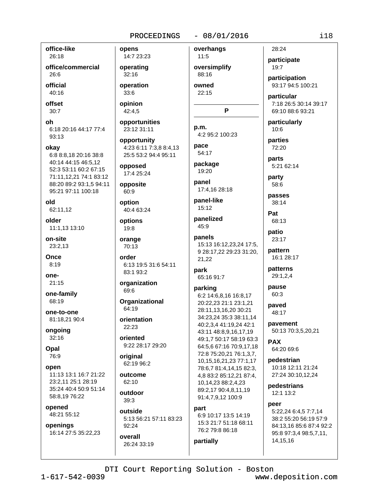opens

14:7 23:23

operating

operation

 $32:16$ 

33:6

opinion

42:4,5

#### $-08/01/2016$

office-like 26:18

office/commercial 26:6

official 40:16

offset  $30:7$ 

oh 6:18 20:16 44:17 77:4 93:13

okay

6:8 8:8,18 20:16 38:8 40:14 44:15 46:5,12 52:3 53:11 60:2 67:15 71:11,12,21 74:1 83:12 88:20 89:2 93:1,5 94:11 95:21 97:11 100:18

old 62:11.12

older 11:1,13 13:10

on-site 23:2.13

Once  $8:19$ 

one- $21:15$ 

one-family 68:19

one-to-one 81:18,21 90:4

ongoing  $32:16$ 

Opal 76:9

open 11:13 13:1 16:7 21:22 23:2.11 25:1 28:19 35:24 40:4 50:9 51:14 58:8,19 76:22

opened 48:21 55:12

openings 16:14 27:5 35:22,23

overhangs opportunities opportunity 4:23 6:11 7:3,8 8:4,13

25:5 53:2 94:4 95:11 opposed

17:4 25:24 opposite 60.9

23:12 31:11

option 40:4 63:24

options 19:8

orange 70:13

order 6:13 19:5 31:6 54:11 83:1 93:2

organization 69.6

**Organizational** 64:19

orientation  $22.23$ 

oriented 9:22 28:17 29:20

original 62:19 96:2

outcome  $62:10$ 

outdoor 39:3

outside 5:13 56:21 57:11 83:23 92:24

overall 26:24 33:19

 $11:5$ oversimplify 88:16 owned

22:15

P

p.m. 4:2 95:2 100:23 pace

54:17 package 19:20

panel 17:4.16 28:18

panel-like 15:12

panelized 45:9

panels 15:13 16:12,23,24 17:5, 9 28:17,22 29:23 31:20, 21,22

park 65:16 91:7

parking

6:2 14:6,8,16 16:8,17 20:22,23 21:1 23:1,21 28:11,13,16,20 30:21 34:23,24 35:3 38:11,14 40:2,3,4 41:19,24 42:1 43:11 48:8,9,16,17,19 49:1.7 50:17 58:19 63:3 64:5.6 67:16 70:9.17.18 72:8 75:20,21 76:1,3,7, 10, 15, 16, 21, 23 77: 1, 17 78:6,7 81:4,14,15 82:3, 4,8 83:2 85:12,21 87:4, 10,14,23 88:2,4,23 89:2,17 90:4,8,11,19 91:4,7,9,12 100:9

#### part

partially

6:9 10:17 13:5 14:19 15:3 21:7 51:18 68:11 76:2 79:8 86:18

participate 19:7 participation 93:17 94:5 100:21 particular 7:18 26:5 30:14 39:17 69:10 88:6 93:21

particularly  $10:6$ 

parties 72:20

28:24

parts 5:21 62:14

party 58:6

passes 38:14

Pat 68:13

patio 23:17

pattern 16:1 28:17

> patterns 29:1,2,4

pause  $60:3$ 

paved 48:17

pavement 50:13 70:3,5,20,21

**PAX** 64:20 69:6

pedestrian 10:18 12:11 21:24 27:24 30:10.12.24

pedestrians 12:1 13:2

#### peer

5:22,24 6:4,5 7:7,14 38:2 55:20 56:19 57:9 84:13,16 85:6 87:4 92:2 95:8 97:3,4 98:5,7,11, 14, 15, 16

DTI Court Reporting Solution - Boston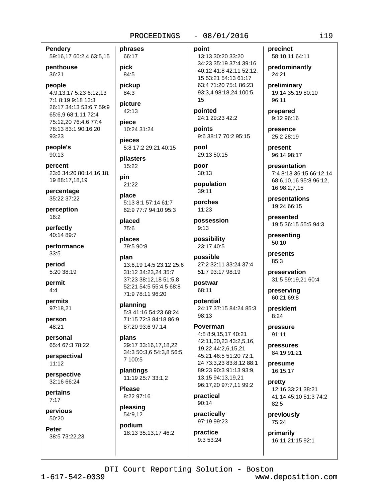**Pendery** phrases 59:16,17 60:2,4 63:5,15

penthouse 36:21

people 4:9,13,17 5:23 6:12,13 7:1 8:19 9:18 13:3 26:17 34:13 53:6.7 59:9 65:6,9 68:1,11 72:4 75:12,20 76:4,6 77:4 78:13 83:1 90:16,20 93:23

people's 90:13

percent 23:6 34:20 80:14,16,18, 19 88:17,18,19

percentage 35:22 37:22

perception 16:2

perfectly 40:14 89:7

performance  $33:5$ 

period 5:20 38:19

permit  $4:4$ 

permits 97:18,21

person 48:21

personal 65:4 67:3 78:22

perspectival  $11:12$ 

perspective 32:16 66:24

pertains  $7:17$ 

pervious 50:20

**Peter** 38:5 73:22,23

66:17 pick 84:5 pickup

84:3

42:13 piece

picture

pieces 5:8 17:2 29:21 40:15

pilasters 15:22

10:24 31:24

pin  $21:22$ 

place 5:13 8:1 57:14 61:7 62:9 77:7 94:10 95:3

placed 75:6

places 79:5 90:8

#### plan

13:6,19 14:5 23:12 25:6 31:12 34:23,24 35:7 37:23 38:12,18 51:5,8 52:21 54:5 55:4,5 68:8 71:9 78:11 96:20

planning 5:3 41:16 54:23 68:24 71:15 72:3 84:18 86:9 87:20 93:6 97:14

plans 29:17 33:16.17.18.22 34:3 50:3,6 54:3,8 56:5, 7 100:5

plantings 11:19 25:7 33:1,2

**Please** 8:22 97:16

pleasing 54:9,12

podium 18:13 35:13,17 46:2

# $-08/01/2016$

point 13:13 30:20 33:20 34:23 35:19 37:4 39:16 40:12 41:8 42:11 52:12, 15 53:21 54:13 61:17 63:4 71:20 75:1 86:23 93:3,4 98:18,24 100:5, 15

pointed 24:1 29:23 42:2

points 9:6 38:17 70:2 95:15

nool 29:13 50:15

poor  $30.13$ 

population  $39:11$ 

porches  $11:23$ 

possession  $9:13$ 

possibility 23:17 40:5

possible 27:2 32:11 33:24 37:4 51:7 93:17 98:19

postwar 68:11

potential 24:17 37:15 84:24 85:3  $98.13$ 

Poverman 4:8 8:9,15,17 40:21 42:11,20,23 43:2,5,16, 19,22 44:2,6,15,21 45:21 46:5 51:20 72:1, 24 73:3,23 83:8,12 88:1 89:23 90:3 91:13 93:9, 13,15 94:13,19,21 96:17,20 97:7,11 99:2

practical  $90:14$ 

practically 97:19 99:23

practice 9:3 53:24 precinct 58:10,11 64:11

predominantly 24:21

preliminary 19:14 35:19 80:10 96:11

prepared 9:12 96:16

presence 25:2 28:19

present 96:14 98:17

presentation 7:4 8:13 36:15 66:12,14 68:6,10,16 95:8 96:12, 16 98:2,7,15

presentations 19:24 66:15

presented 19:5 36:15 55:5 94:3

presenting 50:10

presents 85:3

preservation 31:5 59:19,21 60:4

preserving 60:21 69:8

president  $8:24$ 

pressure 91:11

pressures 84:19 91:21

presume 16:15,17

pretty 12:16 33:21 38:21 41:14 45:10 51:3 74:2  $82:5$ 

previously 75:24

primarily 16:11 21:15 92:1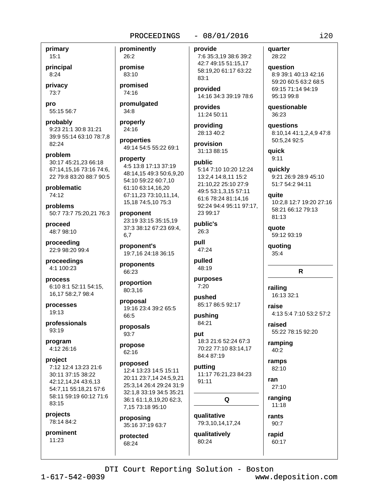primary  $15:1$ 

principal  $8:24$ 

privacy 73:7

pro 55:15 56:7

probably 9:23 21:1 30:8 31:21 39:9 55:14 63:10 78:7,8 82:24

problem 30:17 45:21,23 66:18 67:14.15.16 73:16 74:6. 22 79:8 83:20 88:7 90:5

problematic 74:12

problems 50:7 73:7 75:20,21 76:3

proceed 48:7 98:10

proceeding 22:9 98:20 99:4

proceedings 4:1 100:23

process 6:10 8:1 52:11 54:15, 16,17 58:2,7 98:4

processes 19:13

professionals 93:19

program 4:12 26:16

project 7:12 12:4 13:23 21:6 30:11 37:15 38:22 42:12.14.24 43:6.13 54:7,11 55:18,21 57:6 58:11 59:19 60:12 71:6 83:15

projects 78:14 84:2

prominent  $11:23$ 

26:2 promise 83:10 promised 74:16

prominently

promulgated  $34:8$ 

properly 24:16

properties 49:14 54:5 55:22 69:1

#### property

4:5 13:8 17:13 37:19 48:14,15 49:3 50:6,9,20 54:10 59:22 60:7,10 61:10 63:14,16,20 67:11,23 73:10,11,14, 15,18 74:5,10 75:3

proponent 23:19 33:15 35:15,19 37:3 38:12 67:23 69:4, 6.7

proponent's 19:7,16 24:18 36:15

proponents 66:23

proportion 80:3,16

proposal 19:16 23:4 39:2 65:5 66:5

proposals 93:7

propose  $62:16$ 

#### proposed

12:4 13:23 14:5 15:11 20:11 23:7,14 24:5,9,21 25:3,14 26:4 29:24 31:9 32:1,8 33:19 34:5 35:21 36:1 61:1,8,19,20 62:3, 7,15 73:18 95:10

proposing 35:16 37:19 63:7

protected 68:24

### $-08/01/2016$

provide

7:6 35:3,19 38:6 39:2 42:7 49:15 51:15,17 58:19,20 61:17 63:22  $83:1$ 

provided 14:16 34:3 39:19 78:6

provides 11:24 50:11

providing 28:13 40:2

provision 31:13 88:15

#### public 5:14 7:10 10:20 12:24 13:2,4 14:8,11 15:2 21:10,22 25:10 27:9 49:5 53:1,3,15 57:11 61:6 78:24 81:14,16 92:24 94:4 95:11 97:17, 23 99:17

public's  $26:3$ 

pull 47:24

pulled 48:19

purposes  $7:20$ 

pushed 85:17 86:5 92:17

pushing 84:21

put 18:3 21:6 52:24 67:3 70:22 77:10 83:14,17

84:4 87:19 putting 11:17 76:21,23 84:23  $91:11$ 

Q qualitative

79:3,10,14,17,24 qualitatively 80:24

#### quarter 28:22

question 8:9 39:1 40:13 42:16 59:20 60:5 63:2 68:5 69:15 71:14 94:19 95:13 99:8

questionable 36:23

questions 8:10,14 41:1,2,4,9 47:8 50:5,24 92:5

quick  $9:11$ 

quickly 9:21 26:9 28:9 45:10 51:7 54:2 94:11

quite

10:2,8 12:7 19:20 27:16 58:21 66:12 79:13 81:13

quote 59:12 93:19

quoting  $35:4$ 

# $\mathsf{R}$

railing 16:13 32:1

raise 4:13 5:4 7:10 53:2 57:2

raised 55:22 78:15 92:20

ramping  $40:2$ 

ramps 82:10

ran  $27:10$ 

ranging  $11:18$ 

rants

 $90:7$ rapid

60:17

DTI Court Reporting Solution - Boston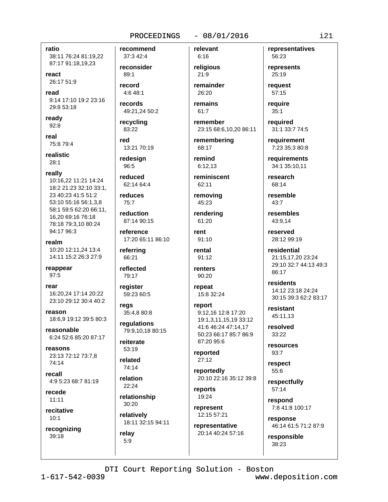## ratio 38:11 76:24 81:19,22 87:17 91:18,19,23

react 26:17 51:9

read 9:14 17:10 19:2 23:16

29:8 53:18 ready

92:8 real

75:8 79:4

**realistic**  $28:1$ 

really

10:16,22 11:21 14:24 18:2 21:23 32:10 33:1. 23 40:23 41:5 51:2 53:10 55:16 56:1,3,8 58:1 59:5 62:20 66:11, 16,20 69:16 76:18 78:18 79:3.10 80:24 94:17 96:3

realm 10:20 12:11,24 13:4 14:11 15:2 26:3 27:9

reappear  $97:5$ 

rear 16:20,24 17:14 20:22 23:10 29:12 30:4 40:2

reason 18:6,9 19:12 39:5 80:3

reasonable 6:24 52:6 85:20 87:17

reasons 23:13 72:12 73:7,8 74:14

recall 4:9 5:23 68:7 81:19

recede  $11:11$ 

recitative  $10:1$ 

recognizing 39:18

37:3 42:4 reconsider  $89:1$ record

recommend

4:6 48:1

records 49:21,24 50:2

recycling 83:22

red 13:21 70:19

redesign 96:5

reduced 62:14 64:4

reduces  $75:7$ 

reduction 87:14 90:15

reference 17:20 65:11 86:10

referring 66:21

reflected 79:17

register

regs

regulations 79:9.10,18 80:15

reiterate 53:19

74:14

22:24

30:20

18:11 32:15 94:11  $5:9$ 

 $6:16$ religious

relevant

 $-08/01/2016$ 

 $21:9$ remainder 26:20

remains  $61:7$ 

remember 23:15 68:6,10,20 86:11

remembering 68:17

remind  $6:12,13$ 

reminiscent 62:11

removing 45:23

rendering 61:20

rent 91:10

rental  $91:12$ 

renters 90:20

repeat 15:8 32:24

report 9:12,16 12:8 17:20 19:1.3.11.15.19 33:12 41:6 46:24 47:14,17 50:23 66:17 85:7 86:9 87:20 95:6

reported  $27:12$ 

reportedly 20:10 22:16 35:12 39:8

reports 19:24

represent 12:15 57:21

representative 20:14 40:24 57:16 representatives 56:23

represents 25:19

reauest 57:15

reauire  $35:1$ 

required 31:1 33:7 74:5

requirement 7:23 35:3 80:8

requirements 34:1 35:10,11

research 68:14

resemble  $43:7$ 

resembles 43:9.14

reserved 28:12 99:19

residential 21:15,17,20 23:24 29:10 32:7 44:13 49:3 86:17

residents 14:12 23:18 24:24 30:15 39:3 62:2 83:17

resistant 45:11.13

resolved 33:22

resources 93:7

respect 55:6

respectfully 57:14

respond 7:8 41:8 100:17

response 46:14 61:5 71:2 87:9

responsible  $38:23$ 

59:23 60:5

35:4,8 80:8

related

relation

relationship

relatively

relav

 $1 - 617 - 542 - 0039$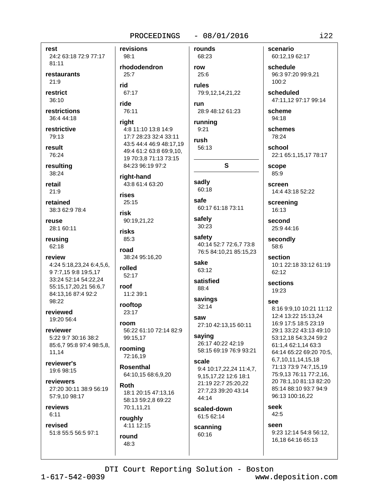#### $-08/01/2016$ PROCEEDINGS

revisions

98:1

rest 24:2 63:18 72:9 77:17 81:11 restaurants  $21:9$ restrict 36:10 restrictions 36:4 44:18 restrictive 79:13 result 76:24 resulting 38:24 retail  $21:9$ retained 38:3 62:9 78:4 reuse 28:1 60:11 reusing 62:18 review 4:24 5:18,23,24 6:4,5,6, 97:7,159:819:5,17 33:24 52:14 54:22,24 55:15,17,20,21 56:6,7 84:13,16 87:4 92:2 98:22 reviewed 19:20 56:4 reviewer 5:22 9:7 30:16 38:2 85:6,7 95:8 97:4 98:5,8, 11.14 reviewer's 19:6 98:15 reviewers 27:20 30:11 38:9 56:19 57:9,10 98:17 reviews  $6:11$ 

revised 51:8 55:5 56:5 97:1

48:3

rhododendron  $25:7$ rid 67:17 ride 76:11 right 4:8 11:10 13:8 14:9 17:7 28:23 32:4 33:11 43:5 44:4 46:9 48:17,19 49:4 61:2 63:8 69:9.10. 19 70:3,8 71:13 73:15 84:23 96:19 97:2 right-hand 43:8 61:4 63:20 rises  $25:15$ risk 90:19,21,22 risks 85:3 road 38:24 95:16,20 rolled 52:17 roof 11:2 39:1 rooftop 23:17 room 56:22 61:10 72:14 82:9 99:15,17 rooming 72:16.19 **Rosenthal** 64:10,15 68:6,9,20 Roth 18:1 20:15 47:13,16 58:13 59:2.8 69:22 70:1,11,21 roughly 4:11 12:15 round

68:23 row  $25:6$ rules

rounds

79:9,12,14,21,22 run 28:9 48:12 61:23

running  $9:21$ 

rush 56:13

S.

sadly 60:18

safe 60:17 61:18 73:11

safely 30:23

safety 40:14 52:7 72:6,7 73:8 76:5 84:10,21 85:15,23

sake 63:12

satisfied 88:4

savings  $32:14$ 

saw 27:10 42:13,15 60:11

saying 26:17 40:22 42:19 58:15 69:19 76:9 93:21

scale 9:4 10:17,22,24 11:4,7, 9,15,17,22 12:6 18:1 21:19 22:7 25:20.22 27:7.23 39:20 43:14 44:14

scaled-down 61:5 62:14

scanning 60:16

scenario 60:12,19 62:17

schedule 96:3 97:20 99:9.21  $100:2$ 

scheduled 47:11,12 97:17 99:14

scheme 94:18

schemes 78:24

school 22:1 65:1,15,17 78:17

scope 85:9

screen 14:4 43:18 52:22

screening  $16:13$ 

second 25:9 44:16

secondly 58:6

section 10:1 22:18 33:12 61:19 62:12

sections 19:23

see

8:16 9:9,10 10:21 11:12 12:4 13:22 15:13.24 16:9 17:5 18:5 23:19 29:1 33:22 43:13 49:10 53:12,18 54:3,24 59:2 61:1,4 62:1,14 63:3 64:14 65:22 69:20 70:5, 6,7,10,11,14,15,18 71:13 73:9 74:7,15,19 75:9,13 76:11 77:2,16, 20 78:1,10 81:13 82:20 85:14 88:10 93:7 94:9 96:13 100:16,22

seek 42:5

seen

9:23 12:14 54:8 56:12, 16,18 64:16 65:13

DTI Court Reporting Solution - Boston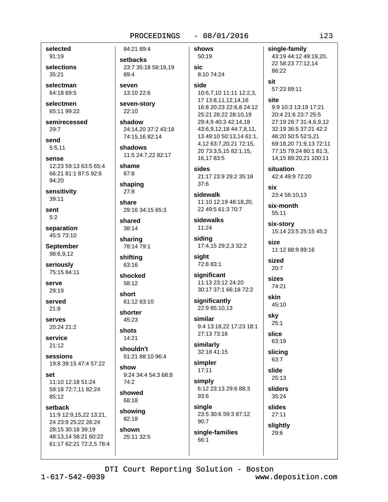84:21 89:4

#### $-08/01/2016$

shows

selected 91:19

selections 35:21

selectman 64:18 69:5

selectmen 65:11 99:22

semirecessed  $29:7$ 

send  $5:5.11$ 

sense 12:23 59:13 63:5 65:4 66:21 81:1 87:5 92:6 94:20

sensitivity 39:11

sent  $5:2$ 

separation 45:5 73:10

**September** 98:6,9,12

seriously 75:15 84:11

serve 29:19

served  $21:8$ 

serves 20:24 21:2

service  $21:12$ 

sessions 19:8 39:15 47:4 57:22

set 11:10 12:18 51:24 59:18 72:7,11 82:24 85:12

setback 11:9 12:9,15,22 13:21, 24 23:9 25:22 26:24 28:15 30:18 39:19 48:13,14 58:21 60:22 61:17 62:21 72:2,5 78:4 setbacks 23:7 35:18 58:16.19 89:4 seven 13:10 22:6 seven-story 22:10 shadow

24:14,20 37:2 43:18 74:15,16 82:14

shadows 11:5 24:7.22 82:17

shame 67:8

shaping  $27:8$ 

share 29:16 34:15 65:3

shared 38:14

sharing 78:14 79:1

shifting 63:16

shocked 58:12

short 61:12 83:10

shorter

45:23 shots

14:21 shouldn't

51:21 88:10 96:4 show 9:24 34:4 54:3 68:8

 $74:2$ showed

68:18 showing

82:18 shown 25:11 32:5

50:19 sic 8:10 74:24 side 10:6,7,10 11:11 12:2,3, 17 13:8,11,12,14,16 16:8 20:23 22:6.8 24:12 25:21 26:22 28:10,19 29:4,9 40:3 42:14,18 43:6,9,12,18 44:7,8,11, 13 49:10 50:13,14 61:1, 4,12 63:7,20,21 72:15, 20 73:3,5,15 82:1,15, 16.17 83:5 sides 21:17 23:9 29:2 35:18  $37:6$ sidewalk 11:10 12:19 48:18.20, 22 49:5 61:3 70:7 sidewalks 11:24 sidina 17:4,15 29:2,3 32:2 sight 72:8 83:1 significant 11:13 23:12 24:20 30:17 37:1 66:18 72:2 significantly 22:9 85:10.13

similar 9:4 13:18.22 17:23 18:1 27:13 73:16

similarly 32:18 41:15

simpler  $17:11$ simply

 $90:7$ 

 $66:1$ 

6:12 23:13 29:6 88:3 93:6 sinale

23:5 30:6 59:3 87:12 slightly 29:6

43:19 44:12 49:19,20, 22 58:23 77:12,14 86:22 sit

57:23 89:11

single-family

#### site

9:9 10:3 13:19 17:21 20:4 21:6 23:7 25:5 27:19 28:7 31:4,6,9,12 32:19 36:5 37:21 42:2 46:20 50:5 52:5,21 69:18,20 71:9,13 72:11 77:15 79:24 80:1 81:3, 14,15 89:20,21 100:11

situation  $42.449.972.20$ 

six 23:4 56:10,13

six-month 55:11

six-story 15:14 23:5 25:15 45:2

size 11:12 88:9 89:16

sized  $20:7$ 

sizes 74:21

skin 45:10

sky  $25:1$ slice

> 63:19 slicing 63:7

slide  $25:13$ sliders 35:24

slides  $27:11$ 

single-families

DTI Court Reporting Solution - Boston

 $i23$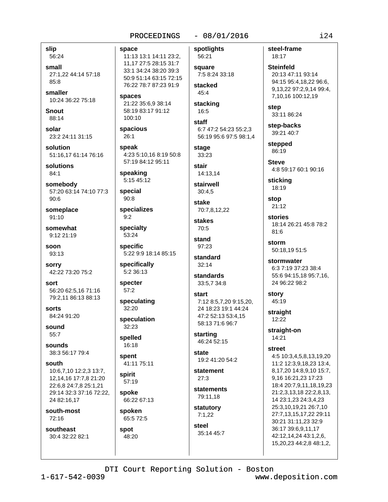# $-08/01/2016$

slip 56:24

small 27:1.22 44:14 57:18  $85:8$ 

smaller 10:24 36:22 75:18

**Snout** 88:14

solar 23:2 24:11 31:15

solution 51:16.17 61:14 76:16

solutions  $84:1$ 

somebody 57:20 63:14 74:10 77:3  $90:6$ 

someplace 91:10

somewhat 9:12 21:19

soon 93:13

sorry 42:22 73:20 75:2

sort 56:20 62:5,16 71:16 79:2,11 86:13 88:13

sorts 84:24 91:20

sound 55:7

sounds 38:3 56:17 79:4

south

10:6,7,10 12:2,3 13:7, 12.14.16 17:7.8 21:20 22:6,8 24:7,8 25:1,21 29:14 32:3 37:16 72:22, 24 82:16,17

south-most 72:16

southeast 30:4 32:22 82:1 space 11:13 13:1 14:11 23:2, 11,17 27:5 28:15 31:7 33:1 34:24 38:20 39:3 50:9 51:14 63:15 72:15 76:22 78:7 87:23 91:9

spaces 21:22 35:6,9 38:14 58:19 83:17 91:12 100:10

spacious  $26:1$ 

speak 4:23 5:10,16 8:19 50:8 57:19 84:12 95:11

speaking 5:15 45:12

special  $90:8$ 

specializes  $9:2$ 

specialty 53:24

specific 5:22 9:9 18:14 85:15

specifically 5:2 36:13

specter  $57:2$ 

speculating 32:20

speculation 32:23

spelled 16:18

spent 41:11 75:11

 $57:19$ spoke 66:22 67:13

spirit

spoken 65:5 72:5

spot 48:20 spotlights 56:21

square 7:5 8:24 33:18 stacked

45:4 stacking

16:5

staff 6:7 47:2 54:23 55:2,3 56:19 95:6 97:5 98:1,4

stage  $33:23$ 

stair

14:13,14 stairwell

 $30:4.5$ 

stake 70:7,8,12,22

stakes 70:5

stand  $97:23$ 

standard  $32:14$ 

standards 33:5,7 34:8

start 7:12 8:5,7,20 9:15,20, 24 18:23 19:1 44:24 47:2 52:13 53:4.15 58:13 71:6 96:7

starting 46:24 52:15

state 19:2 41:20 54:2

statement  $27:3$ 

statements 79:11,18

statutory  $7:1,22$ 

laata 35:14 45:7 steel-frame 18:17

**Steinfeld** 20:13 47:11 93:14 94:15 95:4,18,22 96:6, 9,13,22 97:2,9,14 99:4, 7,10,16 100:12,19

step 33:11 86:24

step-backs 39:21 40:7

stepped 86:19

**Steve** 4:8 59:17 60:1 90:16

sticking 18:19

stop  $21:12$ 

stories 18:14 26:21 45:8 78:2  $81:6$ 

storm 50:18.19 51:5

stormwater 6:3 7:19 37:23 38:4 55:6 94:15,18 95:7,16, 24 96:22 98:2

story 45:19

straight  $12:22$ 

straight-on 14:21

**street** 

4:5 10:3,4,5,8,13,19,20 11:2 12:3,9,18,23 13:4, 8,17,20 14:8,9,10 15:7, 9,16 16:21,23 17:23 18:4 20:7,9,11,18,19,23 21:2,3,13,18 22:2,8,13, 14 23:1,23 24:3,4,23 25:3,10,19,21 26:7,10 27:7,13,15,17,22 29:11 30:21 31:11,23 32:9 36:17 39:6,9,11,17 42:12,14,24 43:1,2,6, 15,20,23 44:2,8 48:1,2,

DTI Court Reporting Solution - Boston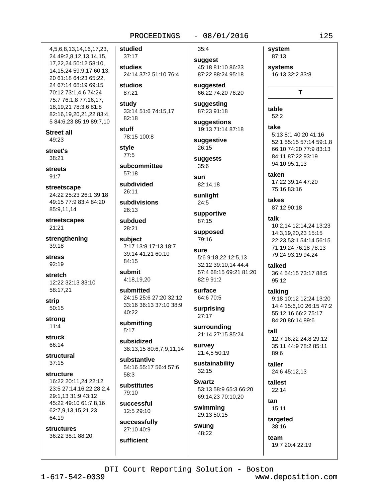# $-08/01/2016$

4, 5, 6, 8, 13, 14, 16, 17, 23, 24 49:2,8,12,13,14,15, 17,22,24 50:12 58:10, 14, 15, 24 59: 9, 17 60: 13, 20 61:18 64:23 65:22, 24 67:14 68:19 69:15 70:12 73:1,4,6 74:24 75:7 76:1,8 77:16,17, 18, 19, 21 78: 3, 6 81: 8 82:16,19,20,21,22 83:4, 5 84:6,23 85:19 89:7,10

**Street all**  $49.23$ 

street's  $38:21$ 

**streets**  $91.7$ 

streetscape 24:22 25:23 26:1 39:18 49:15 77:9 83:4 84:20 85:9,11,14

streetscapes 21:21

strengthening 39:18

**stress** 92:19

stretch 12:22 32:13 33:10 58:17,21

strip  $50:15$ 

strong  $11:4$ 

struck 66:14

structural  $37:15$ 

structure 16:22 20:11,24 22:12 23:5 27:14,16,22 28:2,4 29:1,13 31:9 43:12

45:22 49:10 61:7,8,16 62:7,9,13,15,21,23 64:19

**structures** 36:22 38:1 88:20

37:17 studies 24:14 37:2 51:10 76:4 studios

87:21

studied

study 33:14 51:6 74:15,17 82:18

stuff 78:15 100:8

style  $77:5$ 

subcommittee  $57:18$ 

subdivided  $26.11$ 

subdivisions 26:13

subdued 28:21

subject 7:17 13:8 17:13 18:7 39:14 41:21 60:10 84:15

submit 4:18,19,20

submitted 24:15 25:6 27:20 32:12 33:16 36:13 37:10 38:9 40:22

submitting  $5:17$ 

subsidized 38:13,15 80:6,7,9,11,14

substantive 54:16 55:17 56:4 57:6 58:3

substitutes 79:10

successful 12:5 29:10

successfully 27:10 40:9 sufficient

 $35:4$ suggest

> 45:18 81:10 86:23 87:22 88:24 95:18

suggested 66:22 74:20 76:20

suggesting 87:23 91:18

suggestions 19:13 71:14 87:18

suggestive 26:15

suggests 35:6

sun 82:14.18

sunlight  $24:5$ 

supportive 87:15

supposed 79:16

```
SUITE
 5:6 9:18,22 12:5,13
 32:12 39:10,14 44:4
 57:4 68:15 69:21 81:20
 82:9 91:2
```
surface 64:6 70:5

surprising 27:17

surrounding 21:14 27:15 85:24

survey 21:4,5 50:19

sustainability  $32:15$ 

**Swartz** 53:13 58:9 65:3 66:20 69:14,23 70:10,20

swimming 29:13 50:15

swung 48:22

system 87:13

systems 16:13 32:2 33:8

T

table  $52:2$ 

take 5:13 8:1 40:20 41:16 52:1 55:15 57:14 59:1.8

66:10 74:20 77:9 83:13 84:11 87:22 93:19 94:10 95:1,13 taken

17:22 39:14 47:20 75:16 83:16

takes 87:12 90:18

talk 10:2,14 12:14,24 13:23 14:3,19,20,23 15:15 22:23 53:1 54:14 56:15 71:19,24 76:18 78:13

talked 36:4 54:15 73:17 88:5 95:12

79:24 93:19 94:24

talking 9:18 10:12 12:24 13:20 14:4 15:6,10 26:15 47:2 55:12.16 66:2 75:17 84:20 86:14 89:6

 $f<sub>all</sub>$ 12:7 16:22 24:8 29:12 35:11 44:9 78:2 85:11 89:6

taller 24:6 45:12.13

tallest  $22:14$ 

tan 15:11

> targeted 38:16

team 19:7 20:4 22:19

DTI Court Reporting Solution - Boston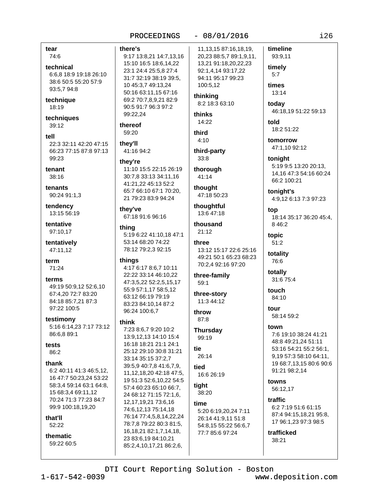#### timeline there's 11, 13, 15 87: 16, 18, 19, 9:17 13:8,21 14:7,13,16 20,23 88:5,7 89:1,9,11, 93:9,11 15:10 16:5 18:6,14,22 13,21 91:18,20,22,23 technical timely 23:1 24:4 25:5,8 27:4 92:1,4,14 93:17,22 6:6.8 18:9 19:18 26:10  $5:7$ 31:7 32:19 38:19 39:5, 94:11 95:17 99:23 38:6 50:5 55:20 57:9 100:5,12 times 10 45:3,7 49:13,24 93:5,7 94:8 50:16 63:11,15 67:16 13:14 thinking technique 69:2 70:7,8,9,21 82:9 8:2 18:3 63:10 todav 90:5 91:7 96:3 97:2 46:18,19 51:22 59:13 thinks 99:22,24 techniques 14:22 told thereof 18:2 51:22 59:20 third  $4:10$ tomorrow they'll 22:3 32:11 42:20 47:15 47:1,10 92:12 66:23 77:15 87:8 97:13 41:16 94:2 third-party  $33:8$ tonight they're 5:19 9:5 13:20 20:13, 11:10 15:5 22:15 26:19 thorough 14,16 47:3 54:16 60:24 30:7.8 33:13 34:11.16 41:14 66:2 100:21 41:21,22 45:13 52:2 thought 65:7 66:10 67:1 70:20. tonight's 90:24 91:1,3 47:18 50:23 21 79:23 83:9 94:24 4:9,12 6:13 7:3 97:23 tendency thoughtful they've top 13:15 56:19 13:6 47:18 67:18 91:6 96:16 18:14 35:17 36:20 45:4. tentative thousand 8 4 6:2 thing 97:10.17  $21:12$ 5:19 6:22 41:10.18 47:1 topic tentatively 53:14 68:20 74:22  $51:2$ three 47:11.12 78:12 79:2,3 92:15 13:12 15:17 22:6 25:16 totality 49:21 50:1 65:23 68:23 things 76:6 70:2,4 92:16 97:20 4:17 6:17 8:6,7 10:11 totally 22:22 33:14 46:10,22 three-family 31:6 75:4 47:3,5,22 52:2,5,15,17 59:1 49:19 50:9,12 52:6,10 55:9 57:1,17 58:5,12 touch 67:4,20 72:7 83:20 three-story 63:12 66:19 79:19 84:10 84:18 85:7.21 87:3 11:3 44:12 83:23 84:10,14 87:2 97:22 100:5 tour 96:24 100:6.7 throw 58:14 59:2 testimony  $87:8$ think 5:16 6:14,23 7:17 73:12 town 7:23 8:6.7 9:20 10:2 **Thursday** 86:6,8 89:1 7:6 19:10 38:24 41:21 13:9.12.13 14:10 15:4 99:19 48:8 49:21,24 51:11 16:18 18:21 21:1 24:1 tie 53:16 54:21 55:2 56:1, 25:12 29:10 30:8 31:21 26:14 9,19 57:3 58:10 64:11, 33:14 35:15 37:2,7 19 68:7.13.15 80:6 90:6 39:5,9 40:7,8 41:6,7,9, tied 91:21 98:2.14

6:2 40:11 41:3 46:5.12. 16 47:7 50:23,24 53:22 58:3,4 59:14 63:1 64:8, 15 68:3,4 69:11,12 70:24 71:3 77:23 84:7 99:9 100:18.19.20

#### that'll 52:22

tear

74:6

18:19

39:12

99:23

tenant

38:16

tenants

term

71:24

terms

tests

86:2

thank

tell

thematic 59:22 60:5

11, 12, 18, 20 42: 18 47: 5, 19 51:3 52:6,10,22 54:5 57:4 60:23 65:10 66:7, 24 68:12 71:15 72:1,6, 12, 17, 19, 21 73: 6, 16 74:6,12,13 75:14,18 76:14 77:4,5,8,14,22,24 78:7,8 79:22 80:3 81:5, 16, 18, 21 82: 1, 7, 14, 18, 23 83:6,19 84:10,21 85:2,4,10,17,21 86:2,6,

 $-08/01/2016$ 

PROCEEDINGS

16:6 26:19

tight 38:20

time 5:20 6:19,20,24 7:11 26:14 41:9,11 51:8 54:8,15 55:22 56:6,7 77:7 85:6 97:24

# DTI Court Reporting Solution - Boston

trafficked

38:21

towns

traffic

56:12,17

 $1 - 617 - 542 - 0039$ 

www.deposition.com

6:2 7:19 51:6 61:15

87:4 94:15,18,21 95:8,

17 96:1,23 97:3 98:5

 $i26$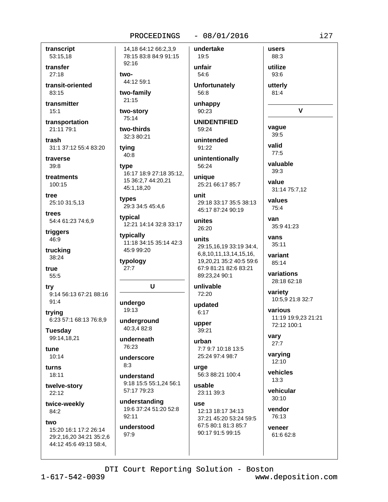#### $-08/01/2016$

transcript 53:15,18

transfer  $27:18$ 

transit-oriented 83:15

transmitter  $15:1$ 

transportation 21:11 79:1

trash 31:1 37:12 55:4 83:20

traverse  $39:8$ 

treatments 100:15

tree 25:10 31:5,13

trees 54:4 61:23 74:6.9

triggers 46:9

trucking 38:24

true 55:5

try 9:14 56:13 67:21 88:16  $91:4$ 

trying 6:23 57:1 68:13 76:8,9

**Tuesday** 99:14,18,21

tune 10:14

turns 18:11

twelve-story  $22:12$ 

twice-weekly 84:2

two

15:20 16:1 17:2 26:14 29:2,16,20 34:21 35:2,6 44:12 45:6 49:13 58:4,

14,18 64:12 66:2,3,9 78:15 83:8 84:9 91:15 92:16 44:12 59:1 two-family  $21:15$ two-story 75:14

two-thirds 32:3 80:21

tying  $40:8$ 

two-

type 16:17 18:9 27:18 35:12, 15 36:2,7 44:20,21 45:1,18,20

types 29:3 34:5 45:4,6

tvpical 12:21 14:14 32:8 33:17

typically 11:18 34:15 35:14 42:3 45:9 99:20

typology  $27:7$ 

### U

undergo 19:13

underground 40:3.4 82:8

underneath 76:23

underscore  $8.3$ 

understand 9:18 15:5 55:1.24 56:1 57:17 79:23

understanding 19:6 37:24 51:20 52:8  $92:11$ 

understood 97:9

19:5 unfair 54:6 **Unfortunately** 

undertake

56:8 unhappy

90:23

**UNIDENTIFIED** 59:24

unintended

91:22 unintentionally

56:24 unique

25:21 66:17 85:7

unit 29:18 33:17 35:5 38:13 45:17 87:24 90:19

unites 26:20

units 29:15,16,19 33:19 34:4, 6.8.10.11.13.14.15.16. 19,20,21 35:2 40:5 59:6 67:9 81:21 82:6 83:21

unlivable 72:20

89:23,24 90:1

updated  $6:17$ 

upper 39:21

# urban 7:7 9:7 10:18 13:5

25:24 97:4 98:7 urge 56:3 88:21 100:4

usable 23:11 39:3

**USA** 12:13 18:17 34:13 37:21 45:20 53:24 59:5 67:5 80:1 81:3 85:7 90:17 91:5 99:15

88:3 utilize 93:6

users

utterly 81:4

V

vaque  $39:5$ valid

 $77:5$ valuable 39:3

value 31:14 75:7,12

values  $75:4$ van

35:9 41:23

vans 35:11

variant 85:14

variations 28:18 62:18

variety 10:5,9 21:8 32:7

various 11:19 19:9,23 21:21 72:12 100:1

vary  $27:7$ 

varying  $12:10$ 

vehicles  $13:3$ 

vehicular  $30:10$ 

vendor 76:13 veneer

61:6 62:8

DTI Court Reporting Solution - Boston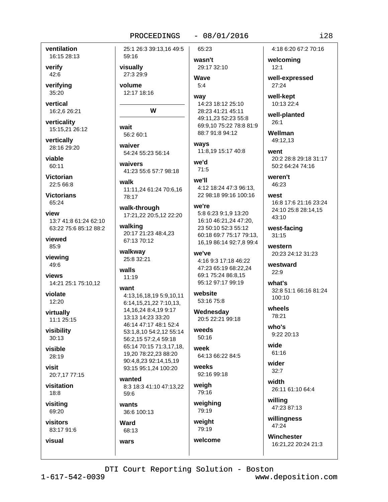### $-08/01/2016$

ventilation 16:15 28:13

verify 42:6

verifying 35:20

vertical 16:2.6 26:21

verticality 15:15,21 26:12

vertically 28:16 29:20

viable 60:11

**Victorian** 22:5 66:8

**Victorians** 65:24

view 13:7 41:8 61:24 62:10 63:22 75:6 85:12 88:2

viewed 85:9

viewing 49:6

views 14:21 25:1 75:10,12

violate 12:20

virtually 11:1 25:15

visibility  $30:13$ 

visible 28:19

visit 20:7,17 77:15

visitation  $18:8$ 

visiting 69:20

visual

visitors 83:17 91:6

25:1 26:3 39:13,16 49:5 59:16 visually 27:3 29:9

volume 12:17 18:16

#### W

```
wait
 56.260.1
```
waiver 54:24 55:23 56:14

waivers 41:23 55:6 57:7 98:18

walk 11:11.24 61:24 70:6.16 78:17

walk-through 17:21,22 20:5,12 22:20

walking 20:17 21:23 48:4,23 67:13 70:12

walkway 25:8 32:21

walls 11:19

### want

4:13,16,18,19 5:9,10,11 6:14,15,21,22 7:10,13, 14, 16, 24 8: 4, 19 9: 17 13:13 14:23 33:20 46:14 47:17 48:1 52:4 53:1,8,10 54:2,12 55:14 56:2.15 57:2.4 59:18 65:14 70:15 71:3.17.18. 19,20 78:22,23 88:20 90:4,8,23 92:14,15,19 93:15 95:1.24 100:20

wanted 8:3 18:3 41:10 47:13,22 59:6

wants 36:6 100:13

# Ward 68:13

wars

65:23 wasn't

29:17 32:10 Wave

# $5.4$ way

14:23 18:12 25:10 28:23 41:21 45:11 49:11,23 52:23 55:8 69:9,10 75:22 78:8 81:9 88:7 91:8 94:12

ways 11:8.19 15:17 40:8

we'd  $71:5$ 

### we'll

4:12 18:24 47:3 96:13. 22 98:18 99:16 100:16

#### we're

5:8 6:23 9:1,9 13:20 16:10 46:21,24 47:20, 23 50:10 52:3 55:12 60:18 69:7 75:17 79:13, 16,19 86:14 92:7,8 99:4

# we've 4:16 9:3 17:18 46:22 47:23 65:19 68:22.24

69:1 75:24 86:8,15 95:12 97:17 99:19

website 53:16 75:8

Wednesday 20:5 22:21 99:18

weeds  $50:16$ 

week 64:13 66:22 84:5

weeks 92:16 99:18

weigh 79:16

weighing 79:19

weight 79:19 welcome 4:18 6:20 67:2 70:16

welcoming  $12:1$ 

well-expressed  $27:24$ 

well-kept 10:13 22:4

well-planted  $26:1$ 

Wellman 49:12.13

went 20:2 28:8 29:18 31:17 50:2 64:24 74:16

weren't 46:23

west 16:8 17:6 21:16 23:24 24:10 25:8 28:14,15 43:10

west-facing  $31:15$ 

western 20:23 24:12 31:23

westward  $22:9$ 

what's 32:8 51:1 66:16 81:24 100:10

wheels 78:21

> $who's$ 9:22 20:13

wide 61:16

wider  $32:7$ 

width 26:11 61:10 64:4

willing 47:23 87:13

willingness  $47.24$ 

Winchester 16:21,22 20:24 21:3

DTI Court Reporting Solution - Boston